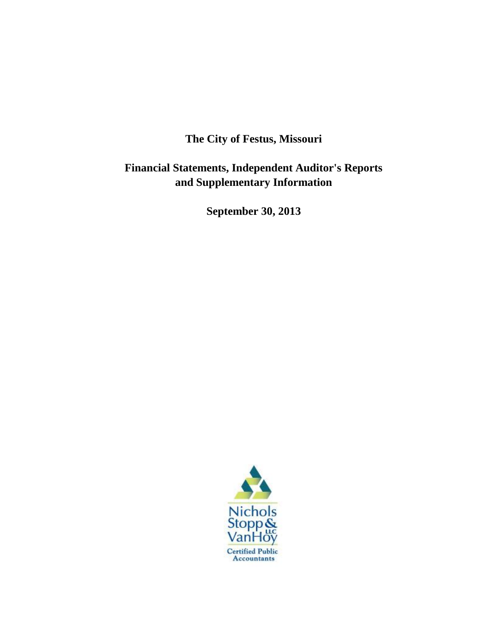# **The City of Festus, Missouri**

# **Financial Statements, Independent Auditor's Reports and Supplementary Information**

**September 30, 2013**

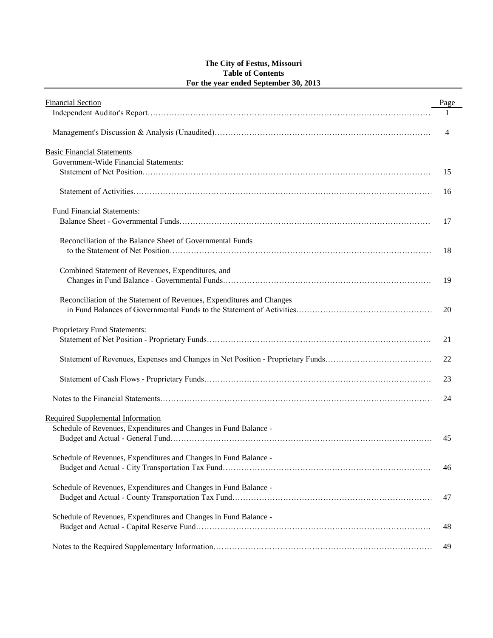# **The City of Festus, Missouri Table of Contents For the year ended September 30, 2013**

| 4<br><b>Basic Financial Statements</b><br>Government-Wide Financial Statements:<br>15<br><b>Fund Financial Statements:</b><br>-17<br>Reconciliation of the Balance Sheet of Governmental Funds<br>-18<br>Combined Statement of Revenues, Expenditures, and<br>-19<br>Reconciliation of the Statement of Revenues, Expenditures and Changes<br>20<br>Proprietary Fund Statements:<br>21<br>22<br>23<br>-24<br><b>Required Supplemental Information</b><br>Schedule of Revenues, Expenditures and Changes in Fund Balance -<br>-45<br>Schedule of Revenues, Expenditures and Changes in Fund Balance -<br>46<br>Schedule of Revenues, Expenditures and Changes in Fund Balance -<br>47<br>Schedule of Revenues, Expenditures and Changes in Fund Balance -<br>48<br>49 | <b>Financial Section</b> | Page |
|----------------------------------------------------------------------------------------------------------------------------------------------------------------------------------------------------------------------------------------------------------------------------------------------------------------------------------------------------------------------------------------------------------------------------------------------------------------------------------------------------------------------------------------------------------------------------------------------------------------------------------------------------------------------------------------------------------------------------------------------------------------------|--------------------------|------|
|                                                                                                                                                                                                                                                                                                                                                                                                                                                                                                                                                                                                                                                                                                                                                                      |                          |      |
|                                                                                                                                                                                                                                                                                                                                                                                                                                                                                                                                                                                                                                                                                                                                                                      |                          |      |
|                                                                                                                                                                                                                                                                                                                                                                                                                                                                                                                                                                                                                                                                                                                                                                      |                          |      |
|                                                                                                                                                                                                                                                                                                                                                                                                                                                                                                                                                                                                                                                                                                                                                                      |                          |      |
|                                                                                                                                                                                                                                                                                                                                                                                                                                                                                                                                                                                                                                                                                                                                                                      |                          |      |
|                                                                                                                                                                                                                                                                                                                                                                                                                                                                                                                                                                                                                                                                                                                                                                      |                          |      |
|                                                                                                                                                                                                                                                                                                                                                                                                                                                                                                                                                                                                                                                                                                                                                                      |                          |      |
|                                                                                                                                                                                                                                                                                                                                                                                                                                                                                                                                                                                                                                                                                                                                                                      |                          |      |
|                                                                                                                                                                                                                                                                                                                                                                                                                                                                                                                                                                                                                                                                                                                                                                      |                          |      |
|                                                                                                                                                                                                                                                                                                                                                                                                                                                                                                                                                                                                                                                                                                                                                                      |                          |      |
|                                                                                                                                                                                                                                                                                                                                                                                                                                                                                                                                                                                                                                                                                                                                                                      |                          |      |
|                                                                                                                                                                                                                                                                                                                                                                                                                                                                                                                                                                                                                                                                                                                                                                      |                          |      |
|                                                                                                                                                                                                                                                                                                                                                                                                                                                                                                                                                                                                                                                                                                                                                                      |                          |      |
|                                                                                                                                                                                                                                                                                                                                                                                                                                                                                                                                                                                                                                                                                                                                                                      |                          |      |
|                                                                                                                                                                                                                                                                                                                                                                                                                                                                                                                                                                                                                                                                                                                                                                      |                          |      |
|                                                                                                                                                                                                                                                                                                                                                                                                                                                                                                                                                                                                                                                                                                                                                                      |                          |      |
|                                                                                                                                                                                                                                                                                                                                                                                                                                                                                                                                                                                                                                                                                                                                                                      |                          |      |
|                                                                                                                                                                                                                                                                                                                                                                                                                                                                                                                                                                                                                                                                                                                                                                      |                          |      |
|                                                                                                                                                                                                                                                                                                                                                                                                                                                                                                                                                                                                                                                                                                                                                                      |                          |      |
|                                                                                                                                                                                                                                                                                                                                                                                                                                                                                                                                                                                                                                                                                                                                                                      |                          |      |
|                                                                                                                                                                                                                                                                                                                                                                                                                                                                                                                                                                                                                                                                                                                                                                      |                          |      |
|                                                                                                                                                                                                                                                                                                                                                                                                                                                                                                                                                                                                                                                                                                                                                                      |                          |      |
|                                                                                                                                                                                                                                                                                                                                                                                                                                                                                                                                                                                                                                                                                                                                                                      |                          |      |
|                                                                                                                                                                                                                                                                                                                                                                                                                                                                                                                                                                                                                                                                                                                                                                      |                          |      |
|                                                                                                                                                                                                                                                                                                                                                                                                                                                                                                                                                                                                                                                                                                                                                                      |                          |      |
|                                                                                                                                                                                                                                                                                                                                                                                                                                                                                                                                                                                                                                                                                                                                                                      |                          |      |
|                                                                                                                                                                                                                                                                                                                                                                                                                                                                                                                                                                                                                                                                                                                                                                      |                          |      |
|                                                                                                                                                                                                                                                                                                                                                                                                                                                                                                                                                                                                                                                                                                                                                                      |                          |      |
|                                                                                                                                                                                                                                                                                                                                                                                                                                                                                                                                                                                                                                                                                                                                                                      |                          |      |
|                                                                                                                                                                                                                                                                                                                                                                                                                                                                                                                                                                                                                                                                                                                                                                      |                          |      |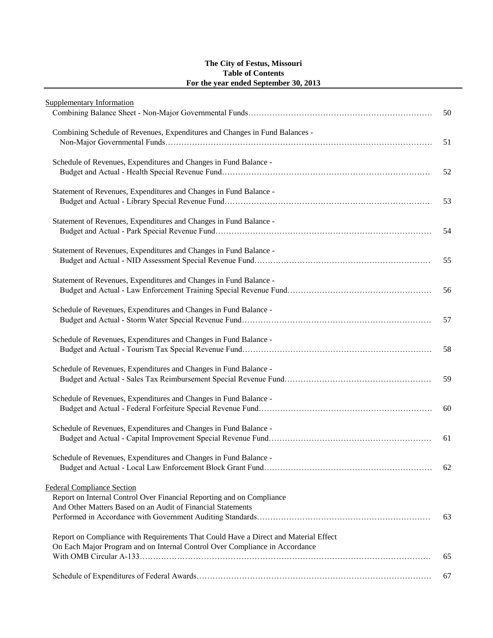# **The City of Festus, Missouri Table of Contents For the year ended September 30, 2013**

| Supplementary Information                                                                                                                                          |    |
|--------------------------------------------------------------------------------------------------------------------------------------------------------------------|----|
|                                                                                                                                                                    | 50 |
| Combining Schedule of Revenues, Expenditures and Changes in Fund Balances -                                                                                        |    |
|                                                                                                                                                                    | 51 |
| Schedule of Revenues, Expenditures and Changes in Fund Balance -                                                                                                   |    |
|                                                                                                                                                                    | 52 |
| Statement of Revenues, Expenditures and Changes in Fund Balance -                                                                                                  |    |
|                                                                                                                                                                    | 53 |
| Statement of Revenues, Expenditures and Changes in Fund Balance -                                                                                                  |    |
|                                                                                                                                                                    | 54 |
| Statement of Revenues, Expenditures and Changes in Fund Balance -                                                                                                  |    |
|                                                                                                                                                                    | 55 |
| Statement of Revenues, Expenditures and Changes in Fund Balance -                                                                                                  |    |
|                                                                                                                                                                    | 56 |
| Schedule of Revenues, Expenditures and Changes in Fund Balance -                                                                                                   |    |
|                                                                                                                                                                    | 57 |
| Schedule of Revenues, Expenditures and Changes in Fund Balance -                                                                                                   |    |
|                                                                                                                                                                    | 58 |
| Schedule of Revenues, Expenditures and Changes in Fund Balance -                                                                                                   |    |
|                                                                                                                                                                    | 59 |
| Schedule of Revenues, Expenditures and Changes in Fund Balance -                                                                                                   |    |
|                                                                                                                                                                    | 60 |
| Schedule of Revenues, Expenditures and Changes in Fund Balance -                                                                                                   |    |
|                                                                                                                                                                    | 61 |
| Schedule of Revenues, Expenditures and Changes in Fund Balance -                                                                                                   |    |
|                                                                                                                                                                    | 62 |
| <b>Federal Compliance Section</b>                                                                                                                                  |    |
| Report on Internal Control Over Financial Reporting and on Compliance                                                                                              |    |
| And Other Matters Based on an Audit of Financial Statements                                                                                                        | 63 |
|                                                                                                                                                                    |    |
| Report on Compliance with Requirements That Could Have a Direct and Material Effect<br>On Each Major Program and on Internal Control Over Compliance in Accordance |    |
|                                                                                                                                                                    | 65 |
|                                                                                                                                                                    | 67 |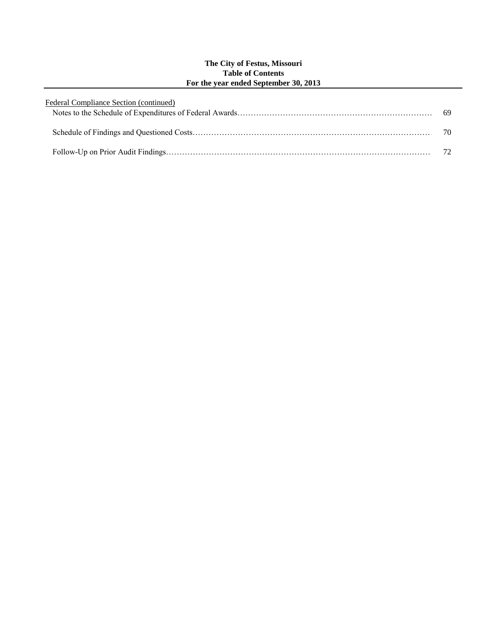# **The City of Festus, Missouri Table of Contents For the year ended September 30, 2013**

| Federal Compliance Section (continued) |     |
|----------------------------------------|-----|
|                                        | -69 |
|                                        | 70  |
|                                        |     |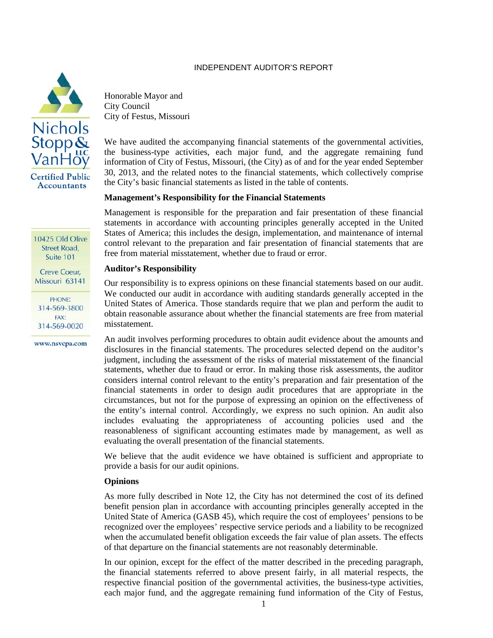### INDEPENDENT AUDITOR'S REPORT



10425 Old Olive Street Road, Suite 101

**Creve Coeur,** Missouri 63141

PHONE: 314-569-3800 FAX: 314-569-0020

www.nsvcpa.com

Honorable Mayor and City Council City of Festus, Missouri

We have audited the accompanying financial statements of the governmental activities, the business-type activities, each major fund, and the aggregate remaining fund information of City of Festus, Missouri, (the City) as of and for the year ended September 30, 2013, and the related notes to the financial statements, which collectively comprise the City's basic financial statements as listed in the table of contents.

### **Management's Responsibility for the Financial Statements**

Management is responsible for the preparation and fair presentation of these financial statements in accordance with accounting principles generally accepted in the United States of America; this includes the design, implementation, and maintenance of internal control relevant to the preparation and fair presentation of financial statements that are free from material misstatement, whether due to fraud or error.

### **Auditor's Responsibility**

Our responsibility is to express opinions on these financial statements based on our audit. We conducted our audit in accordance with auditing standards generally accepted in the United States of America. Those standards require that we plan and perform the audit to obtain reasonable assurance about whether the financial statements are free from material misstatement.

An audit involves performing procedures to obtain audit evidence about the amounts and disclosures in the financial statements. The procedures selected depend on the auditor's judgment, including the assessment of the risks of material misstatement of the financial statements, whether due to fraud or error. In making those risk assessments, the auditor considers internal control relevant to the entity's preparation and fair presentation of the financial statements in order to design audit procedures that are appropriate in the circumstances, but not for the purpose of expressing an opinion on the effectiveness of the entity's internal control. Accordingly, we express no such opinion. An audit also includes evaluating the appropriateness of accounting policies used and the reasonableness of significant accounting estimates made by management, as well as evaluating the overall presentation of the financial statements.

We believe that the audit evidence we have obtained is sufficient and appropriate to provide a basis for our audit opinions.

### **Opinions**

As more fully described in Note 12, the City has not determined the cost of its defined benefit pension plan in accordance with accounting principles generally accepted in the United State of America (GASB 45), which require the cost of employees' pensions to be recognized over the employees' respective service periods and a liability to be recognized when the accumulated benefit obligation exceeds the fair value of plan assets. The effects of that departure on the financial statements are not reasonably determinable.

In our opinion, except for the effect of the matter described in the preceding paragraph, the financial statements referred to above present fairly, in all material respects, the respective financial position of the governmental activities, the business-type activities, each major fund, and the aggregate remaining fund information of the City of Festus,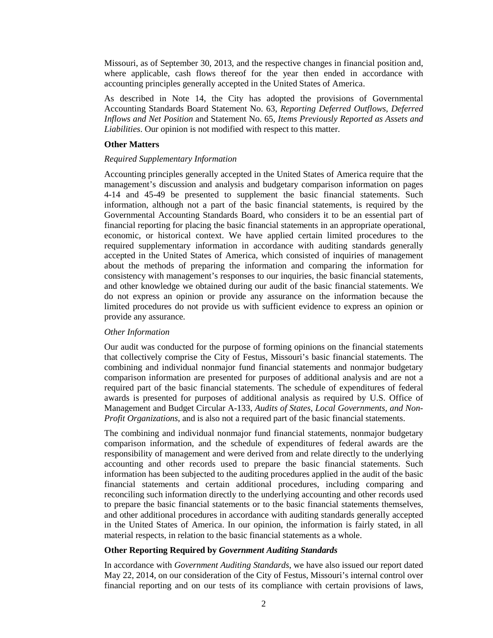Missouri, as of September 30, 2013, and the respective changes in financial position and, where applicable, cash flows thereof for the year then ended in accordance with accounting principles generally accepted in the United States of America.

As described in Note 14, the City has adopted the provisions of Governmental Accounting Standards Board Statement No. 63, *Reporting Deferred Outflows, Deferred Inflows and Net Position* and Statement No. 65, *Items Previously Reported as Assets and Liabilities*. Our opinion is not modified with respect to this matter.

#### **Other Matters**

#### *Required Supplementary Information*

Accounting principles generally accepted in the United States of America require that the management's discussion and analysis and budgetary comparison information on pages 4-14 and 45-49 be presented to supplement the basic financial statements. Such information, although not a part of the basic financial statements, is required by the Governmental Accounting Standards Board, who considers it to be an essential part of financial reporting for placing the basic financial statements in an appropriate operational, economic, or historical context. We have applied certain limited procedures to the required supplementary information in accordance with auditing standards generally accepted in the United States of America, which consisted of inquiries of management about the methods of preparing the information and comparing the information for consistency with management's responses to our inquiries, the basic financial statements, and other knowledge we obtained during our audit of the basic financial statements. We do not express an opinion or provide any assurance on the information because the limited procedures do not provide us with sufficient evidence to express an opinion or provide any assurance.

#### *Other Information*

Our audit was conducted for the purpose of forming opinions on the financial statements that collectively comprise the City of Festus, Missouri's basic financial statements. The combining and individual nonmajor fund financial statements and nonmajor budgetary comparison information are presented for purposes of additional analysis and are not a required part of the basic financial statements. The schedule of expenditures of federal awards is presented for purposes of additional analysis as required by U.S. Office of Management and Budget Circular A-133, *Audits of States, Local Governments, and Non-Profit Organizations*, and is also not a required part of the basic financial statements.

The combining and individual nonmajor fund financial statements, nonmajor budgetary comparison information, and the schedule of expenditures of federal awards are the responsibility of management and were derived from and relate directly to the underlying accounting and other records used to prepare the basic financial statements. Such information has been subjected to the auditing procedures applied in the audit of the basic financial statements and certain additional procedures, including comparing and reconciling such information directly to the underlying accounting and other records used to prepare the basic financial statements or to the basic financial statements themselves, and other additional procedures in accordance with auditing standards generally accepted in the United States of America. In our opinion, the information is fairly stated, in all material respects, in relation to the basic financial statements as a whole.

### **Other Reporting Required by** *Government Auditing Standards*

In accordance with *Government Auditing Standards*, we have also issued our report dated May 22, 2014, on our consideration of the City of Festus, Missouri's internal control over financial reporting and on our tests of its compliance with certain provisions of laws,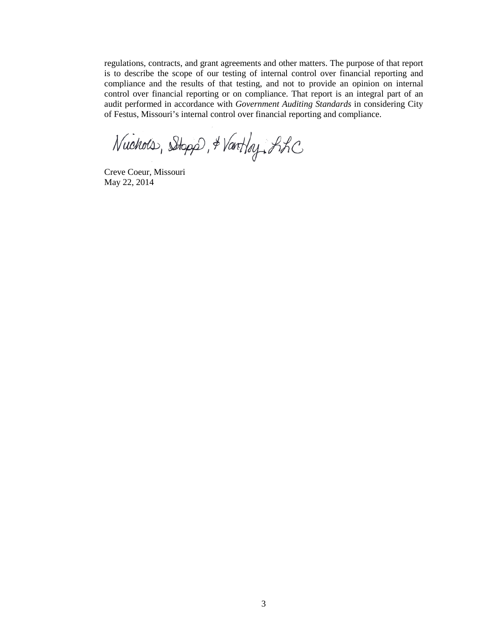regulations, contracts, and grant agreements and other matters. The purpose of that report is to describe the scope of our testing of internal control over financial reporting and compliance and the results of that testing, and not to provide an opinion on internal control over financial reporting or on compliance. That report is an integral part of an audit performed in accordance with *Government Auditing Standards* in considering City of Festus, Missouri's internal control over financial reporting and compliance.

Nuchols, Stopp, & Vantfay, SLC

Creve Coeur, Missouri May 22, 2014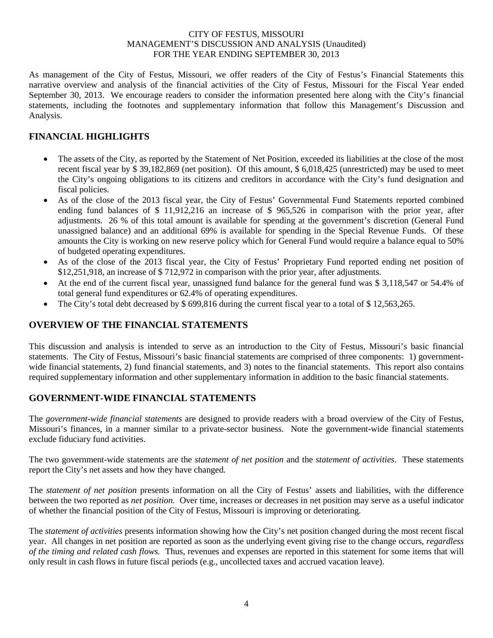As management of the City of Festus, Missouri, we offer readers of the City of Festus's Financial Statements this narrative overview and analysis of the financial activities of the City of Festus, Missouri for the Fiscal Year ended September 30, 2013. We encourage readers to consider the information presented here along with the City's financial statements, including the footnotes and supplementary information that follow this Management's Discussion and Analysis.

# **FINANCIAL HIGHLIGHTS**

- The assets of the City, as reported by the Statement of Net Position, exceeded its liabilities at the close of the most recent fiscal year by \$ 39,182,869 (net position). Of this amount, \$ 6,018,425 (unrestricted) may be used to meet the City's ongoing obligations to its citizens and creditors in accordance with the City's fund designation and fiscal policies.
- As of the close of the 2013 fiscal year, the City of Festus' Governmental Fund Statements reported combined ending fund balances of \$ 11,912,216 an increase of \$ 965,526 in comparison with the prior year, after adjustments. 26 % of this total amount is available for spending at the government's discretion (General Fund unassigned balance) and an additional 69% is available for spending in the Special Revenue Funds. Of these amounts the City is working on new reserve policy which for General Fund would require a balance equal to 50% of budgeted operating expenditures.
- As of the close of the 2013 fiscal year, the City of Festus' Proprietary Fund reported ending net position of \$12,251,918, an increase of \$ 712,972 in comparison with the prior year, after adjustments.
- At the end of the current fiscal year, unassigned fund balance for the general fund was \$ 3,118,547 or 54.4% of total general fund expenditures or 62.4% of operating expenditures.
- The City's total debt decreased by \$ 699,816 during the current fiscal year to a total of \$12,563,265.

# **OVERVIEW OF THE FINANCIAL STATEMENTS**

This discussion and analysis is intended to serve as an introduction to the City of Festus, Missouri's basic financial statements. The City of Festus, Missouri's basic financial statements are comprised of three components: 1) governmentwide financial statements, 2) fund financial statements, and 3) notes to the financial statements. This report also contains required supplementary information and other supplementary information in addition to the basic financial statements.

# **GOVERNMENT-WIDE FINANCIAL STATEMENTS**

The *government-wide financial statements* are designed to provide readers with a broad overview of the City of Festus, Missouri's finances, in a manner similar to a private-sector business. Note the government-wide financial statements exclude fiduciary fund activities.

The two government-wide statements are the *statement of net position* and the *statement of activities*. These statements report the City's net assets and how they have changed.

The *statement of net position* presents information on all the City of Festus' assets and liabilities, with the difference between the two reported as *net position.* Over time, increases or decreases in net position may serve as a useful indicator of whether the financial position of the City of Festus, Missouri is improving or deteriorating.

The *statement of activities* presents information showing how the City's net position changed during the most recent fiscal year. All changes in net position are reported as soon as the underlying event giving rise to the change occurs, *regardless of the timing and related cash flows.* Thus, revenues and expenses are reported in this statement for some items that will only result in cash flows in future fiscal periods (e.g., uncollected taxes and accrued vacation leave).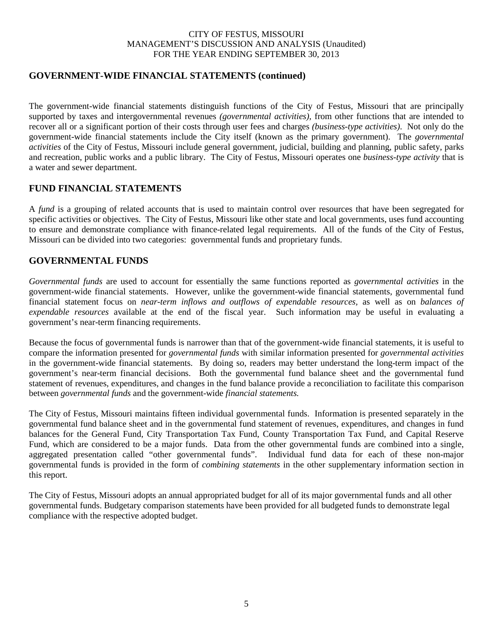# **GOVERNMENT-WIDE FINANCIAL STATEMENTS (continued)**

The government-wide financial statements distinguish functions of the City of Festus, Missouri that are principally supported by taxes and intergovernmental revenues *(governmental activities),* from other functions that are intended to recover all or a significant portion of their costs through user fees and charges *(business-type activities)*. Not only do the government-wide financial statements include the City itself (known as the primary government). The *governmental activities* of the City of Festus, Missouri include general government, judicial, building and planning, public safety, parks and recreation, public works and a public library. The City of Festus, Missouri operates one *business-type activity* that is a water and sewer department.

# **FUND FINANCIAL STATEMENTS**

A *fund* is a grouping of related accounts that is used to maintain control over resources that have been segregated for specific activities or objectives. The City of Festus, Missouri like other state and local governments, uses fund accounting to ensure and demonstrate compliance with finance-related legal requirements. All of the funds of the City of Festus, Missouri can be divided into two categories: governmental funds and proprietary funds.

# **GOVERNMENTAL FUNDS**

*Governmental funds* are used to account for essentially the same functions reported as *governmental activities* in the government-wide financial statements. However, unlike the government-wide financial statements, governmental fund financial statement focus on *near-term inflows and outflows of expendable resources,* as well as on *balances of expendable resources* available at the end of the fiscal year. Such information may be useful in evaluating a government's near-term financing requirements.

Because the focus of governmental funds is narrower than that of the government-wide financial statements, it is useful to compare the information presented for *governmental funds* with similar information presented for *governmental activities*  in the government-wide financial statements. By doing so, readers may better understand the long-term impact of the government's near-term financial decisions. Both the governmental fund balance sheet and the governmental fund statement of revenues, expenditures, and changes in the fund balance provide a reconciliation to facilitate this comparison between *governmental funds* and the government-wide *financial statements.*

The City of Festus, Missouri maintains fifteen individual governmental funds. Information is presented separately in the governmental fund balance sheet and in the governmental fund statement of revenues, expenditures, and changes in fund balances for the General Fund, City Transportation Tax Fund, County Transportation Tax Fund, and Capital Reserve Fund, which are considered to be a major funds. Data from the other governmental funds are combined into a single, aggregated presentation called "other governmental funds". Individual fund data for each of these non-major governmental funds is provided in the form of *combining statements* in the other supplementary information section in this report.

The City of Festus, Missouri adopts an annual appropriated budget for all of its major governmental funds and all other governmental funds. Budgetary comparison statements have been provided for all budgeted funds to demonstrate legal compliance with the respective adopted budget.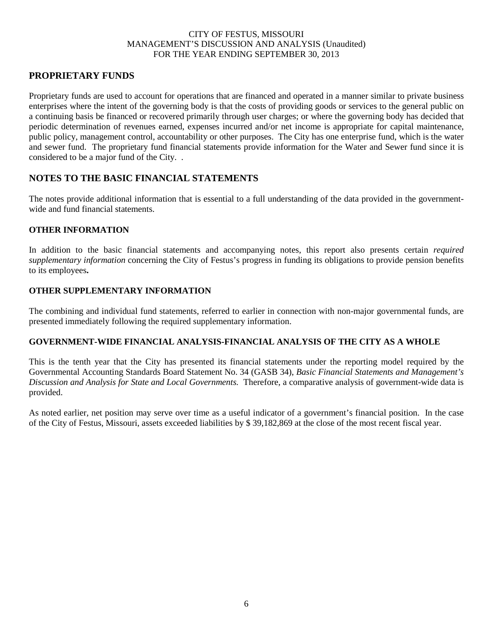# **PROPRIETARY FUNDS**

Proprietary funds are used to account for operations that are financed and operated in a manner similar to private business enterprises where the intent of the governing body is that the costs of providing goods or services to the general public on a continuing basis be financed or recovered primarily through user charges; or where the governing body has decided that periodic determination of revenues earned, expenses incurred and/or net income is appropriate for capital maintenance, public policy, management control, accountability or other purposes. The City has one enterprise fund, which is the water and sewer fund. The proprietary fund financial statements provide information for the Water and Sewer fund since it is considered to be a major fund of the City. .

# **NOTES TO THE BASIC FINANCIAL STATEMENTS**

The notes provide additional information that is essential to a full understanding of the data provided in the governmentwide and fund financial statements.

# **OTHER INFORMATION**

In addition to the basic financial statements and accompanying notes, this report also presents certain *required supplementary information* concerning the City of Festus's progress in funding its obligations to provide pension benefits to its employees**.**

# **OTHER SUPPLEMENTARY INFORMATION**

The combining and individual fund statements, referred to earlier in connection with non-major governmental funds, are presented immediately following the required supplementary information.

# **GOVERNMENT-WIDE FINANCIAL ANALYSIS-FINANCIAL ANALYSIS OF THE CITY AS A WHOLE**

This is the tenth year that the City has presented its financial statements under the reporting model required by the Governmental Accounting Standards Board Statement No. 34 (GASB 34), *Basic Financial Statements and Management's Discussion and Analysis for State and Local Governments.* Therefore, a comparative analysis of government-wide data is provided.

As noted earlier, net position may serve over time as a useful indicator of a government's financial position. In the case of the City of Festus, Missouri, assets exceeded liabilities by \$ 39,182,869 at the close of the most recent fiscal year.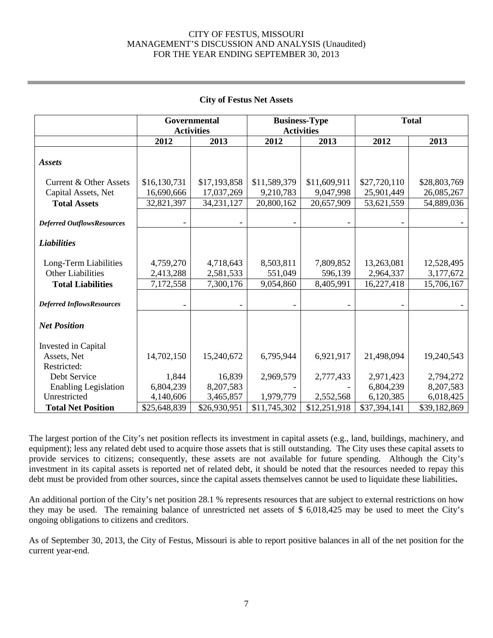|                                   |              | Governmental      | <b>Business-Type</b> |              |              | <b>Total</b> |
|-----------------------------------|--------------|-------------------|----------------------|--------------|--------------|--------------|
|                                   |              | <b>Activities</b> | <b>Activities</b>    |              |              |              |
|                                   | 2012         | 2013              | 2012                 | 2013         | 2012         | 2013         |
| <b>Assets</b>                     |              |                   |                      |              |              |              |
| <b>Current &amp; Other Assets</b> | \$16,130,731 | \$17,193,858      | \$11,589,379         | \$11,609,911 | \$27,720,110 | \$28,803,769 |
| Capital Assets, Net               | 16,690,666   | 17,037,269        | 9,210,783            | 9,047,998    | 25,901,449   | 26,085,267   |
| <b>Total Assets</b>               | 32,821,397   | 34, 231, 127      | 20,800,162           | 20,657,909   | 53,621,559   | 54,889,036   |
| <b>Deferred OutflowsResources</b> |              |                   |                      |              |              |              |
| <b>Liabilities</b>                |              |                   |                      |              |              |              |
| Long-Term Liabilities             | 4,759,270    | 4,718,643         | 8,503,811            | 7,809,852    | 13,263,081   | 12,528,495   |
| <b>Other Liabilities</b>          | 2,413,288    | 2,581,533         | 551,049              | 596,139      | 2,964,337    | 3,177,672    |
| <b>Total Liabilities</b>          | 7,172,558    | 7,300,176         | 9,054,860            | 8,405,991    | 16,227,418   | 15,706,167   |
| <b>Deferred InflowsResources</b>  |              |                   |                      |              |              |              |
| <b>Net Position</b>               |              |                   |                      |              |              |              |
| Invested in Capital               |              |                   |                      |              |              |              |
| Assets, Net                       | 14,702,150   | 15,240,672        | 6,795,944            | 6,921,917    | 21,498,094   | 19,240,543   |
| Restricted:                       |              |                   |                      |              |              |              |
| Debt Service                      | 1,844        | 16,839            | 2,969,579            | 2,777,433    | 2,971,423    | 2,794,272    |
| <b>Enabling Legislation</b>       | 6,804,239    | 8,207,583         |                      |              | 6,804,239    | 8,207,583    |
| Unrestricted                      | 4,140,606    | 3,465,857         | 1,979,779            | 2,552,568    | 6,120,385    | 6,018,425    |
| <b>Total Net Position</b>         | \$25,648,839 | \$26,930,951      | \$11,745,302         | \$12,251,918 | \$37,394,141 | \$39,182,869 |

# **City of Festus Net Assets**

The largest portion of the City's net position reflects its investment in capital assets (e.g., land, buildings, machinery, and equipment); less any related debt used to acquire those assets that is still outstanding. The City uses these capital assets to provide services to citizens; consequently, these assets are not available for future spending. Although the City's investment in its capital assets is reported net of related debt, it should be noted that the resources needed to repay this debt must be provided from other sources, since the capital assets themselves cannot be used to liquidate these liabilities**.**

An additional portion of the City's net position 28.1 % represents resources that are subject to external restrictions on how they may be used. The remaining balance of unrestricted net assets of \$ 6,018,425 may be used to meet the City's ongoing obligations to citizens and creditors.

As of September 30, 2013, the City of Festus, Missouri is able to report positive balances in all of the net position for the current year-end.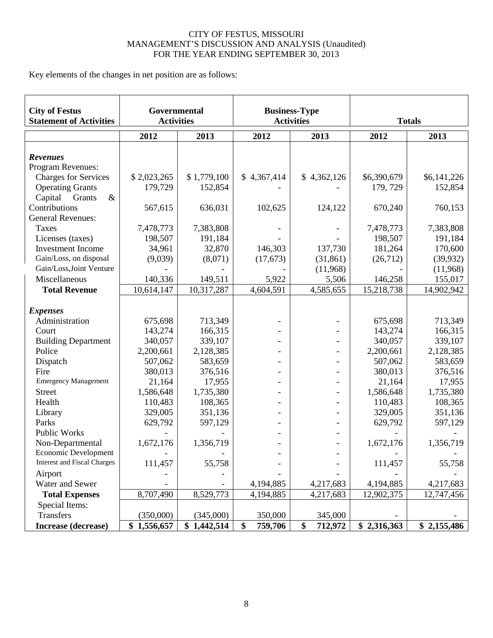Key elements of the changes in net position are as follows:

| <b>City of Festus</b><br><b>Statement of Activities</b> | Governmental<br><b>Activities</b> |             |               | <b>Business-Type</b><br><b>Activities</b> | <b>Totals</b> |             |  |  |  |
|---------------------------------------------------------|-----------------------------------|-------------|---------------|-------------------------------------------|---------------|-------------|--|--|--|
|                                                         | 2012                              | 2013        | 2012          | 2013                                      | 2012          | 2013        |  |  |  |
| <b>Revenues</b><br>Program Revenues:                    |                                   |             |               |                                           |               |             |  |  |  |
| <b>Charges for Services</b>                             | \$2,023,265                       | \$1,779,100 | \$4,367,414   | \$4,362,126                               | \$6,390,679   | \$6,141,226 |  |  |  |
| <b>Operating Grants</b>                                 | 179,729                           | 152,854     |               |                                           | 179, 729      | 152,854     |  |  |  |
| Capital Grants<br>$\&$                                  |                                   |             |               |                                           |               |             |  |  |  |
| Contributions                                           | 567,615                           | 636,031     | 102,625       | 124,122                                   | 670,240       | 760,153     |  |  |  |
| <b>General Revenues:</b>                                |                                   |             |               |                                           |               |             |  |  |  |
| <b>Taxes</b>                                            | 7,478,773                         | 7,383,808   |               |                                           | 7,478,773     | 7,383,808   |  |  |  |
| Licenses (taxes)                                        | 198,507                           | 191,184     |               |                                           | 198,507       | 191,184     |  |  |  |
| <b>Investment Income</b>                                | 34,961                            | 32,870      | 146,303       | 137,730                                   | 181,264       | 170,600     |  |  |  |
| Gain/Loss, on disposal                                  | (9,039)                           | (8,071)     | (17,673)      | (31, 861)                                 | (26, 712)     | (39, 932)   |  |  |  |
| Gain/Loss, Joint Venture                                |                                   |             |               | (11,968)                                  |               | (11,968)    |  |  |  |
| Miscellaneous                                           | 140,336                           | 149,511     | 5,922         | 5,506                                     | 146,258       | 155,017     |  |  |  |
| <b>Total Revenue</b>                                    | 10,614,147                        | 10,317,287  | 4,604,591     | 4,585,655                                 | 15,218,738    | 14,902,942  |  |  |  |
| <b>Expenses</b>                                         |                                   |             |               |                                           |               |             |  |  |  |
| Administration                                          | 675,698                           | 713,349     |               |                                           | 675,698       | 713,349     |  |  |  |
| Court                                                   | 143,274                           | 166,315     |               |                                           | 143,274       | 166,315     |  |  |  |
| <b>Building Department</b>                              | 340,057                           | 339,107     |               |                                           | 340,057       | 339,107     |  |  |  |
| Police                                                  | 2,200,661                         | 2,128,385   |               |                                           | 2,200,661     | 2,128,385   |  |  |  |
| Dispatch                                                | 507,062                           | 583,659     |               |                                           | 507,062       | 583,659     |  |  |  |
| Fire                                                    | 380,013                           | 376,516     |               |                                           | 380,013       | 376,516     |  |  |  |
| <b>Emergency Management</b>                             | 21,164                            | 17,955      |               |                                           | 21,164        | 17,955      |  |  |  |
| <b>Street</b>                                           | 1,586,648                         | 1,735,380   |               |                                           | 1,586,648     | 1,735,380   |  |  |  |
| Health                                                  | 110,483                           | 108,365     |               |                                           | 110,483       | 108,365     |  |  |  |
| Library                                                 | 329,005                           | 351,136     |               |                                           | 329,005       | 351,136     |  |  |  |
| Parks                                                   | 629,792                           | 597,129     |               |                                           | 629,792       | 597,129     |  |  |  |
| <b>Public Works</b>                                     |                                   |             |               |                                           |               |             |  |  |  |
| Non-Departmental                                        | 1,672,176                         | 1,356,719   |               |                                           | 1,672,176     | 1,356,719   |  |  |  |
| Economic Development                                    |                                   |             |               |                                           |               |             |  |  |  |
| <b>Interest and Fiscal Charges</b>                      | 111,457                           | 55,758      |               |                                           | 111,457       | 55,758      |  |  |  |
| Airport                                                 |                                   |             |               |                                           |               |             |  |  |  |
| Water and Sewer                                         |                                   |             | 4,194,885     | 4,217,683                                 | 4,194,885     | 4,217,683   |  |  |  |
| <b>Total Expenses</b>                                   | 8,707,490                         | 8,529,773   | 4,194,885     | 4,217,683                                 | 12,902,375    | 12,747,456  |  |  |  |
| Special Items:                                          |                                   |             |               |                                           |               |             |  |  |  |
| Transfers                                               | (350,000)                         | (345,000)   | 350,000       | 345,000                                   |               |             |  |  |  |
| <b>Increase (decrease)</b>                              | \$1,556,657                       | \$1,442,514 | \$<br>759,706 | \$<br>712,972                             | \$2,316,363   | \$2,155,486 |  |  |  |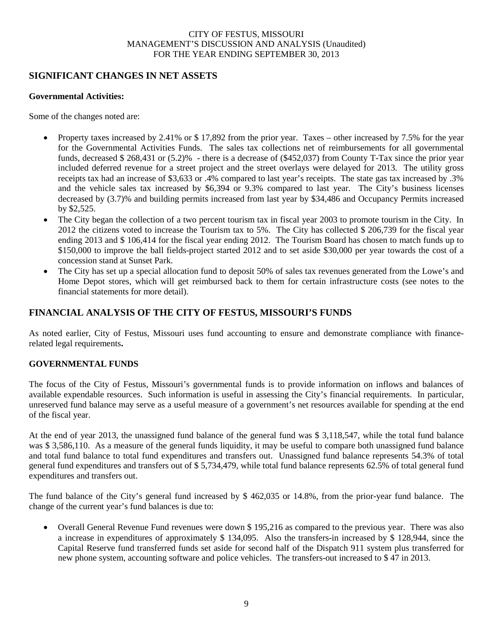# **SIGNIFICANT CHANGES IN NET ASSETS**

# **Governmental Activities:**

Some of the changes noted are:

- Property taxes increased by 2.41% or \$ 17,892 from the prior year. Taxes other increased by 7.5% for the year for the Governmental Activities Funds. The sales tax collections net of reimbursements for all governmental funds, decreased \$ 268,431 or (5.2)% - there is a decrease of (\$452,037) from County T-Tax since the prior year included deferred revenue for a street project and the street overlays were delayed for 2013. The utility gross receipts tax had an increase of \$3,633 or .4% compared to last year's receipts. The state gas tax increased by .3% and the vehicle sales tax increased by \$6,394 or 9.3% compared to last year. The City's business licenses decreased by (3.7)% and building permits increased from last year by \$34,486 and Occupancy Permits increased by \$2,525.
- The City began the collection of a two percent tourism tax in fiscal year 2003 to promote tourism in the City. In 2012 the citizens voted to increase the Tourism tax to 5%. The City has collected \$ 206,739 for the fiscal year ending 2013 and \$ 106,414 for the fiscal year ending 2012. The Tourism Board has chosen to match funds up to \$150,000 to improve the ball fields-project started 2012 and to set aside \$30,000 per year towards the cost of a concession stand at Sunset Park.
- The City has set up a special allocation fund to deposit 50% of sales tax revenues generated from the Lowe's and Home Depot stores, which will get reimbursed back to them for certain infrastructure costs (see notes to the financial statements for more detail).

# **FINANCIAL ANALYSIS OF THE CITY OF FESTUS, MISSOURI'S FUNDS**

As noted earlier, City of Festus, Missouri uses fund accounting to ensure and demonstrate compliance with financerelated legal requirements**.**

# **GOVERNMENTAL FUNDS**

The focus of the City of Festus, Missouri's governmental funds is to provide information on inflows and balances of available expendable resources. Such information is useful in assessing the City's financial requirements. In particular, unreserved fund balance may serve as a useful measure of a government's net resources available for spending at the end of the fiscal year.

At the end of year 2013, the unassigned fund balance of the general fund was \$ 3,118,547, while the total fund balance was \$3,586,110. As a measure of the general funds liquidity, it may be useful to compare both unassigned fund balance and total fund balance to total fund expenditures and transfers out. Unassigned fund balance represents 54.3% of total general fund expenditures and transfers out of \$ 5,734,479, while total fund balance represents 62.5% of total general fund expenditures and transfers out.

The fund balance of the City's general fund increased by \$ 462,035 or 14.8%, from the prior-year fund balance. The change of the current year's fund balances is due to:

• Overall General Revenue Fund revenues were down \$195,216 as compared to the previous year. There was also a increase in expenditures of approximately \$ 134,095. Also the transfers-in increased by \$ 128,944, since the Capital Reserve fund transferred funds set aside for second half of the Dispatch 911 system plus transferred for new phone system, accounting software and police vehicles. The transfers-out increased to \$ 47 in 2013.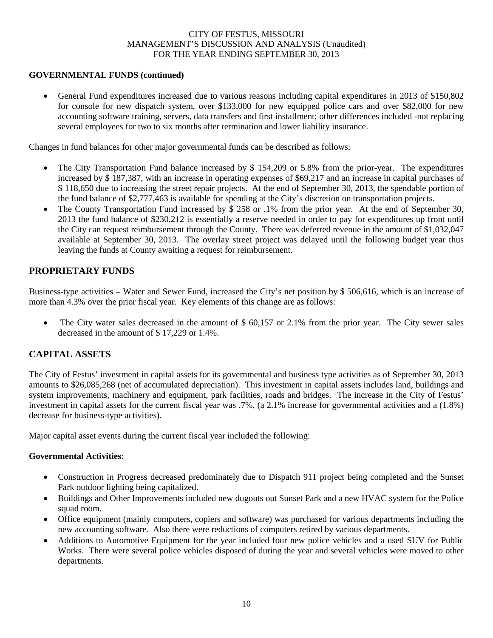# **GOVERNMENTAL FUNDS (continued)**

• General Fund expenditures increased due to various reasons including capital expenditures in 2013 of \$150,802 for console for new dispatch system, over \$133,000 for new equipped police cars and over \$82,000 for new accounting software training, servers, data transfers and first installment; other differences included -not replacing several employees for two to six months after termination and lower liability insurance.

Changes in fund balances for other major governmental funds can be described as follows:

- The City Transportation Fund balance increased by \$ 154,209 or 5.8% from the prior-year. The expenditures increased by \$ 187,387, with an increase in operating expenses of \$69,217 and an increase in capital purchases of \$ 118,650 due to increasing the street repair projects. At the end of September 30, 2013, the spendable portion of the fund balance of \$2,777,463 is available for spending at the City's discretion on transportation projects.
- The County Transportation Fund increased by \$ 258 or .1% from the prior year. At the end of September 30, 2013 the fund balance of \$230,212 is essentially a reserve needed in order to pay for expenditures up front until the City can request reimbursement through the County. There was deferred revenue in the amount of \$1,032,047 available at September 30, 2013. The overlay street project was delayed until the following budget year thus leaving the funds at County awaiting a request for reimbursement.

# **PROPRIETARY FUNDS**

Business-type activities – Water and Sewer Fund, increased the City's net position by \$ 506,616, which is an increase of more than 4.3% over the prior fiscal year. Key elements of this change are as follows:

• The City water sales decreased in the amount of \$60,157 or 2.1% from the prior year. The City sewer sales decreased in the amount of \$ 17,229 or 1.4%.

# **CAPITAL ASSETS**

The City of Festus' investment in capital assets for its governmental and business type activities as of September 30, 2013 amounts to \$26,085,268 (net of accumulated depreciation). This investment in capital assets includes land, buildings and system improvements, machinery and equipment, park facilities, roads and bridges. The increase in the City of Festus' investment in capital assets for the current fiscal year was .7%, (a 2.1% increase for governmental activities and a (1.8%) decrease for business-type activities).

Major capital asset events during the current fiscal year included the following:

# **Governmental Activities**:

- Construction in Progress decreased predominately due to Dispatch 911 project being completed and the Sunset Park outdoor lighting being capitalized.
- Buildings and Other Improvements included new dugouts out Sunset Park and a new HVAC system for the Police squad room.
- Office equipment (mainly computers, copiers and software) was purchased for various departments including the new accounting software. Also there were reductions of computers retired by various departments.
- Additions to Automotive Equipment for the year included four new police vehicles and a used SUV for Public Works. There were several police vehicles disposed of during the year and several vehicles were moved to other departments.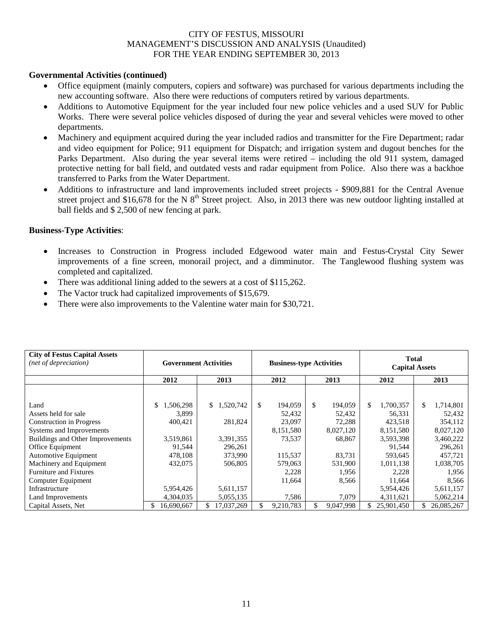### **Governmental Activities (continued)**

- Office equipment (mainly computers, copiers and software) was purchased for various departments including the new accounting software. Also there were reductions of computers retired by various departments.
- Additions to Automotive Equipment for the year included four new police vehicles and a used SUV for Public Works. There were several police vehicles disposed of during the year and several vehicles were moved to other departments.
- Machinery and equipment acquired during the year included radios and transmitter for the Fire Department; radar and video equipment for Police; 911 equipment for Dispatch; and irrigation system and dugout benches for the Parks Department. Also during the year several items were retired – including the old 911 system, damaged protective netting for ball field, and outdated vests and radar equipment from Police. Also there was a backhoe transferred to Parks from the Water Department.
- Additions to infrastructure and land improvements included street projects \$909,881 for the Central Avenue street project and \$16,678 for the N  $8<sup>th</sup>$  Street project. Also, in 2013 there was new outdoor lighting installed at ball fields and \$ 2,500 of new fencing at park.

# **Business-Type Activities**:

- Increases to Construction in Progress included Edgewood water main and Festus-Crystal City Sewer improvements of a fine screen, monorail project, and a dimminutor. The Tanglewood flushing system was completed and capitalized.
- There was additional lining added to the sewers at a cost of \$115,262.
- The Vactor truck had capitalized improvements of \$15,679.
- There were also improvements to the Valentine water main for \$30,721.

| <b>City of Festus Capital Assets</b><br>(net of depreciation) | <b>Government Activities</b> |                  | <b>Business-type Activities</b> |           | Total<br><b>Capital Assets</b> |    |            |     |            |
|---------------------------------------------------------------|------------------------------|------------------|---------------------------------|-----------|--------------------------------|----|------------|-----|------------|
|                                                               | 2012                         | 2013             |                                 | 2012      | 2013                           |    | 2012       |     | 2013       |
|                                                               |                              |                  |                                 |           |                                |    |            |     |            |
| Land                                                          | 1,506,298<br>\$              | 1,520,742<br>\$. | $\mathbf{\hat{S}}$              | 194,059   | \$<br>194,059                  | \$ | 1,700,357  | \$  | 1,714,801  |
| Assets held for sale                                          | 3,899                        |                  |                                 | 52,432    | 52,432                         |    | 56,331     |     | 52,432     |
| <b>Construction in Progress</b>                               | 400,421                      | 281,824          |                                 | 23,097    | 72,288                         |    | 423,518    |     | 354,112    |
| Systems and Improvements                                      |                              |                  |                                 | 8,151,580 | 8,027,120                      |    | 8,151,580  |     | 8,027,120  |
| Buildings and Other Improvements                              | 3,519,861                    | 3,391,355        |                                 | 73,537    | 68,867                         |    | 3,593,398  |     | 3,460,222  |
| Office Equipment                                              | 91,544                       | 296,261          |                                 |           |                                |    | 91,544     |     | 296,261    |
| Automotive Equipment                                          | 478,108                      | 373,990          |                                 | 115,537   | 83,731                         |    | 593,645    |     | 457,721    |
| Machinery and Equipment                                       | 432,075                      | 506,805          |                                 | 579,063   | 531,900                        |    | 1,011,138  |     | 1,038,705  |
| <b>Furniture and Fixtures</b>                                 |                              |                  |                                 | 2,228     | 1,956                          |    | 2,228      |     | 1,956      |
| Computer Equipment                                            |                              |                  |                                 | 11,664    | 8,566                          |    | 11,664     |     | 8,566      |
| Infrastructure                                                | 5,954,426                    | 5,611,157        |                                 |           |                                |    | 5,954,426  |     | 5,611,157  |
| Land Improvements                                             | 4,304,035                    | 5,055,135        |                                 | 7,586     | 7,079                          |    | 4,311,621  |     | 5,062,214  |
| Capital Assets, Net                                           | 16,690,667                   | 17,037,269       |                                 | 9,210,783 | 9,047,998                      |    | 25,901,450 | \$. | 26,085,267 |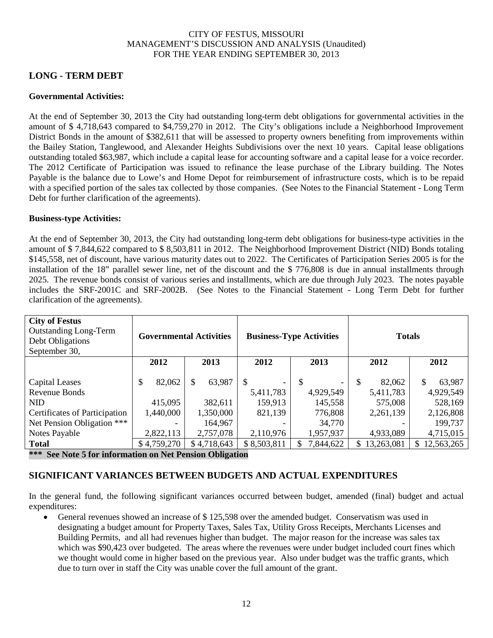# **LONG - TERM DEBT**

# **Governmental Activities:**

At the end of September 30, 2013 the City had outstanding long-term debt obligations for governmental activities in the amount of \$ 4,718,643 compared to \$4,759,270 in 2012. The City's obligations include a Neighborhood Improvement District Bonds in the amount of \$382,611 that will be assessed to property owners benefiting from improvements within the Bailey Station, Tanglewood, and Alexander Heights Subdivisions over the next 10 years. Capital lease obligations outstanding totaled \$63,987, which include a capital lease for accounting software and a capital lease for a voice recorder. The 2012 Certificate of Participation was issued to refinance the lease purchase of the Library building. The Notes Payable is the balance due to Lowe's and Home Depot for reimbursement of infrastructure costs, which is to be repaid with a specified portion of the sales tax collected by those companies. (See Notes to the Financial Statement - Long Term Debt for further clarification of the agreements).

# **Business-type Activities:**

At the end of September 30, 2013, the City had outstanding long-term debt obligations for business-type activities in the amount of \$ 7,844,622 compared to \$ 8,503,811 in 2012. The Neighborhood Improvement District (NID) Bonds totaling \$145,558, net of discount, have various maturity dates out to 2022. The Certificates of Participation Series 2005 is for the installation of the 18" parallel sewer line, net of the discount and the \$ 776,808 is due in annual installments through 2025. The revenue bonds consist of various series and installments, which are due through July 2023. The notes payable includes the SRF-2001C and SRF-2002B. (See Notes to the Financial Statement - Long Term Debt for further clarification of the agreements).

| <b>City of Festus</b><br><b>Outstanding Long-Term</b><br>Debt Obligations<br>September 30, | <b>Governmental Activities</b>                                  |              |                                | <b>Business-Type Activities</b>                       | <b>Totals</b>    |                  |  |  |  |  |  |  |
|--------------------------------------------------------------------------------------------|-----------------------------------------------------------------|--------------|--------------------------------|-------------------------------------------------------|------------------|------------------|--|--|--|--|--|--|
|                                                                                            | 2012                                                            | 2013         | 2012                           | 2013                                                  | 2012             | 2012             |  |  |  |  |  |  |
| Capital Leases                                                                             | \$<br>82,062                                                    | \$<br>63,987 | \$<br>$\overline{\phantom{a}}$ | $\boldsymbol{\mathsf{S}}$<br>$\overline{\phantom{0}}$ | 82,062<br>\$     | 63,987           |  |  |  |  |  |  |
| Revenue Bonds                                                                              |                                                                 |              | 5,411,783                      | 4,929,549                                             | 5,411,783        | 4,929,549        |  |  |  |  |  |  |
| <b>NID</b>                                                                                 | 415,095                                                         | 382,611      | 159,913                        | 145,558                                               | 575,008          | 528,169          |  |  |  |  |  |  |
| Certificates of Participation                                                              | 1,440,000                                                       | 1,350,000    | 821,139                        | 776,808                                               | 2,261,139        | 2,126,808        |  |  |  |  |  |  |
| Net Pension Obligation ***                                                                 |                                                                 | 164,967      |                                | 34,770                                                |                  | 199,737          |  |  |  |  |  |  |
| Notes Payable                                                                              | 2,822,113                                                       | 2,757,078    | 2,110,976                      | 1,957,937                                             | 4,933,089        | 4,715,015        |  |  |  |  |  |  |
| <b>Total</b>                                                                               | \$4,759,270                                                     | \$4,718,643  | \$8,503,811                    | 7,844,622<br>\$.                                      | 13,263,081<br>S. | 12,563,265<br>\$ |  |  |  |  |  |  |
|                                                                                            | <b>***</b> See Note 5 for information on Net Pension Obligation |              |                                |                                                       |                  |                  |  |  |  |  |  |  |

# **SIGNIFICANT VARIANCES BETWEEN BUDGETS AND ACTUAL EXPENDITURES**

In the general fund, the following significant variances occurred between budget, amended (final) budget and actual expenditures:

General revenues showed an increase of \$125,598 over the amended budget. Conservatism was used in designating a budget amount for Property Taxes, Sales Tax, Utility Gross Receipts, Merchants Licenses and Building Permits, and all had revenues higher than budget. The major reason for the increase was sales tax which was \$90,423 over budgeted. The areas where the revenues were under budget included court fines which we thought would come in higher based on the previous year. Also under budget was the traffic grants, which due to turn over in staff the City was unable cover the full amount of the grant.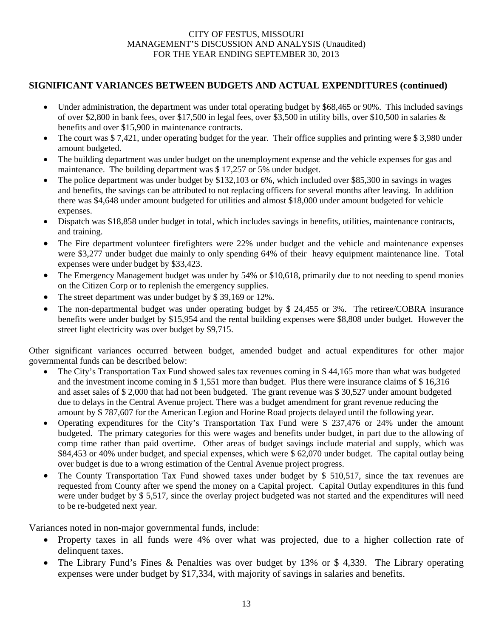# **SIGNIFICANT VARIANCES BETWEEN BUDGETS AND ACTUAL EXPENDITURES (continued)**

- Under administration, the department was under total operating budget by \$68,465 or 90%. This included savings of over \$2,800 in bank fees, over \$17,500 in legal fees, over \$3,500 in utility bills, over \$10,500 in salaries & benefits and over \$15,900 in maintenance contracts.
- The court was \$7,421, under operating budget for the year. Their office supplies and printing were \$3,980 under amount budgeted.
- The building department was under budget on the unemployment expense and the vehicle expenses for gas and maintenance. The building department was \$ 17,257 or 5% under budget.
- The police department was under budget by \$132,103 or 6%, which included over \$85,300 in savings in wages and benefits, the savings can be attributed to not replacing officers for several months after leaving. In addition there was \$4,648 under amount budgeted for utilities and almost \$18,000 under amount budgeted for vehicle expenses.
- Dispatch was \$18,858 under budget in total, which includes savings in benefits, utilities, maintenance contracts, and training.
- The Fire department volunteer firefighters were 22% under budget and the vehicle and maintenance expenses were \$3,277 under budget due mainly to only spending 64% of their heavy equipment maintenance line. Total expenses were under budget by \$33,423.
- The Emergency Management budget was under by 54% or \$10,618, primarily due to not needing to spend monies on the Citizen Corp or to replenish the emergency supplies.
- The street department was under budget by \$39,169 or 12%.
- The non-departmental budget was under operating budget by \$ 24,455 or 3%. The retiree/COBRA insurance benefits were under budget by \$15,954 and the rental building expenses were \$8,808 under budget. However the street light electricity was over budget by \$9,715.

Other significant variances occurred between budget, amended budget and actual expenditures for other major governmental funds can be described below:

- The City's Transportation Tax Fund showed sales tax revenues coming in \$ 44,165 more than what was budgeted and the investment income coming in \$ 1,551 more than budget. Plus there were insurance claims of \$ 16,316 and asset sales of \$ 2,000 that had not been budgeted. The grant revenue was \$ 30,527 under amount budgeted due to delays in the Central Avenue project. There was a budget amendment for grant revenue reducing the amount by \$ 787,607 for the American Legion and Horine Road projects delayed until the following year.
- Operating expenditures for the City's Transportation Tax Fund were \$ 237,476 or 24% under the amount budgeted. The primary categories for this were wages and benefits under budget, in part due to the allowing of comp time rather than paid overtime. Other areas of budget savings include material and supply, which was \$84,453 or 40% under budget, and special expenses, which were \$ 62,070 under budget. The capital outlay being over budget is due to a wrong estimation of the Central Avenue project progress.
- The County Transportation Tax Fund showed taxes under budget by \$ 510,517, since the tax revenues are requested from County after we spend the money on a Capital project. Capital Outlay expenditures in this fund were under budget by \$ 5,517, since the overlay project budgeted was not started and the expenditures will need to be re-budgeted next year.

Variances noted in non-major governmental funds, include:

- Property taxes in all funds were 4% over what was projected, due to a higher collection rate of delinquent taxes.
- The Library Fund's Fines & Penalties was over budget by 13% or \$ 4,339. The Library operating expenses were under budget by \$17,334, with majority of savings in salaries and benefits.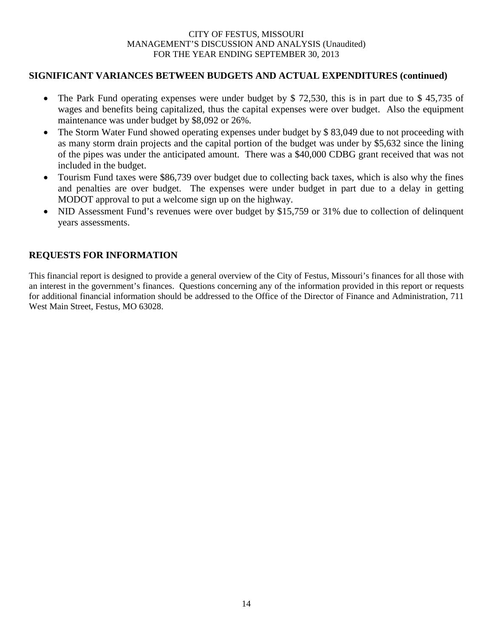# **SIGNIFICANT VARIANCES BETWEEN BUDGETS AND ACTUAL EXPENDITURES (continued)**

- The Park Fund operating expenses were under budget by \$ 72,530, this is in part due to \$45,735 of wages and benefits being capitalized, thus the capital expenses were over budget. Also the equipment maintenance was under budget by \$8,092 or 26%.
- The Storm Water Fund showed operating expenses under budget by \$83,049 due to not proceeding with as many storm drain projects and the capital portion of the budget was under by \$5,632 since the lining of the pipes was under the anticipated amount. There was a \$40,000 CDBG grant received that was not included in the budget.
- Tourism Fund taxes were \$86,739 over budget due to collecting back taxes, which is also why the fines and penalties are over budget. The expenses were under budget in part due to a delay in getting MODOT approval to put a welcome sign up on the highway.
- NID Assessment Fund's revenues were over budget by \$15,759 or 31% due to collection of delinquent years assessments.

# **REQUESTS FOR INFORMATION**

This financial report is designed to provide a general overview of the City of Festus, Missouri's finances for all those with an interest in the government's finances. Questions concerning any of the information provided in this report or requests for additional financial information should be addressed to the Office of the Director of Finance and Administration, 711 West Main Street, Festus, MO 63028.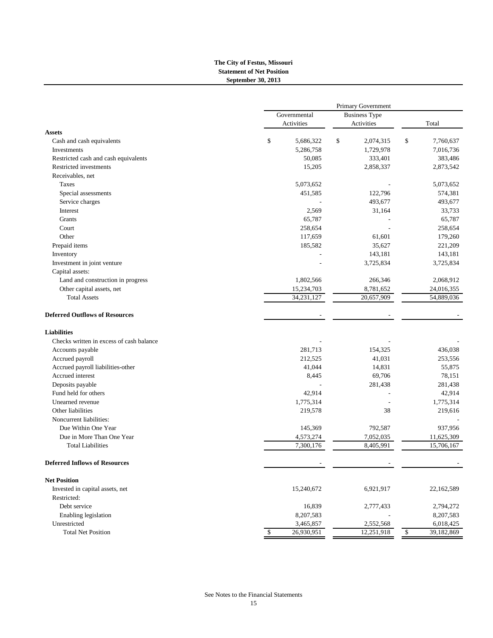#### **The City of Festus, Missouri Statement of Net Position September 30, 2013**

|                                          |                            | Primary Government   |                             |
|------------------------------------------|----------------------------|----------------------|-----------------------------|
|                                          | Governmental               | <b>Business Type</b> |                             |
|                                          | Activities                 | Activities           | Total                       |
| <b>Assets</b>                            |                            |                      |                             |
| Cash and cash equivalents                | \$<br>5,686,322            | \$<br>2,074,315      | \$<br>7,760,637             |
| Investments                              | 5,286,758                  | 1,729,978            | 7,016,736                   |
| Restricted cash and cash equivalents     | 50,085                     | 333,401              | 383,486                     |
| Restricted investments                   | 15,205                     | 2,858,337            | 2,873,542                   |
| Receivables, net                         |                            |                      |                             |
| Taxes                                    | 5,073,652                  |                      | 5,073,652                   |
| Special assessments                      | 451,585                    | 122,796              | 574,381                     |
| Service charges                          |                            | 493,677              | 493,677                     |
| Interest                                 | 2,569                      | 31,164               | 33,733                      |
| Grants                                   | 65,787                     |                      | 65,787                      |
| Court                                    | 258,654                    |                      | 258,654                     |
| Other                                    | 117,659                    | 61,601               | 179,260                     |
| Prepaid items                            | 185,582                    | 35,627               | 221,209                     |
| Inventory                                |                            | 143,181              | 143,181                     |
| Investment in joint venture              |                            | 3,725,834            | 3,725,834                   |
| Capital assets:                          |                            |                      |                             |
| Land and construction in progress        | 1,802,566                  | 266,346              | 2,068,912                   |
| Other capital assets, net                | 15,234,703                 | 8,781,652            | 24,016,355                  |
| <b>Total Assets</b>                      | 34,231,127                 | 20,657,909           | 54,889,036                  |
| <b>Deferred Outflows of Resources</b>    |                            |                      |                             |
| <b>Liabilities</b>                       |                            |                      |                             |
| Checks written in excess of cash balance |                            |                      |                             |
| Accounts payable                         | 281,713                    | 154,325              | 436,038                     |
| Accrued payroll                          | 212,525                    | 41,031               | 253,556                     |
| Accrued payroll liabilities-other        | 41,044                     | 14,831               | 55,875                      |
| Accrued interest                         | 8,445                      | 69,706               | 78,151                      |
| Deposits payable                         |                            | 281,438              | 281,438                     |
| Fund held for others                     | 42,914                     |                      | 42,914                      |
| Unearned revenue                         | 1,775,314                  |                      | 1,775,314                   |
| Other liabilities                        | 219,578                    | 38                   | 219,616                     |
| Noncurrent liabilities:                  |                            |                      |                             |
| Due Within One Year                      | 145,369                    | 792,587              | 937,956                     |
| Due in More Than One Year                | 4,573,274                  | 7,052,035            | 11,625,309                  |
| <b>Total Liabilities</b>                 | 7,300,176                  | 8,405,991            | 15,706,167                  |
| <b>Deferred Inflows of Resources</b>     |                            |                      |                             |
|                                          |                            |                      |                             |
| <b>Net Position</b>                      |                            |                      |                             |
| Invested in capital assets, net          | 15,240,672                 | 6,921,917            | 22,162,589                  |
| Restricted:                              |                            |                      |                             |
| Debt service                             | 16,839                     | 2,777,433            | 2,794,272                   |
| Enabling legislation                     | 8,207,583                  |                      | 8,207,583                   |
| Unrestricted                             | 3,465,857                  | 2,552,568            | 6,018,425                   |
| <b>Total Net Position</b>                | $\mathbb{S}$<br>26,930,951 | 12,251,918           | $\mathbf{\$}$<br>39,182,869 |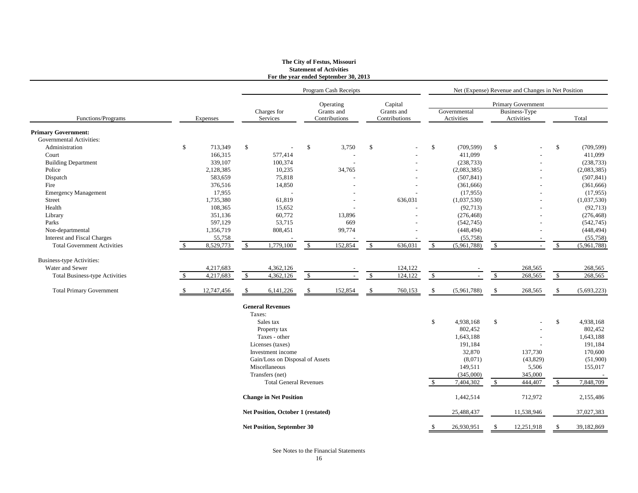|                                                                                              |    |                                                         |               |                                                                                                                                                                                                                                  |            | saariiriit ol Achvine<br>For the year ended September 30, 2013 |               |                             |                                                   |                                                                                                        |                    |                                                    |                    |                                                                                             |
|----------------------------------------------------------------------------------------------|----|---------------------------------------------------------|---------------|----------------------------------------------------------------------------------------------------------------------------------------------------------------------------------------------------------------------------------|------------|----------------------------------------------------------------|---------------|-----------------------------|---------------------------------------------------|--------------------------------------------------------------------------------------------------------|--------------------|----------------------------------------------------|--------------------|---------------------------------------------------------------------------------------------|
|                                                                                              |    |                                                         |               |                                                                                                                                                                                                                                  |            | Program Cash Receipts                                          |               |                             | Net (Expense) Revenue and Changes in Net Position |                                                                                                        |                    |                                                    |                    |                                                                                             |
|                                                                                              |    | Expenses                                                |               | Charges for<br>Services                                                                                                                                                                                                          |            | Operating                                                      |               | Capital                     | Primary Government                                |                                                                                                        |                    |                                                    |                    |                                                                                             |
| Functions/Programs                                                                           |    |                                                         |               |                                                                                                                                                                                                                                  |            | Grants and<br>Contributions                                    |               | Grants and<br>Contributions |                                                   | Governmental<br>Activities                                                                             |                    | Business-Type<br>Activities                        |                    | Total                                                                                       |
| <b>Primary Government:</b><br>Governmental Activities:<br>Administration<br>Court            | \$ | 713,349<br>166,315                                      | \$            | 577,414                                                                                                                                                                                                                          | \$         | 3,750                                                          | \$            |                             | $\mathbf S$                                       | (709, 599)<br>411,099                                                                                  | \$                 |                                                    | \$                 | (709, 599)<br>411,099                                                                       |
| <b>Building Department</b><br>Police<br>Dispatch<br>Fire<br><b>Emergency Management</b>      |    | 339,107<br>2,128,385<br>583,659<br>376,516<br>17,955    |               | 100,374<br>10,235<br>75,818<br>14,850                                                                                                                                                                                            |            | 34,765                                                         |               |                             |                                                   | (238, 733)<br>(2,083,385)<br>(507, 841)<br>(361, 666)<br>(17,955)                                      |                    |                                                    |                    | (238, 733)<br>(2,083,385)<br>(507, 841)<br>(361, 666)<br>(17, 955)                          |
| Street<br>Health<br>Library<br>Parks<br>Non-departmental                                     |    | 1,735,380<br>108,365<br>351,136<br>597,129<br>1,356,719 |               | 61,819<br>15,652<br>60,772<br>53,715<br>808,451                                                                                                                                                                                  |            | 13,896<br>669<br>99,774                                        |               | 636,031                     |                                                   | (1,037,530)<br>(92, 713)<br>(276, 468)<br>(542, 745)<br>(448, 494)                                     |                    |                                                    |                    | (1,037,530)<br>(92, 713)<br>(276, 468)<br>(542, 745)<br>(448, 494)                          |
| <b>Interest and Fiscal Charges</b><br><b>Total Government Activities</b>                     |    | 55,758<br>8,529,773                                     | \$            | 1,779,100                                                                                                                                                                                                                        | \$         | 152,854                                                        | \$            | 636,031                     | \$                                                | (55,758)<br>(5,961,788)                                                                                | \$                 |                                                    | $\mathbf{\$}$      | (55,758)<br>(5,961,788)                                                                     |
| <b>Business-type Activities:</b><br>Water and Sewer<br><b>Total Business-type Activities</b> | -S | 4,217,683<br>4,217,683                                  | \$            | 4,362,126<br>4,362,126                                                                                                                                                                                                           | $\sqrt{3}$ | $\sim$                                                         | $\mathcal{S}$ | 124,122<br>124,122          | \$                                                | $\omega$                                                                                               | $\sqrt[6]{3}$      | 268,565<br>268,565                                 | $\frac{1}{2}$      | 268,565<br>268,565                                                                          |
| <b>Total Primary Government</b>                                                              |    | 12,747,456                                              | $\mathbf{\$}$ | 6,141,226                                                                                                                                                                                                                        | \$         | 152,854                                                        | \$            | 760,153                     | \$                                                | (5,961,788)                                                                                            | $\mathbb{S}$       | 268,565                                            | \$                 | (5,693,223)                                                                                 |
|                                                                                              |    |                                                         |               | <b>General Revenues</b><br>Taxes:<br>Sales tax<br>Property tax<br>Taxes - other<br>Licenses (taxes)<br>Investment income<br>Gain/Loss on Disposal of Assets<br>Miscellaneous<br>Transfers (net)<br><b>Total General Revenues</b> |            |                                                                |               |                             | \$                                                | 4,938,168<br>802,452<br>1,643,188<br>191,184<br>32,870<br>(8,071)<br>149,511<br>(345,000)<br>7,404,302 | \$<br>$\mathbb{S}$ | 137,730<br>(43,829)<br>5,506<br>345,000<br>444,407 | \$<br>$\mathbb{S}$ | 4,938,168<br>802,452<br>1,643,188<br>191,184<br>170,600<br>(51,900)<br>155,017<br>7,848,709 |
|                                                                                              |    |                                                         |               | <b>Change in Net Position</b>                                                                                                                                                                                                    |            |                                                                |               |                             |                                                   | 1,442,514                                                                                              |                    | 712,972                                            |                    | 2,155,486                                                                                   |
|                                                                                              |    |                                                         |               | Net Position, October 1 (restated)                                                                                                                                                                                               |            |                                                                |               |                             |                                                   | 25,488,437<br>11,538,946                                                                               |                    |                                                    |                    | 37,027,383                                                                                  |

# **The City of Festus, Missouri Statement of Activities**

See Notes to the Financial Statements

**Net Position, September 30 8** 26,930,951 **\$** 12,251,918 **\$** 39,182,869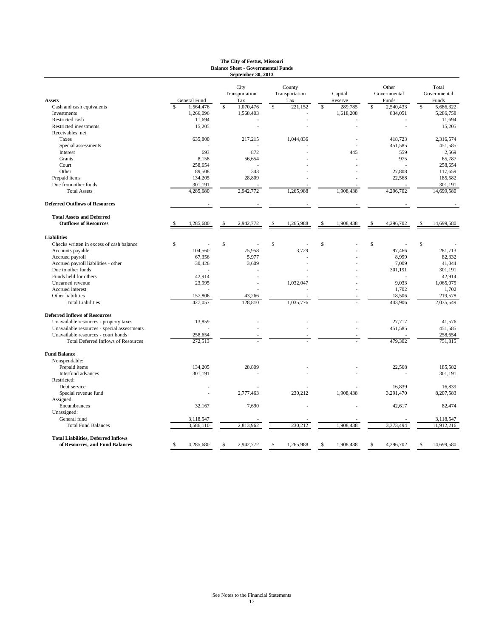| The City of Festus, Missouri<br><b>Balance Sheet - Governmental Funds</b><br>September 30, 2013 |                            |               |                               |    |                                 |              |                    |               |                                |                         |                                |  |
|-------------------------------------------------------------------------------------------------|----------------------------|---------------|-------------------------------|----|---------------------------------|--------------|--------------------|---------------|--------------------------------|-------------------------|--------------------------------|--|
| <b>Assets</b>                                                                                   | General Fund               |               | City<br>Transportation<br>Tax |    | County<br>Transportation<br>Tax |              | Capital<br>Reserve |               | Other<br>Governmental<br>Funds |                         | Total<br>Governmental<br>Funds |  |
| Cash and cash equivalents                                                                       | $\mathcal{S}$<br>1,564,476 | \$.           | 1,070,476                     | \$ | 221,152                         | $\mathbb{S}$ | 289,785            | \$            | 2,540,433                      | $\overline{\mathbf{s}}$ | 5,686,322                      |  |
| Investments                                                                                     | 1,266,096                  |               | 1,568,403                     |    |                                 |              | 1,618,208          |               | 834,051                        |                         | 5,286,758                      |  |
| Restricted cash                                                                                 | 11,694                     |               |                               |    |                                 |              |                    |               |                                |                         | 11,694                         |  |
| Restricted investments                                                                          | 15,205                     |               | Ĭ.                            |    |                                 |              |                    |               |                                |                         | 15,205                         |  |
| Receivables, net                                                                                |                            |               |                               |    |                                 |              |                    |               |                                |                         |                                |  |
| Taxes                                                                                           | 635,800                    |               | 217,215                       |    | 1,044,836                       |              |                    |               | 418,723                        |                         | 2,316,574                      |  |
| Special assessments                                                                             |                            |               |                               |    |                                 |              |                    |               | 451,585                        |                         | 451,585                        |  |
| Interest                                                                                        | 693                        |               | 872                           |    |                                 |              | 445                |               | 559                            |                         | 2,569                          |  |
| Grants                                                                                          | 8,158                      |               | 56,654                        |    |                                 |              |                    |               | 975                            |                         | 65,787                         |  |
| Court                                                                                           | 258,654                    |               |                               |    |                                 |              |                    |               |                                |                         | 258,654                        |  |
| Other                                                                                           | 89,508                     |               | 343                           |    |                                 |              |                    |               | 27,808                         |                         |                                |  |
|                                                                                                 |                            |               |                               |    |                                 |              |                    |               |                                |                         | 117,659                        |  |
| Prepaid items                                                                                   | 134,205                    |               | 28,809                        |    |                                 |              |                    |               | 22,568                         |                         | 185,582                        |  |
| Due from other funds                                                                            | 301,191                    |               |                               |    |                                 |              |                    |               |                                |                         | 301,191                        |  |
| <b>Total Assets</b>                                                                             | 4,285,680                  |               | 2,942,772                     |    | 1,265,988                       |              | 1,908,438          |               | 4,296,702                      |                         | 14,699,580                     |  |
| <b>Deferred Outflows of Resources</b>                                                           |                            |               |                               |    |                                 |              |                    |               |                                |                         |                                |  |
| <b>Total Assets and Deferred</b><br><b>Outflows of Resources</b>                                | 4,285,680                  | \$            | 2,942,772                     | \$ | 1,265,988                       | \$           | 1,908,438          | <sup>\$</sup> | 4,296,702                      | S                       | 14,699,580                     |  |
| <b>Liabilities</b>                                                                              |                            |               |                               |    |                                 |              |                    |               |                                |                         |                                |  |
| Checks written in excess of cash balance                                                        | \$                         | $\mathsf{\$}$ |                               | \$ |                                 | \$           |                    | \$            |                                | \$                      |                                |  |
| Accounts payable                                                                                | 104,560                    |               | 75,958                        |    | 3,729                           |              |                    |               | 97,466                         |                         | 281,713                        |  |
| Accrued payroll                                                                                 | 67,356                     |               | 5,977                         |    |                                 |              |                    |               | 8,999                          |                         | 82,332                         |  |
| Accrued payroll liabilities - other                                                             | 30,426                     |               | 3,609                         |    |                                 |              |                    |               | 7,009                          |                         | 41,044                         |  |
| Due to other funds                                                                              |                            |               |                               |    |                                 |              |                    |               | 301,191                        |                         | 301,191                        |  |
| Funds held for others                                                                           | 42,914                     |               |                               |    |                                 |              |                    |               |                                |                         | 42,914                         |  |
| Unearned revenue                                                                                | 23,995                     |               |                               |    | 1,032,047                       |              |                    |               | 9,033                          |                         | 1,065,075                      |  |
| Accrued interest                                                                                |                            |               |                               |    |                                 |              |                    |               | 1,702                          |                         | 1,702                          |  |
| Other liabilities                                                                               | 157,806                    |               | 43,266                        |    |                                 |              |                    |               | 18,506                         |                         | 219,578                        |  |
|                                                                                                 | 427,057                    |               | 128,810                       |    | 1,035,776                       |              |                    |               | 443,906                        |                         | 2,035,549                      |  |
| <b>Total Liabilities</b>                                                                        |                            |               |                               |    |                                 |              |                    |               |                                |                         |                                |  |
| <b>Deferred Inflows of Resources</b><br>Unavailable resources - property taxes                  | 13,859                     |               |                               |    |                                 |              |                    |               | 27,717                         |                         | 41,576                         |  |
|                                                                                                 |                            |               |                               |    |                                 |              |                    |               |                                |                         |                                |  |
| Unavailable resources - special assessments                                                     |                            |               |                               |    |                                 |              |                    |               | 451,585                        |                         | 451,585                        |  |
| Unavailable resources - court bonds                                                             | 258,654                    |               |                               |    |                                 |              |                    |               |                                |                         | 258,654                        |  |
| <b>Total Deferred Inflows of Resources</b>                                                      | 272,513                    |               |                               |    |                                 |              |                    |               | 479.302                        |                         | 751,815                        |  |
| <b>Fund Balance</b>                                                                             |                            |               |                               |    |                                 |              |                    |               |                                |                         |                                |  |
| Nonspendable:                                                                                   |                            |               |                               |    |                                 |              |                    |               |                                |                         |                                |  |
| Prepaid items                                                                                   | 134,205                    |               | 28,809                        |    |                                 |              |                    |               | 22,568                         |                         | 185,582                        |  |
| Interfund advances                                                                              | 301,191                    |               |                               |    |                                 |              |                    |               |                                |                         | 301,191                        |  |
| Restricted:                                                                                     |                            |               |                               |    |                                 |              |                    |               |                                |                         |                                |  |
| Debt service                                                                                    |                            |               |                               |    |                                 |              |                    |               | 16.839                         |                         | 16.839                         |  |
| Special revenue fund                                                                            |                            |               | 2,777,463                     |    | 230,212                         |              | 1,908,438          |               | 3,291,470                      |                         | 8,207,583                      |  |
| Assigned:                                                                                       |                            |               |                               |    |                                 |              |                    |               |                                |                         |                                |  |
| Encumbrances                                                                                    | 32,167                     |               | 7,690                         |    |                                 |              |                    |               | 42,617                         |                         | 82,474                         |  |
| Unassigned:                                                                                     |                            |               |                               |    |                                 |              |                    |               |                                |                         |                                |  |
| General fund                                                                                    | 3,118,547                  |               |                               |    |                                 |              |                    |               |                                |                         | 3,118,547                      |  |
| <b>Total Fund Balances</b>                                                                      | 3,586,110                  |               | 2,813,962                     |    | 230,212                         |              | 1,908,438          |               | 3,373,494                      |                         | 11,912,216                     |  |
| <b>Total Liabilities, Deferred Inflows</b>                                                      |                            |               |                               |    |                                 |              |                    |               |                                |                         |                                |  |
| of Resources, and Fund Balances                                                                 | \$<br>4,285,680            | \$            | 2,942,772                     |    | 1,265,988                       | \$.          | 1,908,438          |               | 4,296,702                      | \$                      | 14,699,580                     |  |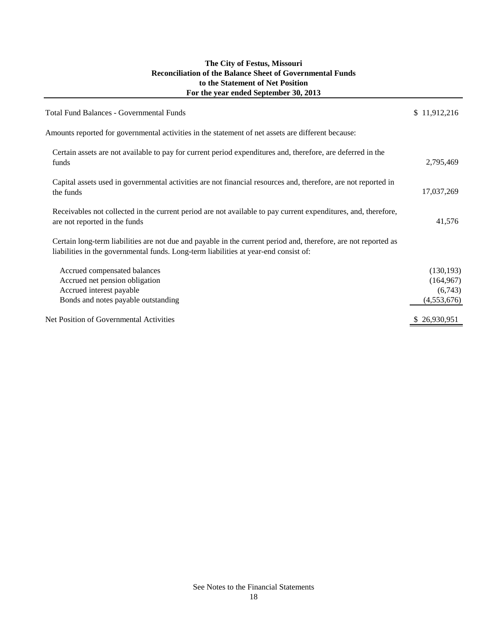# **The City of Festus, Missouri Reconciliation of the Balance Sheet of Governmental Funds to the Statement of Net Position For the year ended September 30, 2013**

| <b>Total Fund Balances - Governmental Funds</b>                                                                                                                                                         | \$11,912,216          |
|---------------------------------------------------------------------------------------------------------------------------------------------------------------------------------------------------------|-----------------------|
| Amounts reported for governmental activities in the statement of net assets are different because:                                                                                                      |                       |
| Certain assets are not available to pay for current period expenditures and, therefore, are deferred in the<br>funds                                                                                    | 2,795,469             |
| Capital assets used in governmental activities are not financial resources and, therefore, are not reported in<br>the funds                                                                             | 17,037,269            |
| Receivables not collected in the current period are not available to pay current expenditures, and, therefore,<br>are not reported in the funds                                                         | 41,576                |
| Certain long-term liabilities are not due and payable in the current period and, therefore, are not reported as<br>liabilities in the governmental funds. Long-term liabilities at year-end consist of: |                       |
| Accrued compensated balances                                                                                                                                                                            | (130, 193)            |
| Accrued net pension obligation<br>Accrued interest payable                                                                                                                                              | (164, 967)<br>(6,743) |
| Bonds and notes payable outstanding                                                                                                                                                                     | (4,553,676)           |
| Net Position of Governmental Activities                                                                                                                                                                 | \$26,930,951          |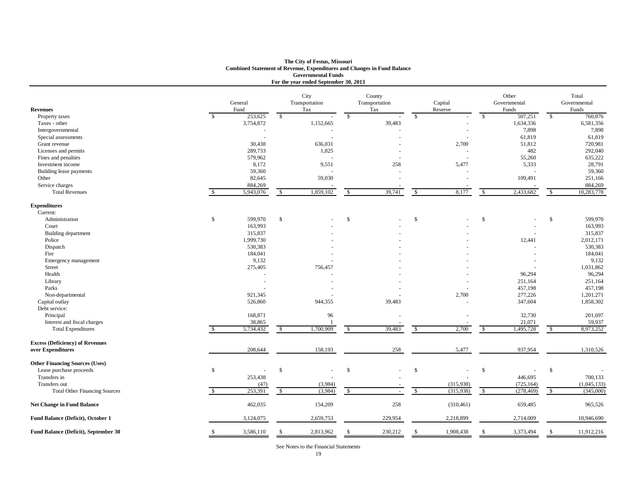| For the year ended September 30, 2013  |               |                 |              |                               |               |                                 |              |                    |               |                                |                          |                                |  |
|----------------------------------------|---------------|-----------------|--------------|-------------------------------|---------------|---------------------------------|--------------|--------------------|---------------|--------------------------------|--------------------------|--------------------------------|--|
| <b>Revenues</b>                        |               | General<br>Fund |              | City<br>Transportation<br>Tax |               | County<br>Transportation<br>Tax |              | Capital<br>Reserve |               | Other<br>Governmental<br>Funds |                          | Total<br>Governmental<br>Funds |  |
| Property taxes                         | <sup>\$</sup> | 253,625         | $\mathbb{S}$ |                               | \$            |                                 | \$           |                    | $\sqrt[6]{3}$ | 507,251                        | $\mathcal{S}$            | 760,876                        |  |
| Taxes - other                          |               | 3,754,872       |              | 1,152,665                     |               | 39,483                          |              |                    |               | 1,634,336                      |                          | 6,581,356                      |  |
| Intergovernmental                      |               |                 |              |                               |               |                                 |              |                    |               | 7,898                          |                          | 7,898                          |  |
| Special assessments                    |               |                 |              |                               |               |                                 |              |                    |               | 61,819                         |                          | 61,819                         |  |
| Grant revenue                          |               | 30,438          |              | 636,031                       |               |                                 |              | 2,700              |               | 51,812                         |                          | 720,981                        |  |
| Licenses and permits                   |               | 289,733         |              | 1,825                         |               |                                 |              |                    |               | 482                            |                          | 292,040                        |  |
| Fines and penalties                    |               | 579,962         |              | J.                            |               |                                 |              |                    |               | 55,260                         |                          | 635,222                        |  |
| Investment income                      |               | 8,172           |              | 9,551                         |               | 258                             |              | 5,477              |               | 5,333                          |                          | 28,791                         |  |
| Building lease payments                |               | 59,360          |              |                               |               |                                 |              |                    |               |                                |                          | 59,360                         |  |
| Other                                  |               | 82,645          |              | 59,030                        |               |                                 |              |                    |               | 109,491                        |                          | 251,166                        |  |
| Service charges                        |               | 884,269         |              |                               |               |                                 |              |                    |               |                                |                          | 884,269                        |  |
| <b>Total Revenues</b>                  | $\mathcal{S}$ | 5,943,076       | \$           | 1,859,102                     | \$            | 39,741                          | $\sqrt{2}$   | 8,177              | $\mathbb{S}$  | 2,433,682                      | $\overline{\mathcal{S}}$ | 10,283,778                     |  |
| <b>Expenditures</b>                    |               |                 |              |                               |               |                                 |              |                    |               |                                |                          |                                |  |
| Current:                               |               |                 |              |                               |               |                                 |              |                    |               |                                |                          |                                |  |
| Administration                         | \$            | 599,970         | \$           |                               | $\mathcal{S}$ |                                 | \$           |                    | \$            |                                | \$                       | 599,970                        |  |
| Court                                  |               | 163,993         |              |                               |               |                                 |              |                    |               |                                |                          | 163,993                        |  |
| Building department                    |               | 315,837         |              |                               |               |                                 |              |                    |               |                                |                          | 315,837                        |  |
| Police                                 |               | 1,999,730       |              |                               |               |                                 |              |                    |               | 12,441                         |                          | 2,012,171                      |  |
| Dispatch                               |               | 530,383         |              |                               |               |                                 |              |                    |               |                                |                          | 530,383                        |  |
| Fire                                   |               | 184,041         |              |                               |               |                                 |              |                    |               |                                |                          | 184,041                        |  |
|                                        |               | 9,132           |              |                               |               |                                 |              |                    |               |                                |                          | 9,132                          |  |
| Emergency management<br>Street         |               | 275,405         |              | 756,457                       |               |                                 |              |                    |               |                                |                          | 1,031,862                      |  |
| Health                                 |               |                 |              |                               |               |                                 |              |                    |               | 96,294                         |                          | 96,294                         |  |
|                                        |               |                 |              |                               |               |                                 |              |                    |               |                                |                          |                                |  |
| Library                                |               |                 |              |                               |               |                                 |              |                    |               | 251,164                        |                          | 251,164                        |  |
| Parks                                  |               |                 |              |                               |               |                                 |              |                    |               | 457,198                        |                          | 457,198                        |  |
| Non-departmental                       |               | 921,345         |              |                               |               |                                 |              | 2,700              |               | 277,226                        |                          | 1,201,271                      |  |
| Capital outlay                         |               | 526,860         |              | 944,355                       |               | 39,483                          |              |                    |               | 347,604                        |                          | 1,858,302                      |  |
| Debt service:                          |               |                 |              |                               |               |                                 |              |                    |               |                                |                          |                                |  |
| Principal                              |               | 168,871         |              | 96                            |               |                                 |              |                    |               | 32,730                         |                          | 201,697                        |  |
| Interest and fiscal charges            |               | 38,865          |              |                               |               |                                 |              |                    |               | 21,071                         |                          | 59,937                         |  |
| <b>Total Expenditures</b>              |               | 5,734,432       | $\mathbb{S}$ | 1,700,909                     | \$            | 39,483                          | $\mathbb{S}$ | 2,700              | \$            | 1,495,728                      | $\mathbb{S}$             | 8,973,252                      |  |
| <b>Excess (Deficiency) of Revenues</b> |               |                 |              |                               |               |                                 |              |                    |               |                                |                          |                                |  |
| over Expenditures                      |               | 208,644         |              | 158,193                       |               | 258                             |              | 5,477              |               | 937,954                        |                          | 1,310,526                      |  |
| <b>Other Financing Sources (Uses)</b>  |               |                 |              |                               |               |                                 |              |                    |               |                                |                          |                                |  |
| Lease purchase proceeds                | \$            |                 | \$           |                               | \$            |                                 | \$           | $\overline{a}$     | $\mathbb{S}$  | ÷,                             | $\mathbb{S}$             |                                |  |
| Transfers in                           |               | 253,438         |              |                               |               |                                 |              |                    |               | 446,695                        |                          | 700,133                        |  |
| Transfers out                          |               | (47)            |              | (3,984)                       |               |                                 |              | (315,938)          |               | (725, 164)                     |                          | (1,045,133)                    |  |
| <b>Total Other Financing Sources</b>   | \$            | 253,391         | \$           | (3,984)                       | \$            | $\overline{\phantom{a}}$        | \$           | (315,938)          | $\sqrt[6]{3}$ | (278, 469)                     | \$                       | (345,000)                      |  |
| <b>Net Change in Fund Balance</b>      |               | 462,035         |              | 154,209                       |               | 258                             |              | (310, 461)         |               | 659,485                        |                          | 965,526                        |  |
| Fund Balance (Deficit), October 1      |               | 3,124,075       |              | 2,659,753                     |               | 229,954                         |              | 2,218,899          |               | 2,714,009                      |                          | 10,946,690                     |  |
| Fund Balance (Deficit), September 30   | <sup>\$</sup> | 3,586,110       | -S           | 2,813,962                     | -S            | 230,212                         | \$           | 1,908,438          | -S            | 3,373,494                      | \$                       | 11,912,216                     |  |

#### **The City of Festus, Missouri Combined Statement of Revenue, Expenditures and Changes in Fund Balance Governmental Funds**

See Notes to the Financial Statements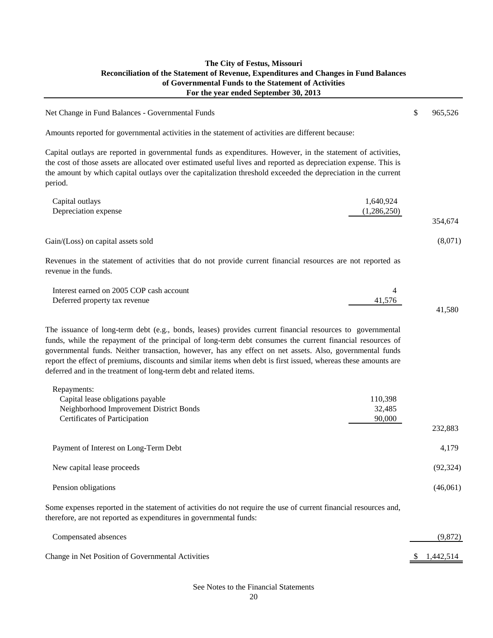### **The City of Festus, Missouri Reconciliation of the Statement of Revenue, Expenditures and Changes in Fund Balances of Governmental Funds to the Statement of Activities For the year ended September 30, 2013**

\$ 965,526

Net Change in Fund Balances - Governmental Funds

Amounts reported for governmental activities in the statement of activities are different because:

Capital outlays are reported in governmental funds as expenditures. However, in the statement of activities, the cost of those assets are allocated over estimated useful lives and reported as depreciation expense. This is the amount by which capital outlays over the capitalization threshold exceeded the depreciation in the current period.

| Capital outlays                    | 1.640.924   |
|------------------------------------|-------------|
| Depreciation expense               | (1,286,250) |
|                                    | 354,674     |
| Gain/(Loss) on capital assets sold | (8,071)     |

Revenues in the statement of activities that do not provide current financial resources are not reported as revenue in the funds.

| Interest earned on 2005 COP cash account |        |
|------------------------------------------|--------|
| Deferred property tax revenue            | 41.576 |
|                                          | 41.580 |

The issuance of long-term debt (e.g., bonds, leases) provides current financial resources to governmental funds, while the repayment of the principal of long-term debt consumes the current financial resources of governmental funds. Neither transaction, however, has any effect on net assets. Also, governmental funds report the effect of premiums, discounts and similar items when debt is first issued, whereas these amounts are deferred and in the treatment of long-term debt and related items.

| Repayments:                             |           |
|-----------------------------------------|-----------|
| Capital lease obligations payable       | 110,398   |
| Neighborhood Improvement District Bonds | 32,485    |
| Certificates of Participation           | 90,000    |
|                                         | 232,883   |
| Payment of Interest on Long-Term Debt   | 4,179     |
| New capital lease proceeds              | (92, 324) |
| Pension obligations                     | (46,061)  |

Some expenses reported in the statement of activities do not require the use of current financial resources and, therefore, are not reported as expenditures in governmental funds:

| Compensated absences                              | (9,872)     |
|---------------------------------------------------|-------------|
| Change in Net Position of Governmental Activities | \$1,442,514 |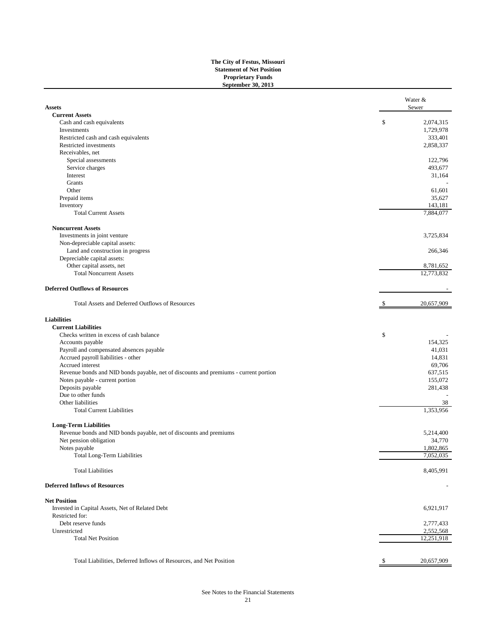#### **The City of Festus, Missouri Statement of Net Position Proprietary Funds September 30, 2013**

| <b>Assets</b>                                                                        | Water &<br>Sewer |
|--------------------------------------------------------------------------------------|------------------|
| <b>Current Assets</b>                                                                |                  |
| Cash and cash equivalents                                                            | \$<br>2,074,315  |
| Investments                                                                          | 1,729,978        |
| Restricted cash and cash equivalents                                                 | 333,401          |
| Restricted investments                                                               | 2,858,337        |
| Receivables, net                                                                     |                  |
| Special assessments                                                                  | 122,796          |
| Service charges                                                                      | 493,677          |
| Interest                                                                             | 31,164           |
| Grants                                                                               |                  |
| Other                                                                                | 61,601           |
| Prepaid items                                                                        | 35,627           |
|                                                                                      | 143,181          |
| Inventory                                                                            |                  |
| <b>Total Current Assets</b>                                                          | 7,884,077        |
| <b>Noncurrent Assets</b>                                                             | 3,725,834        |
| Investments in joint venture                                                         |                  |
| Non-depreciable capital assets:                                                      |                  |
| Land and construction in progress                                                    | 266,346          |
| Depreciable capital assets:                                                          |                  |
| Other capital assets, net                                                            | 8,781,652        |
| <b>Total Noncurrent Assets</b>                                                       | 12,773,832       |
| <b>Deferred Outflows of Resources</b>                                                |                  |
| <b>Total Assets and Deferred Outflows of Resources</b>                               | 20,657,909       |
| <b>Liabilities</b>                                                                   |                  |
| <b>Current Liabilities</b>                                                           |                  |
| Checks written in excess of cash balance                                             | \$               |
| Accounts payable                                                                     | 154,325          |
| Payroll and compensated absences payable                                             | 41,031           |
| Accrued payroll liabilities - other                                                  | 14,831           |
| Accrued interest                                                                     | 69,706           |
| Revenue bonds and NID bonds payable, net of discounts and premiums - current portion | 637,515          |
| Notes payable - current portion                                                      | 155,072          |
| Deposits payable                                                                     | 281,438          |
| Due to other funds                                                                   |                  |
| Other liabilities                                                                    |                  |
|                                                                                      | 38               |
| <b>Total Current Liabilities</b>                                                     | 1,353,956        |
| <b>Long-Term Liabilities</b>                                                         |                  |
| Revenue bonds and NID bonds payable, net of discounts and premiums                   | 5,214,400        |
| Net pension obligation                                                               | 34.770           |
| Notes payable                                                                        | 1,802,865        |
| <b>Total Long-Term Liabilities</b>                                                   | 7,052,035        |
| <b>Total Liabilities</b>                                                             | 8,405,991        |
| <b>Deferred Inflows of Resources</b>                                                 |                  |
| <b>Net Position</b>                                                                  |                  |
| Invested in Capital Assets, Net of Related Debt                                      | 6,921,917        |
| Restricted for:                                                                      |                  |
| Debt reserve funds                                                                   | 2,777,433        |
| Unrestricted                                                                         | 2,552,568        |
| <b>Total Net Position</b>                                                            | 12,251,918       |
|                                                                                      |                  |
| Total Liabilities, Deferred Inflows of Resources, and Net Position                   | \$<br>20,657,909 |
|                                                                                      |                  |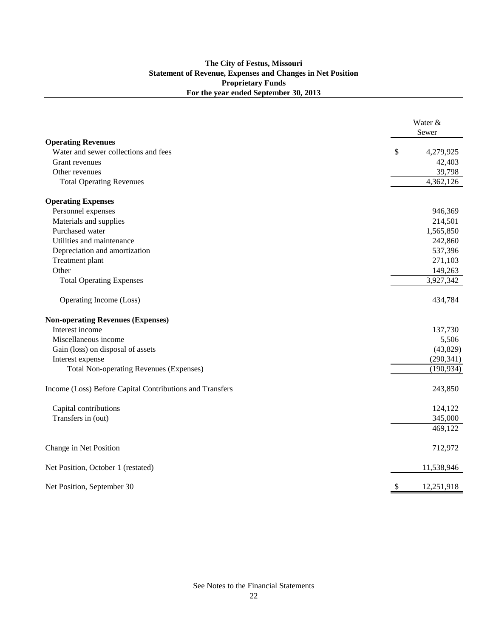|                                                          | Water &<br>Sewer |
|----------------------------------------------------------|------------------|
| <b>Operating Revenues</b>                                |                  |
| Water and sewer collections and fees                     | \$<br>4,279,925  |
| Grant revenues                                           | 42,403           |
| Other revenues                                           | 39,798           |
| <b>Total Operating Revenues</b>                          | 4,362,126        |
| <b>Operating Expenses</b>                                |                  |
| Personnel expenses                                       | 946,369          |
| Materials and supplies                                   | 214,501          |
| Purchased water                                          | 1,565,850        |
| Utilities and maintenance                                | 242,860          |
| Depreciation and amortization                            | 537,396          |
| Treatment plant                                          | 271,103          |
| Other                                                    | 149,263          |
| <b>Total Operating Expenses</b>                          | 3,927,342        |
| Operating Income (Loss)                                  | 434,784          |
| <b>Non-operating Revenues (Expenses)</b>                 |                  |
| Interest income                                          | 137,730          |
| Miscellaneous income                                     | 5,506            |
| Gain (loss) on disposal of assets                        | (43,829)         |
| Interest expense                                         | (290, 341)       |
| <b>Total Non-operating Revenues (Expenses)</b>           | (190, 934)       |
| Income (Loss) Before Capital Contributions and Transfers | 243,850          |
| Capital contributions                                    | 124,122          |
| Transfers in (out)                                       | 345,000          |
|                                                          | 469,122          |
| Change in Net Position                                   | 712,972          |
| Net Position, October 1 (restated)                       | 11,538,946       |
| Net Position, September 30                               | \$<br>12,251,918 |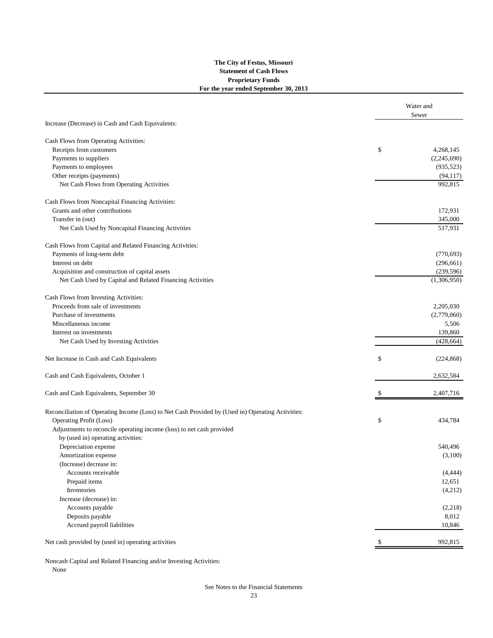#### **The City of Festus, Missouri Statement of Cash Flows Proprietary Funds For the year ended September 30, 2013**

|                                                                                                                                     |    | Water and<br>Sewer |  |
|-------------------------------------------------------------------------------------------------------------------------------------|----|--------------------|--|
| Increase (Decrease) in Cash and Cash Equivalents:                                                                                   |    |                    |  |
| Cash Flows from Operating Activities:                                                                                               |    |                    |  |
| Receipts from customers                                                                                                             | \$ | 4,268,145          |  |
| Payments to suppliers                                                                                                               |    | (2,245,690)        |  |
| Payments to employees                                                                                                               |    | (935, 523)         |  |
| Other receipts (payments)                                                                                                           |    | (94, 117)          |  |
| Net Cash Flows from Operating Activities                                                                                            |    | 992,815            |  |
| Cash Flows from Noncapital Financing Activities:                                                                                    |    |                    |  |
| Grants and other contributions                                                                                                      |    | 172,931            |  |
| Transfer in (out)                                                                                                                   |    | 345,000            |  |
| Net Cash Used by Noncapital Financing Activities                                                                                    |    | 517,931            |  |
| Cash Flows from Capital and Related Financing Activities:                                                                           |    |                    |  |
| Payments of long-term debt                                                                                                          |    | (770, 693)         |  |
| Interest on debt                                                                                                                    |    | (296, 661)         |  |
| Acquisition and construction of capital assets                                                                                      |    | (239, 596)         |  |
| Net Cash Used by Capital and Related Financing Activities                                                                           |    | (1,306,950)        |  |
| Cash Flows from Investing Activities:                                                                                               |    |                    |  |
| Proceeds from sale of investments                                                                                                   |    | 2,205,030          |  |
| Purchase of investments                                                                                                             |    | (2,779,060)        |  |
| Miscellaneous income                                                                                                                |    | 5,506              |  |
| Interest on investments                                                                                                             |    | 139,860            |  |
| Net Cash Used by Investing Activities                                                                                               |    | (428, 664)         |  |
| Net Increase in Cash and Cash Equivalents                                                                                           | \$ | (224, 868)         |  |
| Cash and Cash Equivalents, October 1                                                                                                |    | 2,632,584          |  |
| Cash and Cash Equivalents, September 30                                                                                             | S  | 2,407,716          |  |
|                                                                                                                                     |    |                    |  |
| Reconciliation of Operating Income (Loss) to Net Cash Provided by (Used in) Operating Activities:<br><b>Operating Profit (Loss)</b> | \$ | 434,784            |  |
| Adjustments to reconcile operating income (loss) to net cash provided                                                               |    |                    |  |
| by (used in) operating activities:                                                                                                  |    |                    |  |
| Depreciation expense                                                                                                                |    | 540,496            |  |
| Amortization expense                                                                                                                |    | (3,100)            |  |
| (Increase) decrease in:                                                                                                             |    |                    |  |
| Accounts receivable                                                                                                                 |    | (4, 444)           |  |
| Prepaid items                                                                                                                       |    | 12,651             |  |
| Inventories                                                                                                                         |    | (4,212)            |  |
| Increase (decrease) in:                                                                                                             |    |                    |  |
| Accounts payable                                                                                                                    |    | (2,218)            |  |
| Deposits payable                                                                                                                    |    | 8,012              |  |
| Accrued payroll liabilities                                                                                                         |    | 10,846             |  |
| Net cash provided by (used in) operating activities                                                                                 | \$ | 992,815            |  |
|                                                                                                                                     |    |                    |  |

Noncash Capital and Related Financing and/or Investing Activities:

None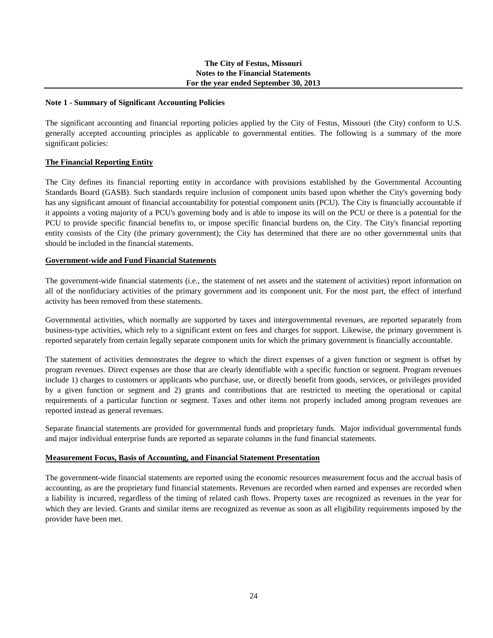#### **Note 1 - Summary of Significant Accounting Policies**

The significant accounting and financial reporting policies applied by the City of Festus, Missouri (the City) conform to U.S. generally accepted accounting principles as applicable to governmental entities. The following is a summary of the more significant policies:

### **The Financial Reporting Entity**

The City defines its financial reporting entity in accordance with provisions established by the Governmental Accounting Standards Board (GASB). Such standards require inclusion of component units based upon whether the City's governing body has any significant amount of financial accountability for potential component units (PCU). The City is financially accountable if it appoints a voting majority of a PCU's governing body and is able to impose its will on the PCU or there is a potential for the PCU to provide specific financial benefits to, or impose specific financial burdens on, the City. The City's financial reporting entity consists of the City (the primary government); the City has determined that there are no other governmental units that should be included in the financial statements.

#### **Government-wide and Fund Financial Statements**

The government-wide financial statements (i.e., the statement of net assets and the statement of activities) report information on all of the nonfiduciary activities of the primary government and its component unit. For the most part, the effect of interfund activity has been removed from these statements.

Governmental activities, which normally are supported by taxes and intergovernmental revenues, are reported separately from business-type activities, which rely to a significant extent on fees and charges for support. Likewise, the primary government is reported separately from certain legally separate component units for which the primary government is financially accountable.

The statement of activities demonstrates the degree to which the direct expenses of a given function or segment is offset by program revenues. Direct expenses are those that are clearly identifiable with a specific function or segment. Program revenues include 1) charges to customers or applicants who purchase, use, or directly benefit from goods, services, or privileges provided by a given function or segment and 2) grants and contributions that are restricted to meeting the operational or capital requirements of a particular function or segment. Taxes and other items not properly included among program revenues are reported instead as general revenues.

Separate financial statements are provided for governmental funds and proprietary funds. Major individual governmental funds and major individual enterprise funds are reported as separate columns in the fund financial statements.

#### **Measurement Focus, Basis of Accounting, and Financial Statement Presentation**

The government-wide financial statements are reported using the economic resources measurement focus and the accrual basis of accounting, as are the proprietary fund financial statements. Revenues are recorded when earned and expenses are recorded when a liability is incurred, regardless of the timing of related cash flows. Property taxes are recognized as revenues in the year for which they are levied. Grants and similar items are recognized as revenue as soon as all eligibility requirements imposed by the provider have been met.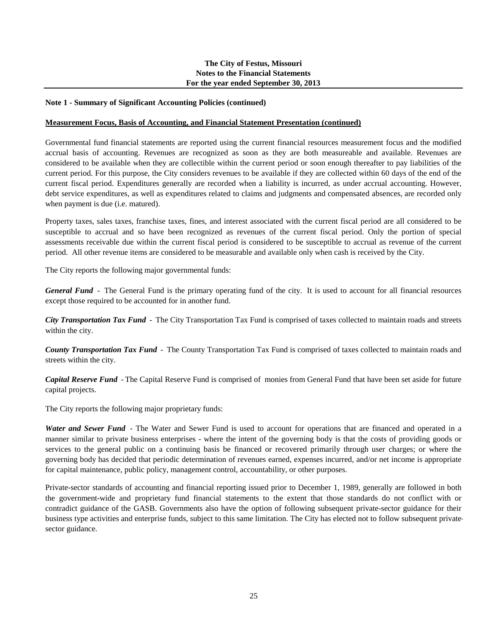### **The City of Festus, Missouri Notes to the Financial Statements For the year ended September 30, 2013**

#### **Note 1 - Summary of Significant Accounting Policies (continued)**

#### **Measurement Focus, Basis of Accounting, and Financial Statement Presentation (continued)**

Governmental fund financial statements are reported using the current financial resources measurement focus and the modified accrual basis of accounting. Revenues are recognized as soon as they are both measureable and available. Revenues are considered to be available when they are collectible within the current period or soon enough thereafter to pay liabilities of the current period. For this purpose, the City considers revenues to be available if they are collected within 60 days of the end of the current fiscal period. Expenditures generally are recorded when a liability is incurred, as under accrual accounting. However, debt service expenditures, as well as expenditures related to claims and judgments and compensated absences, are recorded only when payment is due (i.e. matured).

Property taxes, sales taxes, franchise taxes, fines, and interest associated with the current fiscal period are all considered to be susceptible to accrual and so have been recognized as revenues of the current fiscal period. Only the portion of special assessments receivable due within the current fiscal period is considered to be susceptible to accrual as revenue of the current period. All other revenue items are considered to be measurable and available only when cash is received by the City.

The City reports the following major governmental funds:

*General Fund -* The General Fund is the primary operating fund of the city. It is used to account for all financial resources except those required to be accounted for in another fund.

*City Transportation Tax Fund -* The City Transportation Tax Fund is comprised of taxes collected to maintain roads and streets within the city.

*County Transportation Tax Fund -* The County Transportation Tax Fund is comprised of taxes collected to maintain roads and streets within the city.

*Capital Reserve Fund -* The Capital Reserve Fund is comprised of monies from General Fund that have been set aside for future capital projects.

The City reports the following major proprietary funds:

*Water and Sewer Fund* - The Water and Sewer Fund is used to account for operations that are financed and operated in a manner similar to private business enterprises - where the intent of the governing body is that the costs of providing goods or services to the general public on a continuing basis be financed or recovered primarily through user charges; or where the governing body has decided that periodic determination of revenues earned, expenses incurred, and/or net income is appropriate for capital maintenance, public policy, management control, accountability, or other purposes.

Private-sector standards of accounting and financial reporting issued prior to December 1, 1989, generally are followed in both the government-wide and proprietary fund financial statements to the extent that those standards do not conflict with or contradict guidance of the GASB. Governments also have the option of following subsequent private-sector guidance for their business type activities and enterprise funds, subject to this same limitation. The City has elected not to follow subsequent privatesector guidance.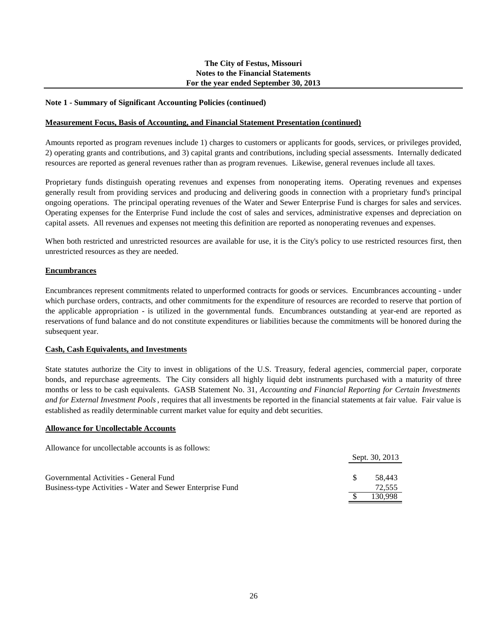### **The City of Festus, Missouri Notes to the Financial Statements For the year ended September 30, 2013**

#### **Note 1 - Summary of Significant Accounting Policies (continued)**

#### **Measurement Focus, Basis of Accounting, and Financial Statement Presentation (continued)**

Amounts reported as program revenues include 1) charges to customers or applicants for goods, services, or privileges provided, 2) operating grants and contributions, and 3) capital grants and contributions, including special assessments. Internally dedicated resources are reported as general revenues rather than as program revenues. Likewise, general revenues include all taxes.

Proprietary funds distinguish operating revenues and expenses from nonoperating items. Operating revenues and expenses generally result from providing services and producing and delivering goods in connection with a proprietary fund's principal ongoing operations. The principal operating revenues of the Water and Sewer Enterprise Fund is charges for sales and services. Operating expenses for the Enterprise Fund include the cost of sales and services, administrative expenses and depreciation on capital assets. All revenues and expenses not meeting this definition are reported as nonoperating revenues and expenses.

When both restricted and unrestricted resources are available for use, it is the City's policy to use restricted resources first, then unrestricted resources as they are needed.

#### **Encumbrances**

Encumbrances represent commitments related to unperformed contracts for goods or services. Encumbrances accounting - under which purchase orders, contracts, and other commitments for the expenditure of resources are recorded to reserve that portion of the applicable appropriation - is utilized in the governmental funds. Encumbrances outstanding at year-end are reported as reservations of fund balance and do not constitute expenditures or liabilities because the commitments will be honored during the subsequent year.

#### **Cash, Cash Equivalents, and Investments**

State statutes authorize the City to invest in obligations of the U.S. Treasury, federal agencies, commercial paper, corporate bonds, and repurchase agreements. The City considers all highly liquid debt instruments purchased with a maturity of three months or less to be cash equivalents. GASB Statement No. 31, *Accounting and Financial Reporting for Certain Investments and for External Investment Pools*, requires that all investments be reported in the financial statements at fair value. Fair value is established as readily determinable current market value for equity and debt securities.

#### **Allowance for Uncollectable Accounts**

Allowance for uncollectable accounts is as follows:

|                                                            |    | Sept. 30, 2013 |
|------------------------------------------------------------|----|----------------|
| Governmental Activities - General Fund                     | -8 | 58.443         |
| Business-type Activities - Water and Sewer Enterprise Fund |    | 72,555         |
|                                                            |    | 130.998        |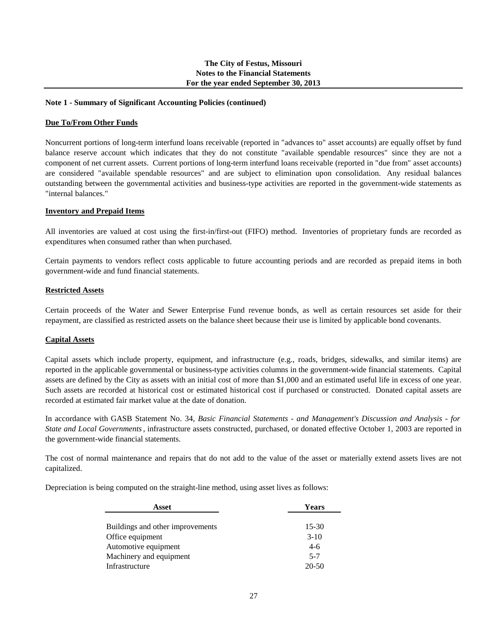#### **Due To/From Other Funds**

Noncurrent portions of long-term interfund loans receivable (reported in "advances to" asset accounts) are equally offset by fund balance reserve account which indicates that they do not constitute "available spendable resources" since they are not a component of net current assets. Current portions of long-term interfund loans receivable (reported in "due from" asset accounts) are considered "available spendable resources" and are subject to elimination upon consolidation. Any residual balances outstanding between the governmental activities and business-type activities are reported in the government-wide statements as "internal balances."

#### **Inventory and Prepaid Items**

All inventories are valued at cost using the first-in/first-out (FIFO) method. Inventories of proprietary funds are recorded as expenditures when consumed rather than when purchased.

Certain payments to vendors reflect costs applicable to future accounting periods and are recorded as prepaid items in both government-wide and fund financial statements.

#### **Restricted Assets**

Certain proceeds of the Water and Sewer Enterprise Fund revenue bonds, as well as certain resources set aside for their repayment, are classified as restricted assets on the balance sheet because their use is limited by applicable bond covenants.

#### **Capital Assets**

Capital assets which include property, equipment, and infrastructure (e.g., roads, bridges, sidewalks, and similar items) are reported in the applicable governmental or business-type activities columns in the government-wide financial statements. Capital assets are defined by the City as assets with an initial cost of more than \$1,000 and an estimated useful life in excess of one year. Such assets are recorded at historical cost or estimated historical cost if purchased or constructed. Donated capital assets are recorded at estimated fair market value at the date of donation.

In accordance with GASB Statement No. 34, *Basic Financial Statements - and Management's Discussion and Analysis - for State and Local Governments*, infrastructure assets constructed, purchased, or donated effective October 1, 2003 are reported in the government-wide financial statements.

The cost of normal maintenance and repairs that do not add to the value of the asset or materially extend assets lives are not capitalized.

Depreciation is being computed on the straight-line method, using asset lives as follows:

| Asset                            | <b>Years</b> |  |  |
|----------------------------------|--------------|--|--|
|                                  |              |  |  |
| Buildings and other improvements | $15 - 30$    |  |  |
| Office equipment                 | $3-10$       |  |  |
| Automotive equipment             | $4-6$        |  |  |
| Machinery and equipment          | $5 - 7$      |  |  |
| Infrastructure                   | $20 - 50$    |  |  |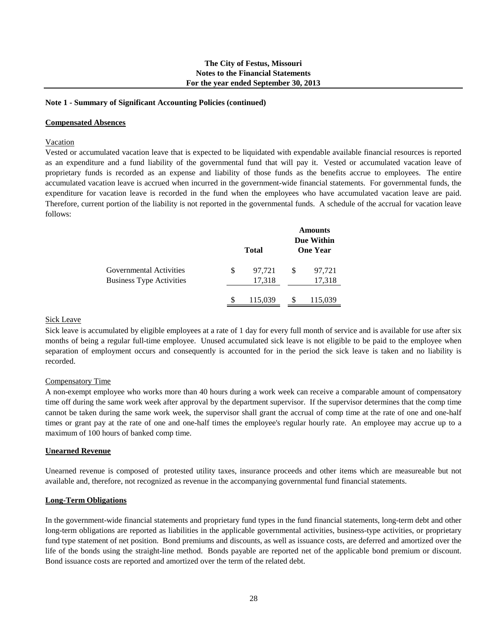#### **Compensated Absences**

#### Vacation

Vested or accumulated vacation leave that is expected to be liquidated with expendable available financial resources is reported as an expenditure and a fund liability of the governmental fund that will pay it. Vested or accumulated vacation leave of proprietary funds is recorded as an expense and liability of those funds as the benefits accrue to employees. The entire accumulated vacation leave is accrued when incurred in the government-wide financial statements. For governmental funds, the expenditure for vacation leave is recorded in the fund when the employees who have accumulated vacation leave are paid. Therefore, current portion of the liability is not reported in the governmental funds. A schedule of the accrual for vacation leave follows:

|                                                            |   | <b>Total</b>     |   | <b>Amounts</b><br>Due Within<br><b>One Year</b> |  |  |
|------------------------------------------------------------|---|------------------|---|-------------------------------------------------|--|--|
| Governmental Activities<br><b>Business Type Activities</b> | S | 97,721<br>17,318 | S | 97,721<br>17,318                                |  |  |
|                                                            |   | 115,039          |   | 115,039                                         |  |  |

#### Sick Leave

Sick leave is accumulated by eligible employees at a rate of 1 day for every full month of service and is available for use after six months of being a regular full-time employee. Unused accumulated sick leave is not eligible to be paid to the employee when separation of employment occurs and consequently is accounted for in the period the sick leave is taken and no liability is recorded.

#### Compensatory Time

A non-exempt employee who works more than 40 hours during a work week can receive a comparable amount of compensatory time off during the same work week after approval by the department supervisor. If the supervisor determines that the comp time cannot be taken during the same work week, the supervisor shall grant the accrual of comp time at the rate of one and one-half times or grant pay at the rate of one and one-half times the employee's regular hourly rate. An employee may accrue up to a maximum of 100 hours of banked comp time.

#### **Unearned Revenue**

Unearned revenue is composed of protested utility taxes, insurance proceeds and other items which are measureable but not available and, therefore, not recognized as revenue in the accompanying governmental fund financial statements.

#### **Long-Term Obligations**

In the government-wide financial statements and proprietary fund types in the fund financial statements, long-term debt and other long-term obligations are reported as liabilities in the applicable governmental activities, business-type activities, or proprietary fund type statement of net position. Bond premiums and discounts, as well as issuance costs, are deferred and amortized over the life of the bonds using the straight-line method. Bonds payable are reported net of the applicable bond premium or discount. Bond issuance costs are reported and amortized over the term of the related debt.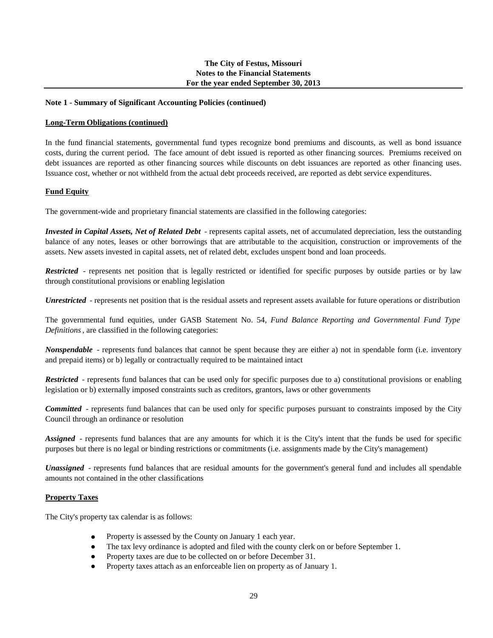#### **Long-Term Obligations (continued)**

In the fund financial statements, governmental fund types recognize bond premiums and discounts, as well as bond issuance costs, during the current period. The face amount of debt issued is reported as other financing sources. Premiums received on debt issuances are reported as other financing sources while discounts on debt issuances are reported as other financing uses. Issuance cost, whether or not withheld from the actual debt proceeds received, are reported as debt service expenditures.

#### **Fund Equity**

The government-wide and proprietary financial statements are classified in the following categories:

*Invested in Capital Assets, Net of Related Debt* - represents capital assets, net of accumulated depreciation, less the outstanding balance of any notes, leases or other borrowings that are attributable to the acquisition, construction or improvements of the assets. New assets invested in capital assets, net of related debt, excludes unspent bond and loan proceeds.

*Restricted* - represents net position that is legally restricted or identified for specific purposes by outside parties or by law through constitutional provisions or enabling legislation

*Unrestricted* - represents net position that is the residual assets and represent assets available for future operations or distribution

The governmental fund equities, under GASB Statement No. 54, *Fund Balance Reporting and Governmental Fund Type Definitions*, are classified in the following categories:

*Nonspendable* - represents fund balances that cannot be spent because they are either a) not in spendable form (i.e. inventory and prepaid items) or b) legally or contractually required to be maintained intact

*Restricted* - represents fund balances that can be used only for specific purposes due to a) constitutional provisions or enabling legislation or b) externally imposed constraints such as creditors, grantors, laws or other governments

*Committed* - represents fund balances that can be used only for specific purposes pursuant to constraints imposed by the City Council through an ordinance or resolution

*Assigned* - represents fund balances that are any amounts for which it is the City's intent that the funds be used for specific purposes but there is no legal or binding restrictions or commitments (i.e. assignments made by the City's management)

*Unassigned* - represents fund balances that are residual amounts for the government's general fund and includes all spendable amounts not contained in the other classifications

#### **Property Taxes**

The City's property tax calendar is as follows:

- Property is assessed by the County on January 1 each year.
- The tax levy ordinance is adopted and filed with the county clerk on or before September 1.
- Property taxes are due to be collected on or before December 31.
- Property taxes attach as an enforceable lien on property as of January 1.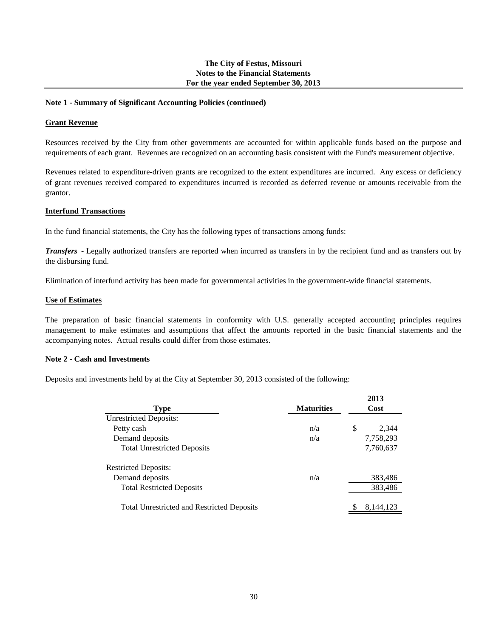#### **Grant Revenue**

Resources received by the City from other governments are accounted for within applicable funds based on the purpose and requirements of each grant. Revenues are recognized on an accounting basis consistent with the Fund's measurement objective.

Revenues related to expenditure-driven grants are recognized to the extent expenditures are incurred. Any excess or deficiency of grant revenues received compared to expenditures incurred is recorded as deferred revenue or amounts receivable from the grantor.

#### **Interfund Transactions**

In the fund financial statements, the City has the following types of transactions among funds:

*Transfers* - Legally authorized transfers are reported when incurred as transfers in by the recipient fund and as transfers out by the disbursing fund.

Elimination of interfund activity has been made for governmental activities in the government-wide financial statements.

#### **Use of Estimates**

The preparation of basic financial statements in conformity with U.S. generally accepted accounting principles requires management to make estimates and assumptions that affect the amounts reported in the basic financial statements and the accompanying notes. Actual results could differ from those estimates.

### **Note 2 - Cash and Investments**

Deposits and investments held by at the City at September 30, 2013 consisted of the following:

| <b>Type</b>                                       | <b>Maturities</b> | 2013<br>Cost |
|---------------------------------------------------|-------------------|--------------|
| <b>Unrestricted Deposits:</b>                     |                   |              |
| Petty cash                                        | n/a               | \$<br>2.344  |
| Demand deposits                                   | n/a               | 7,758,293    |
| <b>Total Unrestricted Deposits</b>                |                   | 7,760,637    |
| <b>Restricted Deposits:</b>                       |                   |              |
| Demand deposits                                   | n/a               | 383,486      |
| <b>Total Restricted Deposits</b>                  |                   | 383,486      |
| <b>Total Unrestricted and Restricted Deposits</b> |                   | 8,144,123    |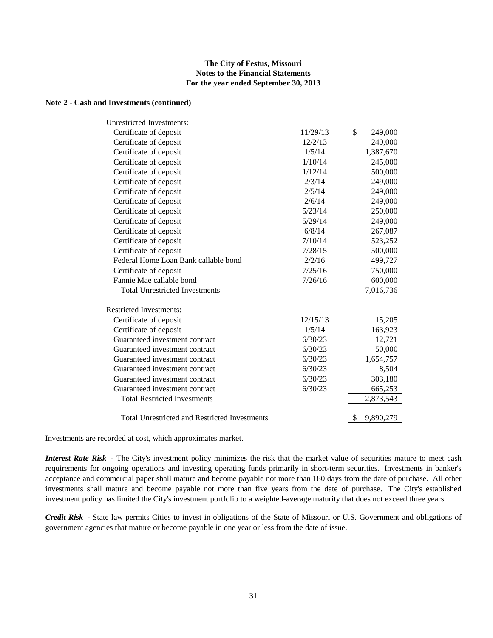#### **Note 2 - Cash and Investments (continued)**

| <b>Unrestricted Investments:</b>                     |          |               |
|------------------------------------------------------|----------|---------------|
| Certificate of deposit                               | 11/29/13 | \$<br>249,000 |
| Certificate of deposit                               | 12/2/13  | 249,000       |
| Certificate of deposit                               | 1/5/14   | 1,387,670     |
| Certificate of deposit                               | 1/10/14  | 245,000       |
| Certificate of deposit                               | 1/12/14  | 500,000       |
| Certificate of deposit                               | 2/3/14   | 249,000       |
| Certificate of deposit                               | 2/5/14   | 249,000       |
| Certificate of deposit                               | 2/6/14   | 249,000       |
| Certificate of deposit                               | 5/23/14  | 250,000       |
| Certificate of deposit                               | 5/29/14  | 249,000       |
| Certificate of deposit                               | 6/8/14   | 267,087       |
| Certificate of deposit                               | 7/10/14  | 523,252       |
| Certificate of deposit                               | 7/28/15  | 500,000       |
| Federal Home Loan Bank callable bond                 | 2/2/16   | 499,727       |
| Certificate of deposit                               | 7/25/16  | 750,000       |
| Fannie Mae callable bond                             | 7/26/16  | 600,000       |
| <b>Total Unrestricted Investments</b>                |          | 7,016,736     |
| <b>Restricted Investments:</b>                       |          |               |
| Certificate of deposit                               | 12/15/13 | 15,205        |
| Certificate of deposit                               | 1/5/14   | 163,923       |
| Guaranteed investment contract                       | 6/30/23  | 12,721        |
| Guaranteed investment contract                       | 6/30/23  | 50,000        |
| Guaranteed investment contract                       | 6/30/23  | 1,654,757     |
| Guaranteed investment contract                       | 6/30/23  | 8,504         |
| Guaranteed investment contract                       | 6/30/23  | 303,180       |
| Guaranteed investment contract                       | 6/30/23  | 665,253       |
| <b>Total Restricted Investments</b>                  |          | 2,873,543     |
| <b>Total Unrestricted and Restricted Investments</b> |          | 9,890,279     |

Investments are recorded at cost, which approximates market.

*Interest Rate Risk* - The City's investment policy minimizes the risk that the market value of securities mature to meet cash requirements for ongoing operations and investing operating funds primarily in short-term securities. Investments in banker's acceptance and commercial paper shall mature and become payable not more than 180 days from the date of purchase. All other investments shall mature and become payable not more than five years from the date of purchase. The City's established investment policy has limited the City's investment portfolio to a weighted-average maturity that does not exceed three years.

*Credit Risk* - State law permits Cities to invest in obligations of the State of Missouri or U.S. Government and obligations of government agencies that mature or become payable in one year or less from the date of issue.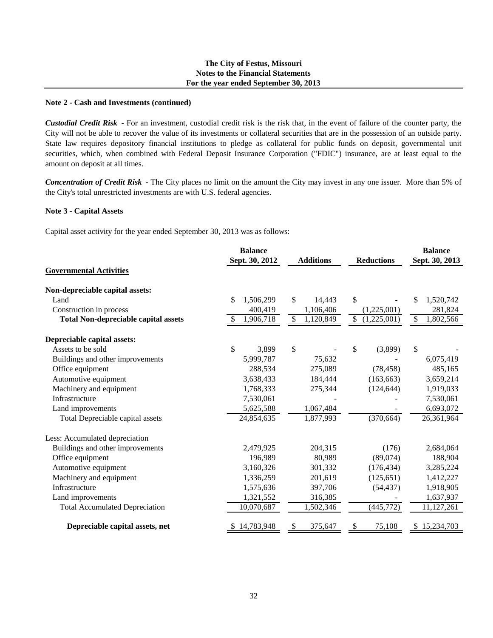### **The City of Festus, Missouri Notes to the Financial Statements For the year ended September 30, 2013**

#### **Note 2 - Cash and Investments (continued)**

*Custodial Credit Risk* - For an investment, custodial credit risk is the risk that, in the event of failure of the counter party, the City will not be able to recover the value of its investments or collateral securities that are in the possession of an outside party. State law requires depository financial institutions to pledge as collateral for public funds on deposit, governmental unit securities, which, when combined with Federal Deposit Insurance Corporation ("FDIC") insurance, are at least equal to the amount on deposit at all times.

*Concentration of Credit Risk* - The City places no limit on the amount the City may invest in any one issuer. More than 5% of the City's total unrestricted investments are with U.S. federal agencies.

#### **Note 3 - Capital Assets**

Capital asset activity for the year ended September 30, 2013 was as follows:

|                                             |    | <b>Balance</b><br>Sept. 30, 2012 |    | <b>Additions</b> |    | <b>Reductions</b> |    | <b>Balance</b><br>Sept. 30, 2013 |  |
|---------------------------------------------|----|----------------------------------|----|------------------|----|-------------------|----|----------------------------------|--|
| <b>Governmental Activities</b>              |    |                                  |    |                  |    |                   |    |                                  |  |
| Non-depreciable capital assets:             |    |                                  |    |                  |    |                   |    |                                  |  |
| Land                                        | \$ | 1,506,299                        | \$ | 14,443           | \$ |                   | \$ | 1,520,742                        |  |
| Construction in process                     |    | 400,419                          |    | 1,106,406        |    | (1,225,001)       |    | 281,824                          |  |
| <b>Total Non-depreciable capital assets</b> |    | 1,906,718                        | \$ | 1,120,849        | \$ | (1,225,001)       | \$ | 1,802,566                        |  |
| Depreciable capital assets:                 |    |                                  |    |                  |    |                   |    |                                  |  |
| Assets to be sold                           | \$ | 3,899                            | \$ |                  | \$ | (3,899)           | \$ |                                  |  |
| Buildings and other improvements            |    | 5,999,787                        |    | 75,632           |    |                   |    | 6,075,419                        |  |
| Office equipment                            |    | 288,534                          |    | 275,089          |    | (78, 458)         |    | 485,165                          |  |
| Automotive equipment                        |    | 3,638,433                        |    | 184,444          |    | (163, 663)        |    | 3,659,214                        |  |
| Machinery and equipment                     |    | 1,768,333                        |    | 275,344          |    | (124, 644)        |    | 1,919,033                        |  |
| Infrastructure                              |    | 7,530,061                        |    |                  |    |                   |    | 7,530,061                        |  |
| Land improvements                           |    | 5,625,588                        |    | 1,067,484        |    |                   |    | 6,693,072                        |  |
| Total Depreciable capital assets            |    | 24,854,635                       |    | 1,877,993        |    | (370, 664)        |    | 26,361,964                       |  |
| Less: Accumulated depreciation              |    |                                  |    |                  |    |                   |    |                                  |  |
| Buildings and other improvements            |    | 2,479,925                        |    | 204,315          |    | (176)             |    | 2,684,064                        |  |
| Office equipment                            |    | 196,989                          |    | 80,989           |    | (89,074)          |    | 188,904                          |  |
| Automotive equipment                        |    | 3,160,326                        |    | 301,332          |    | (176, 434)        |    | 3,285,224                        |  |
| Machinery and equipment                     |    | 1,336,259                        |    | 201,619          |    | (125, 651)        |    | 1,412,227                        |  |
| Infrastructure                              |    | 1,575,636                        |    | 397,706          |    | (54, 437)         |    | 1,918,905                        |  |
| Land improvements                           |    | 1,321,552                        |    | 316,385          |    |                   |    | 1,637,937                        |  |
| <b>Total Accumulated Depreciation</b>       |    | 10,070,687                       |    | 1,502,346        |    | (445, 772)        |    | 11,127,261                       |  |
| Depreciable capital assets, net             |    | 14,783,948                       | \$ | 375,647          | S  | 75,108            |    | \$15,234,703                     |  |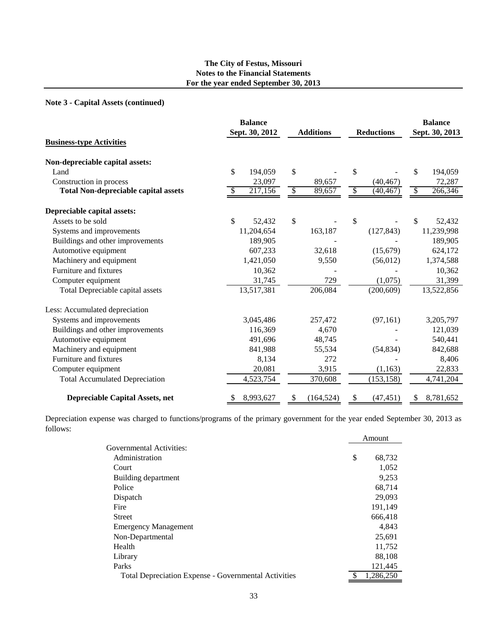# **The City of Festus, Missouri Notes to the Financial Statements For the year ended September 30, 2013**

### **Note 3 - Capital Assets (continued)**

|                                             | <b>Balance</b><br>Sept. 30, 2012 | <b>Additions</b>                   | <b>Reductions</b> | <b>Balance</b><br>Sept. 30, 2013    |  |
|---------------------------------------------|----------------------------------|------------------------------------|-------------------|-------------------------------------|--|
| <b>Business-type Activities</b>             |                                  |                                    |                   |                                     |  |
| Non-depreciable capital assets:             |                                  |                                    |                   |                                     |  |
| Land                                        | \$<br>194,059                    | \$                                 | \$                | \$<br>194,059                       |  |
| Construction in process                     | 23,097                           | 89,657                             | (40, 467)         | 72,287                              |  |
| <b>Total Non-depreciable capital assets</b> | 217,156                          | $\overline{\mathcal{S}}$<br>89,657 | \$<br>(40, 467)   | 266,346<br>$\overline{\mathcal{S}}$ |  |
| Depreciable capital assets:                 |                                  |                                    |                   |                                     |  |
| Assets to be sold                           | \$<br>52,432                     | \$                                 | \$                | \$<br>52,432                        |  |
| Systems and improvements                    | 11,204,654                       | 163,187                            | (127, 843)        | 11,239,998                          |  |
| Buildings and other improvements            | 189,905                          |                                    |                   | 189,905                             |  |
| Automotive equipment                        | 607,233                          | 32,618                             | (15,679)          | 624,172                             |  |
| Machinery and equipment                     | 1,421,050                        | 9,550                              | (56, 012)         | 1,374,588                           |  |
| Furniture and fixtures                      | 10,362                           |                                    |                   | 10,362                              |  |
| Computer equipment                          | 31,745                           | 729                                | (1,075)           | 31,399                              |  |
| Total Depreciable capital assets            | 13,517,381                       | 206,084                            | (200, 609)        | 13,522,856                          |  |
| Less: Accumulated depreciation              |                                  |                                    |                   |                                     |  |
| Systems and improvements                    | 3,045,486                        | 257,472                            | (97, 161)         | 3,205,797                           |  |
| Buildings and other improvements            | 116,369                          | 4,670                              |                   | 121,039                             |  |
| Automotive equipment                        | 491,696                          | 48,745                             |                   | 540,441                             |  |
| Machinery and equipment                     | 841,988                          | 55,534                             | (54, 834)         | 842,688                             |  |
| Furniture and fixtures                      | 8,134                            | 272                                |                   | 8,406                               |  |
| Computer equipment                          | 20,081                           | 3,915                              | (1,163)           | 22,833                              |  |
| <b>Total Accumulated Depreciation</b>       | 4,523,754                        | 370,608                            | (153, 158)        | 4,741,204                           |  |
| <b>Depreciable Capital Assets, net</b>      | 8,993,627                        | (164, 524)<br>\$                   | (47, 451)<br>\$   | 8,781,652                           |  |

Depreciation expense was charged to functions/programs of the primary government for the year ended September 30, 2013 as follows:

|                                                             | Amount       |
|-------------------------------------------------------------|--------------|
| Governmental Activities:                                    |              |
| Administration                                              | \$<br>68,732 |
| Court                                                       | 1,052        |
| Building department                                         | 9,253        |
| Police                                                      | 68,714       |
| Dispatch                                                    | 29,093       |
| Fire                                                        | 191,149      |
| <b>Street</b>                                               | 666,418      |
| <b>Emergency Management</b>                                 | 4,843        |
| Non-Departmental                                            | 25,691       |
| Health                                                      | 11,752       |
| Library                                                     | 88,108       |
| Parks                                                       | 121,445      |
| <b>Total Depreciation Expense - Governmental Activities</b> | 1,286,250    |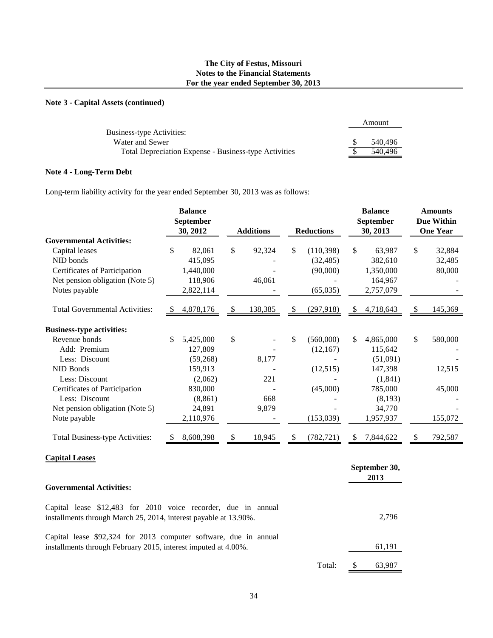# **Notes to the Financial Statements For the year ended September 30, 2013 The City of Festus, Missouri**

### **Note 3 - Capital Assets (continued)**

|                                                              | Amount  |
|--------------------------------------------------------------|---------|
| Business-type Activities:                                    |         |
| Water and Sewer                                              | 540.496 |
| <b>Total Depreciation Expense - Business-type Activities</b> | 540.496 |
|                                                              |         |

### **Note 4 - Long-Term Debt**

Long-term liability activity for the year ended September 30, 2013 was as follows:

|                                       | <b>Balance</b><br>September |           | 30, 2012 |         | <b>Additions</b><br><b>Reductions</b> |            |     | <b>Balance</b><br>September<br>30, 2013 |    | <b>Amounts</b><br><b>Due Within</b><br><b>One Year</b> |  |
|---------------------------------------|-----------------------------|-----------|----------|---------|---------------------------------------|------------|-----|-----------------------------------------|----|--------------------------------------------------------|--|
| <b>Governmental Activities:</b>       |                             |           |          |         |                                       |            |     |                                         |    |                                                        |  |
| Capital leases                        | \$                          | 82,061    | \$       | 92,324  | \$                                    | (110, 398) | \$  | 63,987                                  | \$ | 32,884                                                 |  |
| NID bonds                             |                             | 415,095   |          |         |                                       | (32, 485)  |     | 382,610                                 |    | 32,485                                                 |  |
| Certificates of Participation         |                             | 1,440,000 |          |         |                                       | (90,000)   |     | 1,350,000                               |    | 80,000                                                 |  |
| Net pension obligation (Note 5)       |                             | 118,906   |          | 46,061  |                                       |            |     | 164,967                                 |    |                                                        |  |
| Notes payable                         |                             | 2,822,114 |          |         |                                       | (65,035)   |     | 2,757,079                               |    |                                                        |  |
| <b>Total Governmental Activities:</b> |                             | 4,878,176 |          | 138,385 | \$                                    | (297, 918) | S   | 4,718,643                               | S  | 145,369                                                |  |
| <b>Business-type activities:</b>      |                             |           |          |         |                                       |            |     |                                         |    |                                                        |  |
| Revenue bonds                         | \$                          | 5,425,000 | \$       |         | \$                                    | (560,000)  | \$. | 4,865,000                               | \$ | 580,000                                                |  |
| Add: Premium                          |                             | 127,809   |          |         |                                       | (12,167)   |     | 115,642                                 |    |                                                        |  |
| Less: Discount                        |                             | (59,268)  |          | 8,177   |                                       |            |     | (51,091)                                |    |                                                        |  |
| NID Bonds                             |                             | 159,913   |          |         |                                       | (12,515)   |     | 147,398                                 |    | 12,515                                                 |  |
| Less: Discount                        |                             | (2,062)   |          | 221     |                                       |            |     | (1, 841)                                |    |                                                        |  |
| Certificates of Participation         |                             | 830,000   |          |         |                                       | (45,000)   |     | 785,000                                 |    | 45,000                                                 |  |
| Less: Discount                        |                             | (8, 861)  |          | 668     |                                       |            |     | (8,193)                                 |    |                                                        |  |
| Net pension obligation (Note 5)       |                             | 24,891    |          | 9,879   |                                       |            |     | 34,770                                  |    |                                                        |  |
| Note payable                          |                             | 2,110,976 |          |         |                                       | (153,039)  |     | 1,957,937                               |    | 155,072                                                |  |
| Total Business-type Activities:       |                             | 8,608,398 |          | 18,945  | S                                     | (782, 721) |     | 7,844,622                               |    | 792,587                                                |  |

### **Capital Leases**

|                                                                                                                                    |        | September 30,<br>2013 |
|------------------------------------------------------------------------------------------------------------------------------------|--------|-----------------------|
| <b>Governmental Activities:</b>                                                                                                    |        |                       |
| Capital lease \$12,483 for 2010 voice recorder, due in annual<br>installments through March 25, 2014, interest payable at 13.90%.  |        | 2.796                 |
| Capital lease \$92,324 for 2013 computer software, due in annual<br>installments through February 2015, interest imputed at 4.00%. |        | 61,191                |
|                                                                                                                                    | Total: | 63.987                |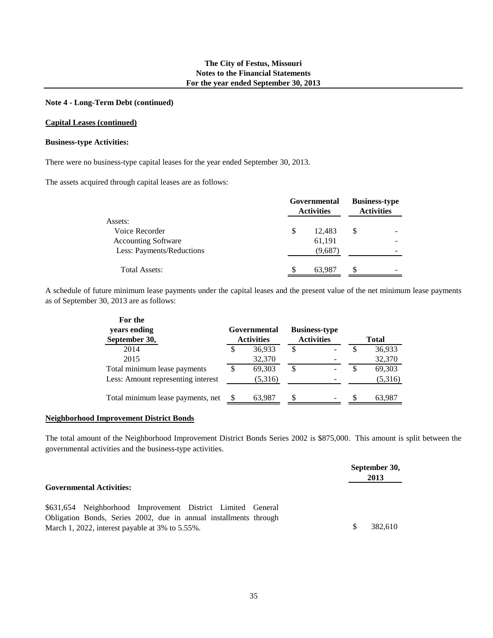#### **Capital Leases (continued)**

#### **Business-type Activities:**

There were no business-type capital leases for the year ended September 30, 2013.

The assets acquired through capital leases are as follows:

|                            | Governmental<br><b>Activities</b> |   |  |  |
|----------------------------|-----------------------------------|---|--|--|
| Assets:                    |                                   |   |  |  |
| Voice Recorder             | \$<br>12,483                      | S |  |  |
| <b>Accounting Software</b> | 61,191                            |   |  |  |
| Less: Payments/Reductions  | (9,687                            |   |  |  |
| <b>Total Assets:</b>       | 63.987                            |   |  |  |

A schedule of future minimum lease payments under the capital leases and the present value of the net minimum lease payments as of September 30, 2013 are as follows:

| For the<br>years ending<br>September 30, | Governmental<br><b>Activities</b> | <b>Activities</b> | <b>Business-type</b> | <b>Total</b> |
|------------------------------------------|-----------------------------------|-------------------|----------------------|--------------|
| 2014                                     | \$<br>36,933                      | S                 |                      | 36,933       |
| 2015                                     | 32,370                            |                   |                      | 32,370       |
| Total minimum lease payments             | \$<br>69,303                      | S                 |                      | 69,303       |
| Less: Amount representing interest       | (5,316)                           |                   |                      | (5,316)      |
| Total minimum lease payments, net        | 63,987                            |                   |                      | 63,987       |

#### **Neighborhood Improvement District Bonds**

The total amount of the Neighborhood Improvement District Bonds Series 2002 is \$875,000. This amount is split between the governmental activities and the business-type activities.

|                                                                   | September 30,<br>2013 |
|-------------------------------------------------------------------|-----------------------|
| <b>Governmental Activities:</b>                                   |                       |
| \$631,654 Neighborhood Improvement District Limited General       |                       |
| Obligation Bonds, Series 2002, due in annual installments through |                       |
| March 1, 2022, interest payable at 3% to 5.55%.                   | 382.610               |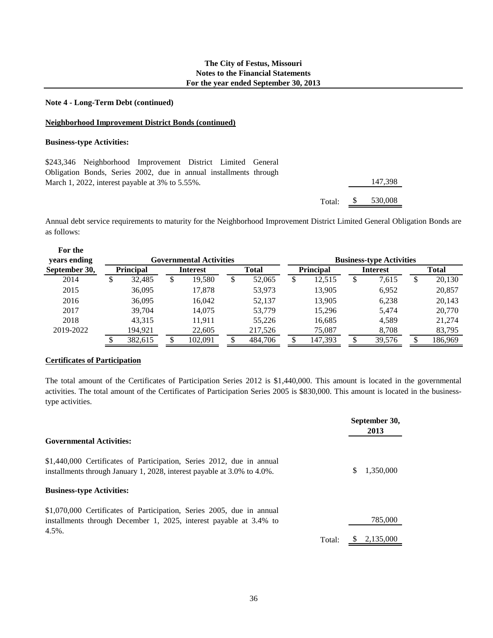#### **Neighborhood Improvement District Bonds (continued)**

#### **Business-type Activities:**

\$243,346 Neighborhood Improvement District Limited General Obligation Bonds, Series 2002, due in annual installments through March 1, 2022, interest payable at 3% to 5.55%.

 147,398 Total: \$ 530,008

Annual debt service requirements to maturity for the Neighborhood Improvement District Limited General Obligation Bonds are as follows:

| For the<br>years ending |   |                  | <b>Governmental Activities</b> |   |              |                  |   | <b>Business-type Activities</b> |              |
|-------------------------|---|------------------|--------------------------------|---|--------------|------------------|---|---------------------------------|--------------|
| September 30,           |   | <b>Principal</b> | <b>Interest</b>                |   | <b>Total</b> | <b>Principal</b> |   | <b>Interest</b>                 | <b>Total</b> |
| 2014                    | S | 32,485           | \$<br>19,580                   | S | 52,065       | \$<br>12,515     | S | 7.615                           | \$<br>20,130 |
| 2015                    |   | 36,095           | 17,878                         |   | 53,973       | 13,905           |   | 6.952                           | 20,857       |
| 2016                    |   | 36,095           | 16.042                         |   | 52,137       | 13,905           |   | 6,238                           | 20,143       |
| 2017                    |   | 39,704           | 14,075                         |   | 53,779       | 15.296           |   | 5.474                           | 20,770       |
| 2018                    |   | 43.315           | 11,911                         |   | 55.226       | 16,685           |   | 4,589                           | 21,274       |
| 2019-2022               |   | 194,921          | 22,605                         |   | 217,526      | 75,087           |   | 8,708                           | 83,795       |
|                         |   | 382,615          | 102,091                        |   | 484,706      | 147,393          |   | 39,576                          | 186,969      |

### **Certificates of Participation**

The total amount of the Certificates of Participation Series 2012 is \$1,440,000. This amount is located in the governmental activities. The total amount of the Certificates of Participation Series 2005 is \$830,000. This amount is located in the businesstype activities.

|                                                                                                                                                          |        | September 30,<br>2013 |
|----------------------------------------------------------------------------------------------------------------------------------------------------------|--------|-----------------------|
| <b>Governmental Activities:</b>                                                                                                                          |        |                       |
| \$1,440,000 Certificates of Participation, Series 2012, due in annual<br>installments through January 1, 2028, interest payable at 3.0% to 4.0%.         |        | \$<br>1.350,000       |
| <b>Business-type Activities:</b>                                                                                                                         |        |                       |
| \$1,070,000 Certificates of Participation, Series 2005, due in annual<br>installments through December 1, 2025, interest payable at 3.4% to<br>$4.5\%$ . |        | 785,000               |
|                                                                                                                                                          | Total: | 2,135,000             |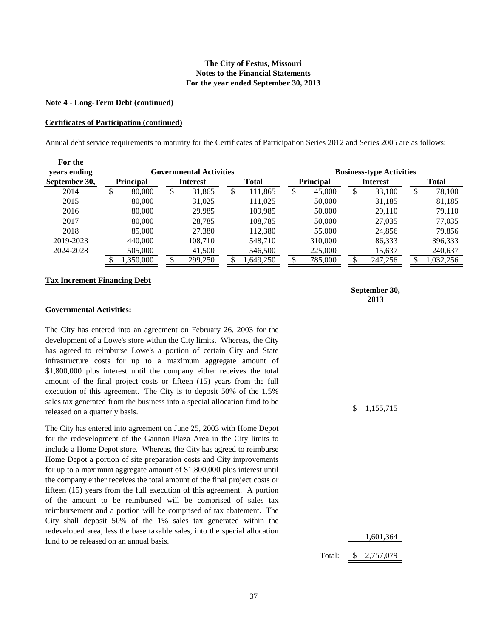#### **Certificates of Participation (continued)**

Annual debt service requirements to maturity for the Certificates of Participation Series 2012 and Series 2005 are as follows:

| years ending  | Governmental Activities |                  |    |          |       |           |              | <b>Business-type Activities</b> |   |          |                  |                 |  |              |
|---------------|-------------------------|------------------|----|----------|-------|-----------|--------------|---------------------------------|---|----------|------------------|-----------------|--|--------------|
| September 30, |                         | <b>Principal</b> |    | Interest | Total |           |              |                                 |   |          | <b>Principal</b> | <b>Interest</b> |  | <b>Total</b> |
| 2014          | S                       | 80,000           | \$ | 31,865   | S     | 111.865   | \$<br>45,000 | \$<br>33,100                    | S | 78,100   |                  |                 |  |              |
| 2015          |                         | 80,000           |    | 31,025   |       | 111,025   | 50,000       | 31,185                          |   | 81,185   |                  |                 |  |              |
| 2016          |                         | 80,000           |    | 29,985   |       | 109.985   | 50,000       | 29.110                          |   | 79.110   |                  |                 |  |              |
| 2017          |                         | 80,000           |    | 28.785   |       | 108.785   | 50,000       | 27,035                          |   | 77.035   |                  |                 |  |              |
| 2018          |                         | 85,000           |    | 27,380   |       | 112.380   | 55,000       | 24.856                          |   | 79,856   |                  |                 |  |              |
| 2019-2023     |                         | 440,000          |    | 108.710  |       | 548,710   | 310,000      | 86,333                          |   | 396,333  |                  |                 |  |              |
| 2024-2028     |                         | 505,000          |    | 41,500   |       | 546,500   | 225,000      | 15,637                          |   | 240,637  |                  |                 |  |              |
|               |                         | ,350,000         |    | 299,250  |       | 1,649,250 | 785,000      | 247,256                         |   | ,032,256 |                  |                 |  |              |

**Tax Increment Financing Debt**

#### **Governmental Activities:**

**For the**

The City has entered into an agreement on February 26, 2003 for the development of a Lowe's store within the City limits. Whereas, the City has agreed to reimburse Lowe's a portion of certain City and State infrastructure costs for up to a maximum aggregate amount of \$1,800,000 plus interest until the company either receives the total amount of the final project costs or fifteen (15) years from the full execution of this agreement. The City is to deposit 50% of the 1.5% sales tax generated from the business into a special allocation fund to be released on a quarterly basis.

The City has entered into agreement on June 25, 2003 with Home Depot for the redevelopment of the Gannon Plaza Area in the City limits to include a Home Depot store. Whereas, the City has agreed to reimburse Home Depot a portion of site preparation costs and City improvements for up to a maximum aggregate amount of \$1,800,000 plus interest until the company either receives the total amount of the final project costs or fifteen (15) years from the full execution of this agreement. A portion of the amount to be reimbursed will be comprised of sales tax reimbursement and a portion will be comprised of tax abatement. The City shall deposit 50% of the 1% sales tax generated within the redeveloped area, less the base taxable sales, into the special allocation fund to be released on an annual basis.

**September 30, 2013**

\$ 1,155,715

|        |    | 1,601,364 |
|--------|----|-----------|
|        |    |           |
| Total: | S. | 2,757,079 |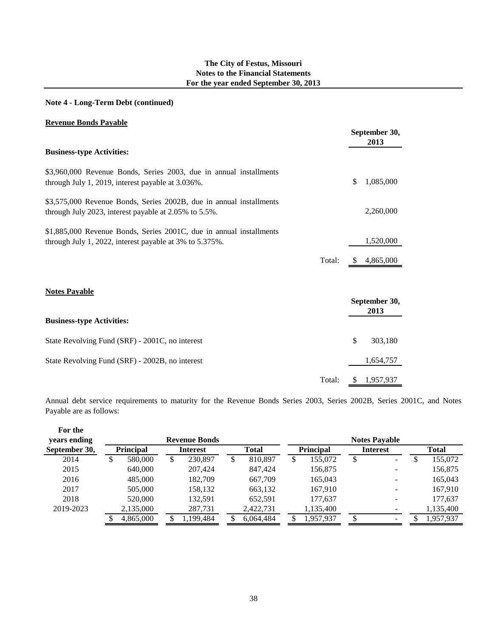### **Revenue Bonds Payable**

|                                                                                                                                |        |              | September 30,<br>2013 |
|--------------------------------------------------------------------------------------------------------------------------------|--------|--------------|-----------------------|
| <b>Business-type Activities:</b>                                                                                               |        |              |                       |
| \$3,960,000 Revenue Bonds, Series 2003, due in annual installments<br>through July 1, 2019, interest payable at 3.036%.        |        | \$           | 1,085,000             |
| \$3,575,000 Revenue Bonds, Series 2002B, due in annual installments<br>through July 2023, interest payable at 2.05% to 5.5%.   |        |              | 2,260,000             |
| \$1,885,000 Revenue Bonds, Series 2001C, due in annual installments<br>through July 1, 2022, interest payable at 3% to 5.375%. |        |              | 1,520,000             |
|                                                                                                                                | Total: | <sup>8</sup> | 4,865,000             |
|                                                                                                                                |        |              |                       |
| <b>Notes Payable</b>                                                                                                           |        |              | September 30,<br>2013 |
| <b>Business-type Activities:</b>                                                                                               |        |              |                       |
| State Revolving Fund (SRF) - 2001C, no interest                                                                                |        | \$           | 303,180               |
| State Revolving Fund (SRF) - 2002B, no interest                                                                                |        |              | 1,654,757             |
|                                                                                                                                | Total: | S.           | 1,957,937             |

Annual debt service requirements to maturity for the Revenue Bonds Series 2003, Series 2002B, Series 2001C, and Notes Payable are as follows:

| For the<br>years ending |   |                  | <b>Revenue Bonds</b> |   |              |                  | <b>Notes Pavable</b>           |   |              |
|-------------------------|---|------------------|----------------------|---|--------------|------------------|--------------------------------|---|--------------|
| September 30,           |   | <b>Principal</b> | <b>Interest</b>      |   | <b>Total</b> | <b>Principal</b> | <b>Interest</b>                |   | <b>Total</b> |
| 2014                    | S | 580,000          | \$<br>230.897        | S | 810.897      | \$<br>155.072    | \$<br>$\overline{\phantom{a}}$ | J | 155,072      |
| 2015                    |   | 640,000          | 207,424              |   | 847,424      | 156,875          |                                |   | 156,875      |
| 2016                    |   | 485,000          | 182,709              |   | 667,709      | 165,043          |                                |   | 165,043      |
| 2017                    |   | 505,000          | 158,132              |   | 663,132      | 167.910          |                                |   | 167,910      |
| 2018                    |   | 520,000          | 132,591              |   | 652,591      | 177,637          |                                |   | 177,637      |
| 2019-2023               |   | 2,135,000        | 287,731              |   | 2,422,731    | 1,135,400        |                                |   | 1,135,400    |
|                         |   | 4,865,000        | 1,199,484            |   | 6,064,484    | 1,957,937        |                                |   | 1,957,937    |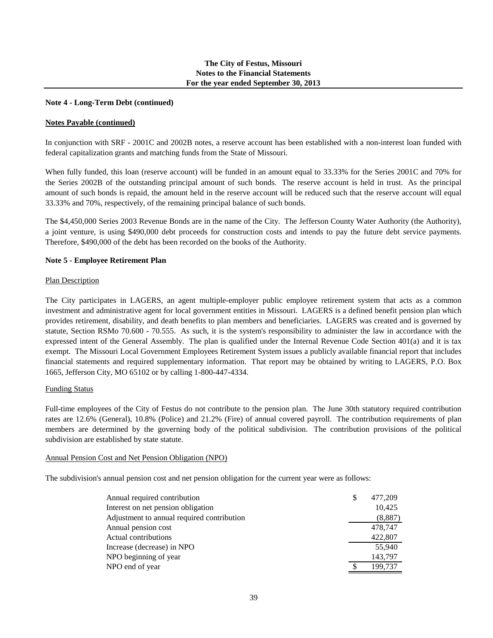#### **Notes Payable (continued)**

In conjunction with SRF - 2001C and 2002B notes, a reserve account has been established with a non-interest loan funded with federal capitalization grants and matching funds from the State of Missouri.

When fully funded, this loan (reserve account) will be funded in an amount equal to 33.33% for the Series 2001C and 70% for the Series 2002B of the outstanding principal amount of such bonds. The reserve account is held in trust. As the principal amount of such bonds is repaid, the amount held in the reserve account will be reduced such that the reserve account will equal 33.33% and 70%, respectively, of the remaining principal balance of such bonds.

The \$4,450,000 Series 2003 Revenue Bonds are in the name of the City. The Jefferson County Water Authority (the Authority), a joint venture, is using \$490,000 debt proceeds for construction costs and intends to pay the future debt service payments. Therefore, \$490,000 of the debt has been recorded on the books of the Authority.

#### **Note 5 - Employee Retirement Plan**

#### Plan Description

The City participates in LAGERS, an agent multiple-employer public employee retirement system that acts as a common investment and administrative agent for local government entities in Missouri. LAGERS is a defined benefit pension plan which provides retirement, disability, and death benefits to plan members and beneficiaries. LAGERS was created and is governed by statute, Section RSMo 70.600 - 70.555. As such, it is the system's responsibility to administer the law in accordance with the expressed intent of the General Assembly. The plan is qualified under the Internal Revenue Code Section 401(a) and it is tax exempt. The Missouri Local Government Employees Retirement System issues a publicly available financial report that includes financial statements and required supplementary information. That report may be obtained by writing to LAGERS, P.O. Box 1665, Jefferson City, MO 65102 or by calling 1-800-447-4334.

#### Funding Status

Full-time employees of the City of Festus do not contribute to the pension plan. The June 30th statutory required contribution rates are 12.6% (General), 10.8% (Police) and 21.2% (Fire) of annual covered payroll. The contribution requirements of plan members are determined by the governing body of the political subdivision. The contribution provisions of the political subdivision are established by state statute.

#### Annual Pension Cost and Net Pension Obligation (NPO)

The subdivision's annual pension cost and net pension obligation for the current year were as follows:

| Annual required contribution               | S | 477,209 |
|--------------------------------------------|---|---------|
| Interest on net pension obligation         |   | 10,425  |
| Adjustment to annual required contribution |   | (8,887) |
| Annual pension cost                        |   | 478.747 |
| Actual contributions                       |   | 422,807 |
| Increase (decrease) in NPO                 |   | 55,940  |
| NPO beginning of year                      |   | 143,797 |
| NPO end of year                            |   | 199.737 |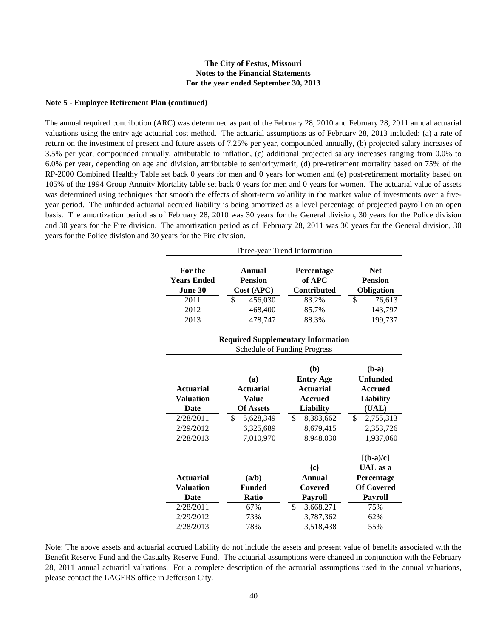#### **Note 5 - Employee Retirement Plan (continued)**

The annual required contribution (ARC) was determined as part of the February 28, 2010 and February 28, 2011 annual actuarial valuations using the entry age actuarial cost method. The actuarial assumptions as of February 28, 2013 included: (a) a rate of return on the investment of present and future assets of 7.25% per year, compounded annually, (b) projected salary increases of 3.5% per year, compounded annually, attributable to inflation, (c) additional projected salary increases ranging from 0.0% to 6.0% per year, depending on age and division, attributable to seniority/merit, (d) pre-retirement mortality based on 75% of the RP-2000 Combined Healthy Table set back 0 years for men and 0 years for women and (e) post-retirement mortality based on 105% of the 1994 Group Annuity Mortality table set back 0 years for men and 0 years for women. The actuarial value of assets was determined using techniques that smooth the effects of short-term volatility in the market value of investments over a fiveyear period. The unfunded actuarial accrued liability is being amortized as a level percentage of projected payroll on an open basis. The amortization period as of February 28, 2010 was 30 years for the General division, 30 years for the Police division and 30 years for the Fire division. The amortization period as of February 28, 2011 was 30 years for the General division, 30 years for the Police division and 30 years for the Fire division.

|                                          |                                               | Three-year Trend Information        |                                            |  |  |  |  |  |
|------------------------------------------|-----------------------------------------------|-------------------------------------|--------------------------------------------|--|--|--|--|--|
| For the<br><b>Years Ended</b><br>June 30 | <b>Annual</b><br><b>Pension</b><br>Cost (APC) | Percentage<br>of APC<br>Contributed | <b>Net</b><br><b>Pension</b><br>Obligation |  |  |  |  |  |
| 2011                                     | \$<br>456,030                                 | 83.2%                               | 76,613<br>\$                               |  |  |  |  |  |
| 2012                                     | 468,400                                       | 85.7%                               | 143,797                                    |  |  |  |  |  |
| 2013                                     | 478,747                                       | 88.3%                               | 199,737                                    |  |  |  |  |  |
|                                          | <b>Required Supplementary Information</b>     | <b>Schedule of Funding Progress</b> |                                            |  |  |  |  |  |
|                                          |                                               | (b)                                 | $(b-a)$                                    |  |  |  |  |  |
|                                          | (a)                                           | <b>Entry Age</b>                    | <b>Unfunded</b>                            |  |  |  |  |  |
| <b>Actuarial</b>                         | <b>Actuarial</b>                              | <b>Actuarial</b>                    | <b>Accrued</b>                             |  |  |  |  |  |
| <b>Valuation</b>                         | Value                                         | <b>Accrued</b>                      | <b>Liability</b>                           |  |  |  |  |  |
| <b>Date</b>                              | <b>Of Assets</b>                              | <b>Liability</b>                    | (UAL)                                      |  |  |  |  |  |
| 2/28/2011                                | \$<br>5,628,349                               | \$<br>8,383,662                     | \$<br>2,755,313                            |  |  |  |  |  |
| 2/29/2012                                | 6,325,689                                     | 8,679,415                           | 2,353,726                                  |  |  |  |  |  |
| 2/28/2013                                | 7,010,970                                     | 8,948,030                           | 1,937,060                                  |  |  |  |  |  |
|                                          |                                               |                                     | $[(b-a)/c]$                                |  |  |  |  |  |
|                                          |                                               | (c)                                 | UAL as a                                   |  |  |  |  |  |
| <b>Actuarial</b>                         | (a/b)                                         | Annual                              | Percentage                                 |  |  |  |  |  |
| <b>Valuation</b>                         | <b>Funded</b>                                 | Covered                             | <b>Of Covered</b>                          |  |  |  |  |  |
| <b>Date</b>                              | Ratio                                         | <b>Payroll</b>                      | <b>Payroll</b>                             |  |  |  |  |  |
| 2/28/2011                                | 67%                                           | \$<br>3,668,271                     | 75%                                        |  |  |  |  |  |
| 2/29/2012                                | 73%                                           | 3,787,362                           | 62%                                        |  |  |  |  |  |
| 2/28/2013                                | 78%                                           | 3,518,438                           | 55%                                        |  |  |  |  |  |

Note: The above assets and actuarial accrued liability do not include the assets and present value of benefits associated with the Benefit Reserve Fund and the Casualty Reserve Fund. The actuarial assumptions were changed in conjunction with the February 28, 2011 annual actuarial valuations. For a complete description of the actuarial assumptions used in the annual valuations, please contact the LAGERS office in Jefferson City.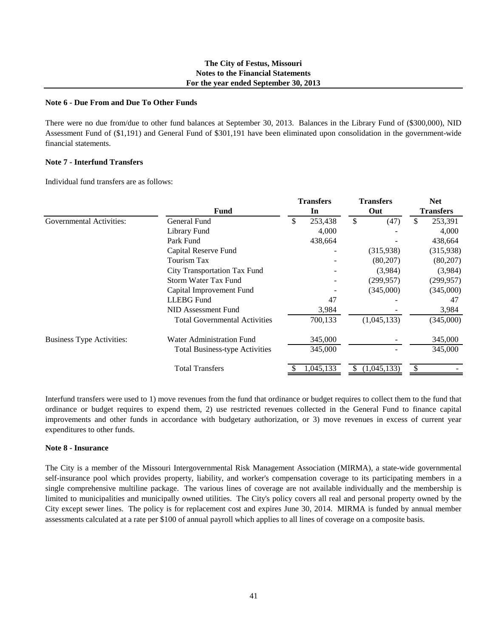#### **Note 6 - Due From and Due To Other Funds**

There were no due from/due to other fund balances at September 30, 2013. Balances in the Library Fund of (\$300,000), NID Assessment Fund of (\$1,191) and General Fund of \$301,191 have been eliminated upon consolidation in the government-wide financial statements.

#### **Note 7 - Interfund Transfers**

Individual fund transfers are as follows:

|                                  |                                       | <b>Transfers</b> | <b>Transfers</b> |    | <b>Net</b>       |
|----------------------------------|---------------------------------------|------------------|------------------|----|------------------|
|                                  | Fund                                  | In               | Out              |    | <b>Transfers</b> |
| Governmental Activities:         | General Fund                          | \$<br>253,438    | \$<br>(47)       | S  | 253,391          |
|                                  | Library Fund                          | 4,000            |                  |    | 4,000            |
|                                  | Park Fund                             | 438,664          |                  |    | 438,664          |
|                                  | Capital Reserve Fund                  |                  | (315,938)        |    | (315,938)        |
|                                  | Tourism Tax                           |                  | (80,207)         |    | (80, 207)        |
|                                  | <b>City Transportation Tax Fund</b>   |                  | (3,984)          |    | (3,984)          |
|                                  | Storm Water Tax Fund                  |                  | (299, 957)       |    | (299, 957)       |
|                                  | Capital Improvement Fund              |                  | (345,000)        |    | (345,000)        |
|                                  | <b>LLEBG</b> Fund                     | 47               |                  |    | 47               |
|                                  | NID Assessment Fund                   | 3,984            |                  |    | 3,984            |
|                                  | <b>Total Governmental Activities</b>  | 700,133          | (1,045,133)      |    | (345,000)        |
| <b>Business Type Activities:</b> | Water Administration Fund             | 345,000          |                  |    | 345,000          |
|                                  | <b>Total Business-type Activities</b> | 345,000          |                  |    | 345,000          |
|                                  | <b>Total Transfers</b>                | 1,045,133        | (1,045,133)      | -S |                  |

Interfund transfers were used to 1) move revenues from the fund that ordinance or budget requires to collect them to the fund that ordinance or budget requires to expend them, 2) use restricted revenues collected in the General Fund to finance capital improvements and other funds in accordance with budgetary authorization, or 3) move revenues in excess of current year expenditures to other funds.

### **Note 8 - Insurance**

The City is a member of the Missouri Intergovernmental Risk Management Association (MIRMA), a state-wide governmental self-insurance pool which provides property, liability, and worker's compensation coverage to its participating members in a single comprehensive multiline package. The various lines of coverage are not available individually and the membership is limited to municipalities and municipally owned utilities. The City's policy covers all real and personal property owned by the City except sewer lines. The policy is for replacement cost and expires June 30, 2014. MIRMA is funded by annual member assessments calculated at a rate per \$100 of annual payroll which applies to all lines of coverage on a composite basis.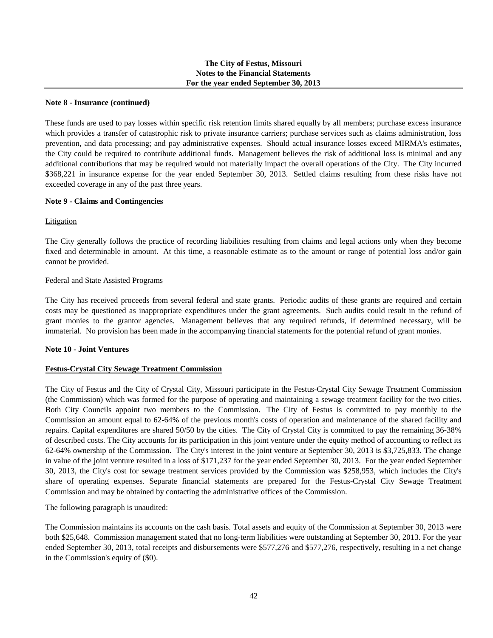#### **Note 8 - Insurance (continued)**

These funds are used to pay losses within specific risk retention limits shared equally by all members; purchase excess insurance which provides a transfer of catastrophic risk to private insurance carriers; purchase services such as claims administration, loss prevention, and data processing; and pay administrative expenses. Should actual insurance losses exceed MIRMA's estimates, the City could be required to contribute additional funds. Management believes the risk of additional loss is minimal and any additional contributions that may be required would not materially impact the overall operations of the City. The City incurred \$368,221 in insurance expense for the year ended September 30, 2013. Settled claims resulting from these risks have not exceeded coverage in any of the past three years.

#### **Note 9 - Claims and Contingencies**

### **Litigation**

The City generally follows the practice of recording liabilities resulting from claims and legal actions only when they become fixed and determinable in amount. At this time, a reasonable estimate as to the amount or range of potential loss and/or gain cannot be provided.

#### Federal and State Assisted Programs

The City has received proceeds from several federal and state grants. Periodic audits of these grants are required and certain costs may be questioned as inappropriate expenditures under the grant agreements. Such audits could result in the refund of grant monies to the grantor agencies. Management believes that any required refunds, if determined necessary, will be immaterial. No provision has been made in the accompanying financial statements for the potential refund of grant monies.

#### **Note 10 - Joint Ventures**

#### **Festus-Crystal City Sewage Treatment Commission**

The City of Festus and the City of Crystal City, Missouri participate in the Festus-Crystal City Sewage Treatment Commission (the Commission) which was formed for the purpose of operating and maintaining a sewage treatment facility for the two cities. Both City Councils appoint two members to the Commission. The City of Festus is committed to pay monthly to the Commission an amount equal to 62-64% of the previous month's costs of operation and maintenance of the shared facility and repairs. Capital expenditures are shared 50/50 by the cities. The City of Crystal City is committed to pay the remaining 36-38% of described costs. The City accounts for its participation in this joint venture under the equity method of accounting to reflect its 62-64% ownership of the Commission. The City's interest in the joint venture at September 30, 2013 is \$3,725,833. The change in value of the joint venture resulted in a loss of \$171,237 for the year ended September 30, 2013. For the year ended September 30, 2013, the City's cost for sewage treatment services provided by the Commission was \$258,953, which includes the City's share of operating expenses. Separate financial statements are prepared for the Festus-Crystal City Sewage Treatment Commission and may be obtained by contacting the administrative offices of the Commission.

The following paragraph is unaudited:

The Commission maintains its accounts on the cash basis. Total assets and equity of the Commission at September 30, 2013 were both \$25,648. Commission management stated that no long-term liabilities were outstanding at September 30, 2013. For the year ended September 30, 2013, total receipts and disbursements were \$577,276 and \$577,276, respectively, resulting in a net change in the Commission's equity of (\$0).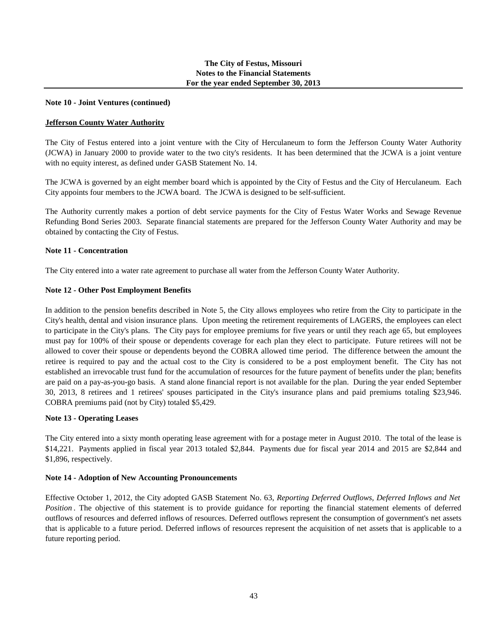#### **Note 10 - Joint Ventures (continued)**

### **Jefferson County Water Authority**

The City of Festus entered into a joint venture with the City of Herculaneum to form the Jefferson County Water Authority (JCWA) in January 2000 to provide water to the two city's residents. It has been determined that the JCWA is a joint venture with no equity interest, as defined under GASB Statement No. 14.

The JCWA is governed by an eight member board which is appointed by the City of Festus and the City of Herculaneum. Each City appoints four members to the JCWA board. The JCWA is designed to be self-sufficient.

The Authority currently makes a portion of debt service payments for the City of Festus Water Works and Sewage Revenue Refunding Bond Series 2003. Separate financial statements are prepared for the Jefferson County Water Authority and may be obtained by contacting the City of Festus.

### **Note 11 - Concentration**

The City entered into a water rate agreement to purchase all water from the Jefferson County Water Authority.

#### **Note 12 - Other Post Employment Benefits**

In addition to the pension benefits described in Note 5, the City allows employees who retire from the City to participate in the City's health, dental and vision insurance plans. Upon meeting the retirement requirements of LAGERS, the employees can elect to participate in the City's plans. The City pays for employee premiums for five years or until they reach age 65, but employees must pay for 100% of their spouse or dependents coverage for each plan they elect to participate. Future retirees will not be allowed to cover their spouse or dependents beyond the COBRA allowed time period. The difference between the amount the retiree is required to pay and the actual cost to the City is considered to be a post employment benefit. The City has not established an irrevocable trust fund for the accumulation of resources for the future payment of benefits under the plan; benefits are paid on a pay-as-you-go basis. A stand alone financial report is not available for the plan. During the year ended September 30, 2013, 8 retirees and 1 retirees' spouses participated in the City's insurance plans and paid premiums totaling \$23,946. COBRA premiums paid (not by City) totaled \$5,429.

#### **Note 13 - Operating Leases**

The City entered into a sixty month operating lease agreement with for a postage meter in August 2010. The total of the lease is \$14,221. Payments applied in fiscal year 2013 totaled \$2,844. Payments due for fiscal year 2014 and 2015 are \$2,844 and \$1,896, respectively.

#### **Note 14 - Adoption of New Accounting Pronouncements**

Effective October 1, 2012, the City adopted GASB Statement No. 63, *Reporting Deferred Outflows, Deferred Inflows and Net Position* . The objective of this statement is to provide guidance for reporting the financial statement elements of deferred outflows of resources and deferred inflows of resources. Deferred outflows represent the consumption of government's net assets that is applicable to a future period. Deferred inflows of resources represent the acquisition of net assets that is applicable to a future reporting period.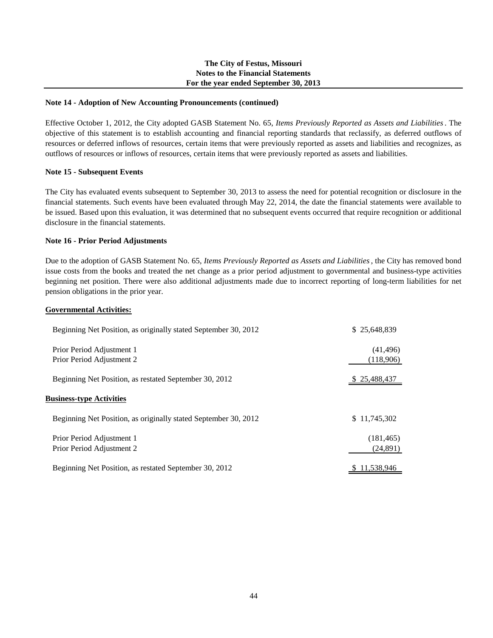#### **Note 14 - Adoption of New Accounting Pronouncements (continued)**

Effective October 1, 2012, the City adopted GASB Statement No. 65, *Items Previously Reported as Assets and Liabilities*. The objective of this statement is to establish accounting and financial reporting standards that reclassify, as deferred outflows of resources or deferred inflows of resources, certain items that were previously reported as assets and liabilities and recognizes, as outflows of resources or inflows of resources, certain items that were previously reported as assets and liabilities.

#### **Note 15 - Subsequent Events**

The City has evaluated events subsequent to September 30, 2013 to assess the need for potential recognition or disclosure in the financial statements. Such events have been evaluated through May 22, 2014, the date the financial statements were available to be issued. Based upon this evaluation, it was determined that no subsequent events occurred that require recognition or additional disclosure in the financial statements.

### **Note 16 - Prior Period Adjustments**

Due to the adoption of GASB Statement No. 65, *Items Previously Reported as Assets and Liabilities*, the City has removed bond issue costs from the books and treated the net change as a prior period adjustment to governmental and business-type activities beginning net position. There were also additional adjustments made due to incorrect reporting of long-term liabilities for net pension obligations in the prior year.

#### **Governmental Activities:**

| Beginning Net Position, as originally stated September 30, 2012 | \$25,648,839 |
|-----------------------------------------------------------------|--------------|
| Prior Period Adjustment 1                                       | (41, 496)    |
| Prior Period Adjustment 2                                       | (118,906)    |
| Beginning Net Position, as restated September 30, 2012          | \$25,488,437 |
| <u>Business-type Activities</u>                                 |              |
| Beginning Net Position, as originally stated September 30, 2012 | \$11,745,302 |
| Prior Period Adjustment 1                                       | (181, 465)   |
| Prior Period Adjustment 2                                       | (24,891)     |
| Beginning Net Position, as restated September 30, 2012          | \$11,538,946 |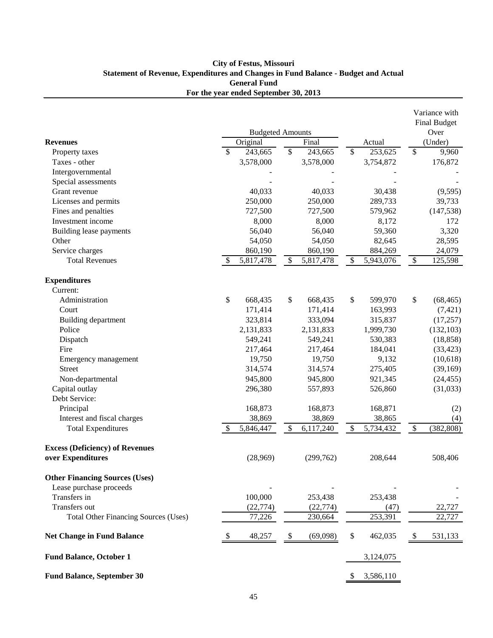# **City of Festus, Missouri Statement of Revenue, Expenditures and Changes in Fund Balance - Budget and Actual General Fund For the year ended September 30, 2013**

|                                                             |               | <b>Budgeted Amounts</b> |                 |           |                 |           | Variance with<br><b>Final Budget</b><br>Over |            |
|-------------------------------------------------------------|---------------|-------------------------|-----------------|-----------|-----------------|-----------|----------------------------------------------|------------|
| <b>Revenues</b>                                             |               | Original                |                 | Final     |                 | Actual    |                                              | (Under)    |
| Property taxes                                              | $\mathbb{S}$  | 243,665                 | $\overline{\$}$ | 243,665   | $\overline{\$}$ | 253,625   | $\overline{\mathcal{S}}$                     | 9,960      |
| Taxes - other                                               |               | 3,578,000               |                 | 3,578,000 |                 | 3,754,872 |                                              | 176,872    |
| Intergovernmental                                           |               |                         |                 |           |                 |           |                                              |            |
| Special assessments                                         |               |                         |                 |           |                 |           |                                              |            |
| Grant revenue                                               |               | 40,033                  |                 | 40,033    |                 | 30,438    |                                              | (9, 595)   |
| Licenses and permits                                        |               | 250,000                 |                 | 250,000   |                 | 289,733   |                                              | 39,733     |
| Fines and penalties                                         |               | 727,500                 |                 | 727,500   |                 | 579,962   |                                              | (147, 538) |
| Investment income                                           |               | 8,000                   |                 | 8,000     |                 | 8,172     |                                              | 172        |
| Building lease payments                                     |               | 56,040                  |                 | 56,040    |                 | 59,360    |                                              | 3,320      |
| Other                                                       |               | 54,050                  |                 | 54,050    |                 | 82,645    |                                              | 28,595     |
| Service charges                                             |               | 860,190                 |                 | 860,190   |                 | 884,269   |                                              | 24,079     |
| <b>Total Revenues</b>                                       | <sup>\$</sup> | 5,817,478               | \$              | 5,817,478 | \$              | 5,943,076 | \$                                           | 125,598    |
| <b>Expenditures</b>                                         |               |                         |                 |           |                 |           |                                              |            |
| Current:                                                    |               |                         |                 |           |                 |           |                                              |            |
| Administration                                              | \$            | 668,435                 | \$              | 668,435   | \$              | 599,970   | \$                                           | (68, 465)  |
| Court                                                       |               | 171,414                 |                 | 171,414   |                 | 163,993   |                                              | (7, 421)   |
| Building department                                         |               | 323,814                 |                 | 333,094   |                 | 315,837   |                                              | (17,257)   |
| Police                                                      |               | 2,131,833               |                 | 2,131,833 |                 | 1,999,730 |                                              | (132, 103) |
| Dispatch                                                    |               | 549,241                 |                 | 549,241   |                 | 530,383   |                                              | (18, 858)  |
| Fire                                                        |               | 217,464                 |                 | 217,464   |                 | 184,041   |                                              | (33, 423)  |
| Emergency management                                        |               | 19,750                  |                 | 19,750    |                 | 9,132     |                                              | (10,618)   |
| <b>Street</b>                                               |               | 314,574                 |                 | 314,574   |                 | 275,405   |                                              | (39,169)   |
| Non-departmental                                            |               | 945,800                 |                 | 945,800   |                 | 921,345   |                                              | (24, 455)  |
| Capital outlay                                              |               | 296,380                 |                 | 557,893   |                 | 526,860   |                                              | (31,033)   |
| Debt Service:                                               |               |                         |                 |           |                 |           |                                              |            |
| Principal                                                   |               | 168,873                 |                 | 168,873   |                 | 168,871   |                                              | (2)        |
| Interest and fiscal charges                                 |               | 38,869                  |                 | 38,869    |                 | 38,865    |                                              | (4)        |
| <b>Total Expenditures</b>                                   | \$            | 5,846,447               | \$              | 6,117,240 | \$              | 5,734,432 | $\$\,$                                       | (382, 808) |
| <b>Excess (Deficiency) of Revenues</b><br>over Expenditures |               | (28,969)                |                 | (299,762) |                 | 208,644   |                                              | 508,406    |
| <b>Other Financing Sources (Uses)</b>                       |               |                         |                 |           |                 |           |                                              |            |
| Lease purchase proceeds                                     |               |                         |                 |           |                 |           |                                              |            |
| Transfers in                                                |               | 100,000                 |                 | 253,438   |                 | 253,438   |                                              |            |
| Transfers out                                               |               | (22, 774)               |                 | (22, 774) |                 | (47)      |                                              | 22,727     |
| <b>Total Other Financing Sources (Uses)</b>                 |               | 77,226                  |                 | 230,664   |                 | 253,391   |                                              | 22,727     |
| <b>Net Change in Fund Balance</b>                           |               | 48,257                  | -S              | (69,098)  | \$              | 462,035   | - \$                                         | 531,133    |
| <b>Fund Balance, October 1</b>                              |               |                         |                 |           |                 | 3,124,075 |                                              |            |
| <b>Fund Balance, September 30</b>                           |               |                         |                 |           | \$              | 3,586,110 |                                              |            |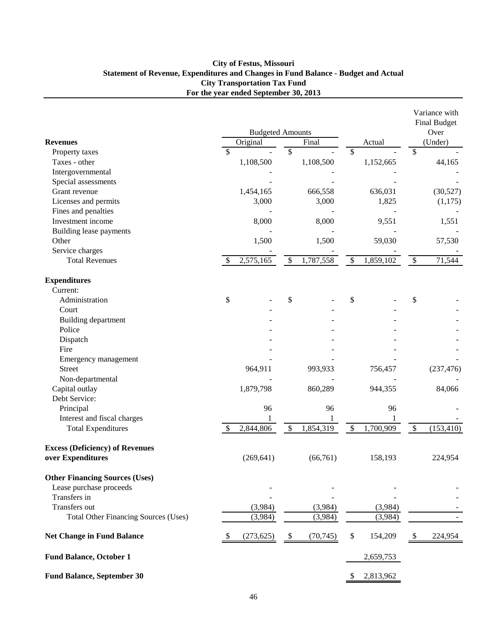# **City of Festus, Missouri Statement of Revenue, Expenditures and Changes in Fund Balance - Budget and Actual City Transportation Tax Fund For the year ended September 30, 2013**

|                                             |               |                         |               |           |                          |           |               | Variance with<br><b>Final Budget</b> |
|---------------------------------------------|---------------|-------------------------|---------------|-----------|--------------------------|-----------|---------------|--------------------------------------|
| <b>Revenues</b>                             |               | <b>Budgeted Amounts</b> |               | Final     |                          |           |               | Over                                 |
| Property taxes                              | \$            | Original                | \$            |           | $\overline{\mathcal{S}}$ | Actual    | $\mathcal{S}$ | (Under)                              |
| Taxes - other                               |               | 1,108,500               |               | 1,108,500 |                          | 1,152,665 |               | 44,165                               |
| Intergovernmental                           |               |                         |               |           |                          |           |               |                                      |
| Special assessments                         |               |                         |               |           |                          |           |               |                                      |
| Grant revenue                               |               | 1,454,165               |               | 666,558   |                          | 636,031   |               | (30,527)                             |
| Licenses and permits                        |               | 3,000                   |               | 3,000     |                          | 1,825     |               | (1,175)                              |
| Fines and penalties                         |               |                         |               |           |                          |           |               |                                      |
| Investment income                           |               | 8,000                   |               | 8,000     |                          | 9,551     |               | 1,551                                |
| Building lease payments                     |               |                         |               |           |                          |           |               |                                      |
| Other                                       |               | 1,500                   |               | 1,500     |                          | 59,030    |               | 57,530                               |
| Service charges                             |               |                         |               |           |                          |           |               |                                      |
| <b>Total Revenues</b>                       | <sup>\$</sup> | 2,575,165               | $\$$          | 1,787,558 | \$                       | 1,859,102 | $\$$          | 71,544                               |
|                                             |               |                         |               |           |                          |           |               |                                      |
| <b>Expenditures</b>                         |               |                         |               |           |                          |           |               |                                      |
| Current:                                    |               |                         |               |           |                          |           |               |                                      |
| Administration                              | \$            |                         | \$            |           | \$                       |           | \$            |                                      |
| Court                                       |               |                         |               |           |                          |           |               |                                      |
| Building department                         |               |                         |               |           |                          |           |               |                                      |
| Police                                      |               |                         |               |           |                          |           |               |                                      |
| Dispatch                                    |               |                         |               |           |                          |           |               |                                      |
| Fire                                        |               |                         |               |           |                          |           |               |                                      |
| Emergency management                        |               |                         |               |           |                          |           |               |                                      |
| <b>Street</b>                               |               | 964,911                 |               | 993,933   |                          | 756,457   |               | (237, 476)                           |
| Non-departmental                            |               |                         |               |           |                          |           |               |                                      |
| Capital outlay                              |               | 1,879,798               |               | 860,289   |                          | 944,355   |               | 84,066                               |
| Debt Service:                               |               |                         |               |           |                          |           |               |                                      |
| Principal                                   |               | 96                      |               | 96        |                          | 96        |               |                                      |
| Interest and fiscal charges                 |               |                         |               | 1         |                          |           |               |                                      |
| <b>Total Expenditures</b>                   | \$            | 2,844,806               | $\$$          | 1,854,319 | \$                       | 1,700,909 | $\$\,$        | (153, 410)                           |
| <b>Excess (Deficiency) of Revenues</b>      |               |                         |               |           |                          |           |               |                                      |
| over Expenditures                           |               | (269, 641)              |               | (66,761)  |                          | 158,193   |               | 224,954                              |
|                                             |               |                         |               |           |                          |           |               |                                      |
| <b>Other Financing Sources (Uses)</b>       |               |                         |               |           |                          |           |               |                                      |
| Lease purchase proceeds                     |               |                         |               |           |                          |           |               |                                      |
| Transfers in                                |               |                         |               |           |                          |           |               |                                      |
| Transfers out                               |               | (3,984)                 |               | (3,984)   |                          | (3,984)   |               |                                      |
| <b>Total Other Financing Sources (Uses)</b> |               | (3,984)                 |               | (3,984)   |                          | (3,984)   |               |                                      |
| <b>Net Change in Fund Balance</b>           | \$            | (273, 625)              | $\mathcal{S}$ | (70, 745) | \$                       | 154,209   | -S            | 224,954                              |
| <b>Fund Balance, October 1</b>              |               |                         |               |           |                          | 2,659,753 |               |                                      |
| <b>Fund Balance, September 30</b>           |               |                         |               |           | \$                       | 2,813,962 |               |                                      |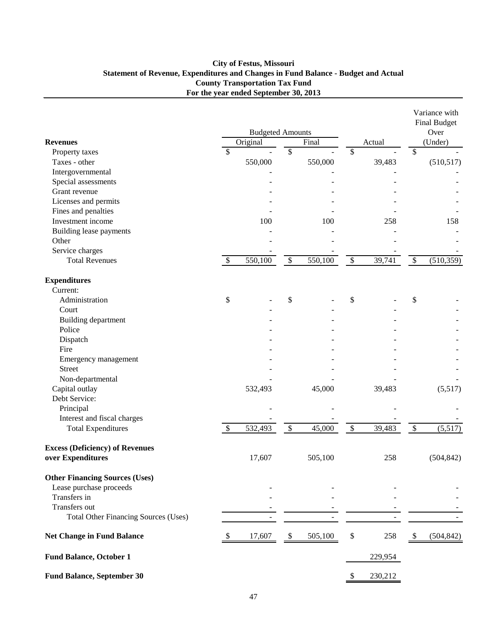# **City of Festus, Missouri Statement of Revenue, Expenditures and Changes in Fund Balance - Budget and Actual County Transportation Tax Fund For the year ended September 30, 2013**

|                                             |                           | <b>Budgeted Amounts</b> |                          |         |                          | Variance with<br><b>Final Budget</b><br>Over |                          |            |  |
|---------------------------------------------|---------------------------|-------------------------|--------------------------|---------|--------------------------|----------------------------------------------|--------------------------|------------|--|
| <b>Revenues</b>                             |                           | Original                |                          | Final   |                          | Actual                                       |                          | (Under)    |  |
| Property taxes                              | $\overline{\mathcal{S}}$  |                         | $\overline{\mathcal{S}}$ |         | \$                       |                                              | $\overline{\mathcal{S}}$ |            |  |
| Taxes - other                               |                           | 550,000                 |                          | 550,000 |                          | 39,483                                       |                          | (510, 517) |  |
| Intergovernmental                           |                           |                         |                          |         |                          |                                              |                          |            |  |
| Special assessments                         |                           |                         |                          |         |                          |                                              |                          |            |  |
| Grant revenue                               |                           |                         |                          |         |                          |                                              |                          |            |  |
| Licenses and permits                        |                           |                         |                          |         |                          |                                              |                          |            |  |
| Fines and penalties                         |                           |                         |                          |         |                          |                                              |                          |            |  |
| Investment income                           |                           | 100                     |                          | 100     |                          | 258                                          |                          | 158        |  |
| Building lease payments                     |                           |                         |                          |         |                          |                                              |                          |            |  |
| Other                                       |                           |                         |                          |         |                          |                                              |                          |            |  |
| Service charges                             |                           |                         |                          |         |                          |                                              |                          |            |  |
| <b>Total Revenues</b>                       | $\mathcal{S}$             | $\overline{550,100}$    | $\overline{\mathcal{L}}$ | 550,100 | $\mathbb{S}$             | 39,741                                       | $\sqrt{3}$               | (510, 359) |  |
| <b>Expenditures</b>                         |                           |                         |                          |         |                          |                                              |                          |            |  |
| Current:                                    |                           |                         |                          |         |                          |                                              |                          |            |  |
| Administration                              | \$                        |                         | \$                       |         | \$                       |                                              | \$                       |            |  |
| Court                                       |                           |                         |                          |         |                          |                                              |                          |            |  |
| Building department                         |                           |                         |                          |         |                          |                                              |                          |            |  |
| Police                                      |                           |                         |                          |         |                          |                                              |                          |            |  |
| Dispatch                                    |                           |                         |                          |         |                          |                                              |                          |            |  |
| Fire                                        |                           |                         |                          |         |                          |                                              |                          |            |  |
| Emergency management                        |                           |                         |                          |         |                          |                                              |                          |            |  |
| <b>Street</b>                               |                           |                         |                          |         |                          |                                              |                          |            |  |
| Non-departmental                            |                           |                         |                          |         |                          |                                              |                          |            |  |
| Capital outlay                              |                           | 532,493                 |                          | 45,000  |                          | 39,483                                       |                          | (5,517)    |  |
| Debt Service:                               |                           |                         |                          |         |                          |                                              |                          |            |  |
| Principal                                   |                           |                         |                          |         |                          |                                              |                          |            |  |
| Interest and fiscal charges                 |                           |                         |                          |         |                          |                                              |                          |            |  |
| <b>Total Expenditures</b>                   | $\boldsymbol{\mathsf{S}}$ | 532,493                 | $\overline{\mathcal{S}}$ | 45,000  | $\overline{\mathcal{L}}$ | 39,483                                       | $\overline{\mathcal{S}}$ | (5,517)    |  |
| <b>Excess (Deficiency) of Revenues</b>      |                           |                         |                          |         |                          |                                              |                          |            |  |
| over Expenditures                           |                           | 17,607                  |                          | 505,100 |                          | 258                                          |                          | (504, 842) |  |
| <b>Other Financing Sources (Uses)</b>       |                           |                         |                          |         |                          |                                              |                          |            |  |
| Lease purchase proceeds                     |                           |                         |                          |         |                          |                                              |                          |            |  |
| Transfers in                                |                           |                         |                          |         |                          |                                              |                          |            |  |
| Transfers out                               |                           |                         |                          |         |                          |                                              |                          |            |  |
| <b>Total Other Financing Sources (Uses)</b> |                           |                         |                          |         |                          |                                              |                          | ٠          |  |
| <b>Net Change in Fund Balance</b>           | -S                        | 17,607                  | -\$                      | 505,100 | \$                       | 258                                          | -\$                      | (504, 842) |  |
| <b>Fund Balance, October 1</b>              |                           |                         |                          |         |                          | 229,954                                      |                          |            |  |
| <b>Fund Balance, September 30</b>           |                           |                         |                          |         | \$                       | 230,212                                      |                          |            |  |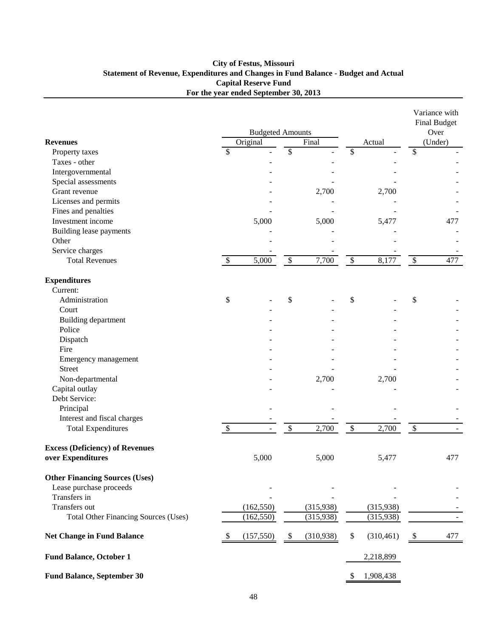# **City of Festus, Missouri Statement of Revenue, Expenditures and Changes in Fund Balance - Budget and Actual Capital Reserve Fund For the year ended September 30, 2013**

|                                             |               |                         |               |           |                 |            |                          | Variance with       |
|---------------------------------------------|---------------|-------------------------|---------------|-----------|-----------------|------------|--------------------------|---------------------|
|                                             |               |                         |               |           |                 |            |                          | <b>Final Budget</b> |
|                                             |               | <b>Budgeted Amounts</b> |               |           |                 |            |                          | Over                |
| <b>Revenues</b>                             | $\mathcal{S}$ | Original                |               | Final     |                 | Actual     | \$                       | (Under)             |
| Property taxes<br>Taxes - other             |               |                         | \$            |           | \$              |            |                          |                     |
|                                             |               |                         |               |           |                 |            |                          |                     |
| Intergovernmental<br>Special assessments    |               |                         |               |           |                 |            |                          |                     |
| Grant revenue                               |               |                         |               | 2,700     |                 |            |                          |                     |
|                                             |               |                         |               |           |                 | 2,700      |                          |                     |
| Licenses and permits<br>Fines and penalties |               |                         |               |           |                 |            |                          |                     |
| Investment income                           |               | 5,000                   |               | 5,000     |                 | 5,477      |                          | 477                 |
|                                             |               |                         |               |           |                 |            |                          |                     |
| Building lease payments<br>Other            |               |                         |               |           |                 |            |                          |                     |
| Service charges                             |               |                         |               |           |                 |            |                          |                     |
| <b>Total Revenues</b>                       | $\mathcal{S}$ | 5,000                   | $\$\,$        | 7,700     | $\overline{\$}$ | 8,177      | $\overline{\mathcal{S}}$ | 477                 |
|                                             |               |                         |               |           |                 |            |                          |                     |
| <b>Expenditures</b>                         |               |                         |               |           |                 |            |                          |                     |
| Current:                                    |               |                         |               |           |                 |            |                          |                     |
| Administration                              | \$            |                         | \$            |           | \$              |            | \$                       |                     |
| Court                                       |               |                         |               |           |                 |            |                          |                     |
| Building department                         |               |                         |               |           |                 |            |                          |                     |
| Police                                      |               |                         |               |           |                 |            |                          |                     |
| Dispatch                                    |               |                         |               |           |                 |            |                          |                     |
| Fire                                        |               |                         |               |           |                 |            |                          |                     |
| Emergency management                        |               |                         |               |           |                 |            |                          |                     |
| <b>Street</b>                               |               |                         |               |           |                 |            |                          |                     |
| Non-departmental                            |               |                         |               | 2,700     |                 | 2,700      |                          |                     |
| Capital outlay                              |               |                         |               |           |                 |            |                          |                     |
| Debt Service:                               |               |                         |               |           |                 |            |                          |                     |
| Principal                                   |               |                         |               |           |                 |            |                          |                     |
| Interest and fiscal charges                 |               |                         |               |           |                 |            |                          |                     |
| <b>Total Expenditures</b>                   | \$            |                         | $\$$          | 2,700     | $\mathbb{S}$    | 2,700      | $\overline{\$}$          |                     |
| <b>Excess (Deficiency) of Revenues</b>      |               |                         |               |           |                 |            |                          |                     |
| over Expenditures                           |               | 5,000                   |               | 5,000     |                 | 5,477      |                          | 477                 |
|                                             |               |                         |               |           |                 |            |                          |                     |
| <b>Other Financing Sources (Uses)</b>       |               |                         |               |           |                 |            |                          |                     |
| Lease purchase proceeds                     |               |                         |               |           |                 |            |                          |                     |
| Transfers in                                |               |                         |               |           |                 |            |                          |                     |
| Transfers out                               |               | (162, 550)              |               | (315,938) |                 | (315,938)  |                          |                     |
| Total Other Financing Sources (Uses)        |               | (162, 550)              |               | (315,938) |                 | (315,938)  |                          |                     |
| <b>Net Change in Fund Balance</b>           | S             | (157, 550)              | $\frac{1}{2}$ | (310,938) | $\$$            | (310, 461) | \$                       | 477                 |
| <b>Fund Balance, October 1</b>              |               |                         |               |           |                 | 2,218,899  |                          |                     |
| <b>Fund Balance, September 30</b>           |               |                         |               |           |                 | 1,908,438  |                          |                     |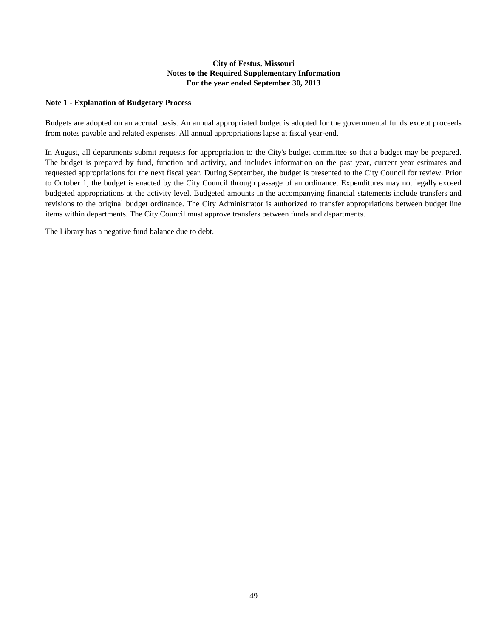#### **Note 1 - Explanation of Budgetary Process**

Budgets are adopted on an accrual basis. An annual appropriated budget is adopted for the governmental funds except proceeds from notes payable and related expenses. All annual appropriations lapse at fiscal year-end.

In August, all departments submit requests for appropriation to the City's budget committee so that a budget may be prepared. The budget is prepared by fund, function and activity, and includes information on the past year, current year estimates and requested appropriations for the next fiscal year. During September, the budget is presented to the City Council for review. Prior to October 1, the budget is enacted by the City Council through passage of an ordinance. Expenditures may not legally exceed budgeted appropriations at the activity level. Budgeted amounts in the accompanying financial statements include transfers and revisions to the original budget ordinance. The City Administrator is authorized to transfer appropriations between budget line items within departments. The City Council must approve transfers between funds and departments.

The Library has a negative fund balance due to debt.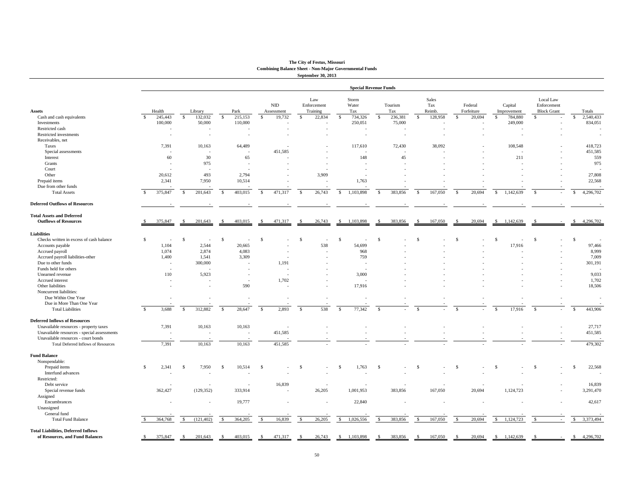#### **The City of Festus, Missouri Combining Balance Sheet - Non-Major Governmental Funds September 30, 2013**

|                                                                               |              |         |               |                |               |         |               |            |              |                    |              | <b>Special Revenue Funds</b> |               |                |               |              |               |            |               |             |                          |               |             |
|-------------------------------------------------------------------------------|--------------|---------|---------------|----------------|---------------|---------|---------------|------------|--------------|--------------------|--------------|------------------------------|---------------|----------------|---------------|--------------|---------------|------------|---------------|-------------|--------------------------|---------------|-------------|
|                                                                               |              |         |               |                |               |         |               | NID        |              | Law<br>Enforcement |              | Storm<br>Water               |               | Tourism        |               | Sales<br>Tax |               | Federal    |               | Capital     | Local Law<br>Enforcement |               |             |
| <b>Assets</b>                                                                 |              | Health  |               | Library        |               | Park    |               | Assessment |              | Training           |              | Tax                          |               | Tax            |               | Reimb.       |               | Forfeiture |               | Improvement | <b>Block Grant</b>       |               | Totals      |
| Cash and cash equivalents                                                     | $\mathbf{s}$ | 245,443 | <sup>\$</sup> | 132,032        | $\mathbb{S}$  | 215,153 | \$            | 19,732     | s            | 22,834             | - \$         | 734,326                      | $\sqrt{s}$    | 236,381        | $\mathbb{S}$  | 128,958      | $\mathbb{S}$  | 20,694     | $\sqrt{S}$    | 784,880     | $\mathbf{\hat{S}}$       | $\mathbb{S}$  | 2,540,433   |
| Investments                                                                   |              | 100,000 |               | 50,000         |               | 110,000 |               |            |              |                    |              | 250,051                      |               | 75,000         |               |              |               |            |               | 249,000     |                          |               | 834,051     |
| Restricted cash                                                               |              |         |               | ÷.             |               |         |               |            |              |                    |              |                              |               |                |               |              |               |            |               |             |                          |               |             |
| Restricted investments                                                        |              | $\sim$  |               | $\sim$         |               |         |               |            |              |                    |              |                              |               | $\overline{a}$ |               |              |               |            |               |             |                          |               |             |
| Receivables, net                                                              |              |         |               |                |               |         |               |            |              |                    |              |                              |               |                |               |              |               |            |               |             |                          |               |             |
| Taxes                                                                         |              | 7,391   |               | 10,163         |               | 64,489  |               |            |              |                    |              | 117,610                      |               | 72,430         |               | 38,092       |               |            |               | 108,548     |                          |               | 418,723     |
| Special assessments                                                           |              |         |               | $\overline{a}$ |               |         |               | 451,585    |              |                    |              |                              |               |                |               |              |               |            |               |             |                          |               | 451,585     |
| Interest                                                                      |              | 60      |               | 30             |               | 65      |               |            |              |                    |              | 148                          |               | 45             |               |              |               |            |               | 211         |                          |               | 559         |
| Grants                                                                        |              |         |               | 975            |               |         |               |            |              |                    |              |                              |               |                |               |              |               |            |               |             |                          |               | 975         |
| Court                                                                         |              |         |               | ÷,             |               |         |               |            |              |                    |              |                              |               |                |               |              |               |            |               |             |                          |               |             |
| Other                                                                         |              | 20,612  |               | 493            |               | 2,794   |               |            |              | 3,909              |              |                              |               |                |               |              |               |            |               |             |                          |               | 27,808      |
| Prepaid items                                                                 |              | 2,341   |               | 7,950          |               | 10,514  |               |            |              |                    |              | 1,763                        |               |                |               |              |               |            |               |             |                          |               | 22,568      |
| Due from other funds                                                          |              |         |               |                |               |         |               |            |              |                    |              |                              |               |                |               |              |               |            |               |             |                          |               |             |
| <b>Total Assets</b>                                                           | $\mathbb{S}$ | 375,847 | -S            | 201,643        | $\mathbb{S}$  | 403,015 | -S            | 471,317    | -S           | 26,743             | \$           | 1,103,898                    | $\mathbb{S}$  | 383,856        | <sup>\$</sup> | 167,050      | - \$          | 20,694     | $\mathbb{S}$  | 1,142,639   | - \$                     | <sup>\$</sup> | 4,296,702   |
| <b>Deferred Outflows of Resources</b>                                         |              |         |               |                |               |         |               |            |              |                    |              |                              |               |                |               |              |               |            |               |             |                          |               |             |
| <b>Total Assets and Deferred</b>                                              |              |         |               |                |               |         |               |            |              |                    |              |                              |               |                |               |              |               |            |               |             |                          |               |             |
| <b>Outflows of Resources</b>                                                  |              | 375,847 |               | 201,643        | $\mathcal{S}$ | 403,015 |               | 471,317    |              | 26,743             | \$           | 1,103,898                    | -S            | 383,856        |               | 167,050      |               | 20,694     | $\mathcal{S}$ | 1,142,639   |                          | $\mathbb{S}$  | 4,296,702   |
| <b>Liabilities</b>                                                            |              |         |               |                |               |         |               |            |              |                    |              |                              |               |                |               |              |               |            |               |             |                          |               |             |
| Checks written in excess of cash balance                                      | \$.          |         | -S            |                | $\mathcal{S}$ |         | <sup>\$</sup> |            |              |                    | \$           |                              | $\mathcal{S}$ |                |               |              |               |            | S.            |             | -S                       | -S            |             |
|                                                                               |              | 1,104   |               | 2,544          |               | 20,665  |               |            |              | 538                |              | 54,699                       |               |                |               |              |               |            |               | 17,916      |                          |               | 97,466      |
| Accounts payable                                                              |              | 1,074   |               | 2,874          |               | 4,083   |               |            |              |                    |              | 968                          |               |                |               |              |               |            |               |             |                          |               | 8,999       |
| Accrued payroll                                                               |              |         |               |                |               |         |               |            |              |                    |              |                              |               |                |               |              |               |            |               |             |                          |               |             |
| Accrued payroll liabilities-other                                             |              | 1,400   |               | 1,541          |               | 3,309   |               | ÷,         |              |                    |              | 759                          |               |                |               |              |               |            |               |             |                          |               | 7,009       |
| Due to other funds                                                            |              |         |               | 300,000        |               |         |               | 1,191      |              |                    |              |                              |               |                |               |              |               |            |               |             |                          |               | 301,191     |
| Funds held for others                                                         |              |         |               |                |               |         |               | $\sim$     |              |                    |              |                              |               |                |               |              |               |            |               |             |                          |               |             |
| Unearned revenue                                                              |              | 110     |               | 5,923          |               |         |               |            |              |                    |              | 3,000                        |               |                |               |              |               |            |               |             |                          |               | 9,033       |
| Accrued interest                                                              |              |         |               |                |               |         |               | 1,702      |              |                    |              |                              |               |                |               |              |               |            |               |             |                          |               | 1,702       |
| Other liabilities                                                             |              |         |               |                |               | 590     |               |            |              |                    |              | 17,916                       |               |                |               |              |               |            |               |             |                          |               | 18,506      |
| Noncurrent liabilities:                                                       |              |         |               |                |               |         |               |            |              |                    |              |                              |               |                |               |              |               |            |               |             |                          |               |             |
| Due Within One Year                                                           |              |         |               |                |               |         |               |            |              |                    |              |                              |               |                |               |              |               |            |               |             |                          |               |             |
| Due in More Than One Year                                                     |              |         |               |                |               |         |               |            |              |                    |              |                              |               |                |               |              |               |            |               |             |                          |               |             |
| <b>Total Liabilities</b>                                                      | $\mathbf{s}$ | 3,688   | -8            | 312,882        | $\mathcal{S}$ | 28,647  | - \$          | 2,893      | $\mathbf{s}$ | 538                | $\mathbf{s}$ | 77,342                       | $\mathbf{s}$  |                | $\mathbf{s}$  |              | $\mathcal{S}$ |            | $\mathcal{S}$ | 17.916      | - \$                     | <sup>\$</sup> | 443,906     |
| <b>Deferred Inflows of Resources</b>                                          |              |         |               |                |               |         |               |            |              |                    |              |                              |               |                |               |              |               |            |               |             |                          |               |             |
| Unavailable resources - property taxes                                        |              | 7,391   |               | 10,163         |               | 10,163  |               |            |              |                    |              |                              |               |                |               |              |               |            |               |             |                          |               | 27,717      |
| Unavailable resources - special assessments                                   |              |         |               |                |               |         |               | 451,585    |              |                    |              |                              |               |                |               |              |               |            |               |             |                          |               | 451,585     |
| Unavailable resources - court bonds                                           |              |         |               |                |               |         |               |            |              |                    |              |                              |               |                |               |              |               |            |               |             |                          |               | $\sim$      |
| Total Deferred Inflows of Resources                                           |              | 7,391   |               | 10,163         |               | 10,163  |               | 451,585    |              |                    |              |                              |               |                |               |              |               |            |               |             |                          |               | 479,302     |
| <b>Fund Balance</b>                                                           |              |         |               |                |               |         |               |            |              |                    |              |                              |               |                |               |              |               |            |               |             |                          |               |             |
| Nonspendable:                                                                 |              |         |               |                |               |         |               |            |              |                    |              |                              |               |                |               |              |               |            |               |             |                          |               |             |
| Prepaid items                                                                 | \$           | 2,341   | -S            | 7,950          | -S            | 10,514  | -S            |            |              |                    | S            | 1,763                        | -S            |                |               |              | S             |            |               |             |                          | -S            | 22,568      |
| Interfund advances                                                            |              |         |               |                |               |         |               |            |              |                    |              |                              |               |                |               |              |               |            |               |             |                          |               |             |
| Restricted:                                                                   |              |         |               |                |               |         |               |            |              |                    |              |                              |               |                |               |              |               |            |               |             |                          |               |             |
| Debt service                                                                  |              |         |               |                |               |         |               | 16,839     |              |                    |              |                              |               |                |               |              |               |            |               |             |                          |               | 16,839      |
| Special revenue funds                                                         |              | 362,427 |               | (129, 352)     |               | 333,914 |               |            |              | 26,205             |              | 1,001,953                    |               | 383,856        |               | 167,050      |               | 20,694     |               | 1,124,723   |                          |               | 3,291,470   |
| Assigned                                                                      |              |         |               |                |               |         |               |            |              |                    |              |                              |               |                |               |              |               |            |               |             |                          |               |             |
| Encumbrances                                                                  |              |         |               |                |               | 19,777  |               |            |              | $\overline{a}$     |              | 22,840                       |               |                |               |              |               |            |               |             |                          |               | 42,617      |
| Unassigned                                                                    |              |         |               |                |               |         |               |            |              |                    |              |                              |               |                |               |              |               |            |               |             |                          |               |             |
| General fund                                                                  |              |         |               |                |               |         |               |            |              |                    |              |                              |               |                |               |              |               |            |               |             |                          |               |             |
| <b>Total Fund Balance</b>                                                     | -S           | 364,768 | -S            | (121, 402)     | -8            | 364,205 |               | 16,839     | -S           | 26,205             | - \$         | 1,026,556                    | -S            | 383,856        | -S            | 167,050      | - \$          | 20,694     | $\mathbf{s}$  | 1,124,723   |                          | s             | 3.373.494   |
|                                                                               |              |         |               |                |               |         |               |            |              |                    |              |                              |               |                |               |              |               |            |               |             |                          |               |             |
| <b>Total Liabilities, Deferred Inflows</b><br>of Resources, and Fund Balances | $\mathbb{S}$ | 375,847 | -S            | 201,643        | - \$          | 403,015 | $\mathbf{s}$  | 471,317    | -S           | 26,743             | $\mathbb{S}$ | 1,103,898                    | $\mathbb{S}$  | 383,856        | <sup>\$</sup> | 167,050      | - \$          | 20,694     | $\mathcal{S}$ | 1,142,639   | - \$<br>$\sim$           |               | \$4,296,702 |
|                                                                               |              |         |               |                |               |         |               |            |              |                    |              |                              |               |                |               |              |               |            |               |             |                          |               |             |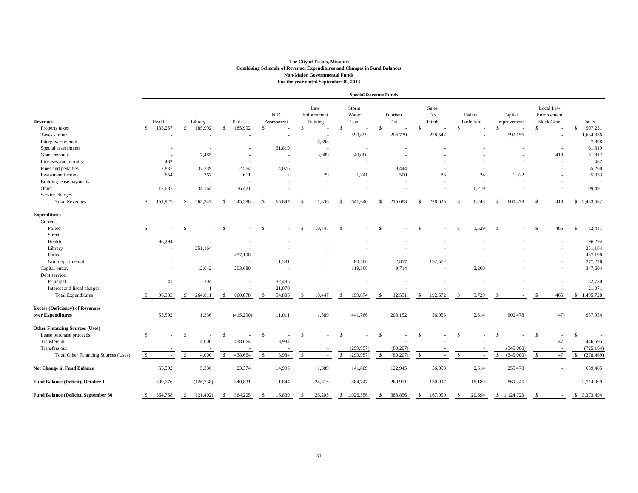#### **The City of Festus, Missouri Combining Schedule of Revenue, Expenditures and Changes in Fund Balances For the year ended September 30, 2013 Non-Major Governmental Funds**

|                                          |               |         |               |                          |               | <b>Special Revenue Funds</b> |               |                          |               |                          |               |                |               |                                     |               |                           |              |            |              |                   |               |                          |                                      |
|------------------------------------------|---------------|---------|---------------|--------------------------|---------------|------------------------------|---------------|--------------------------|---------------|--------------------------|---------------|----------------|---------------|-------------------------------------|---------------|---------------------------|--------------|------------|--------------|-------------------|---------------|--------------------------|--------------------------------------|
|                                          |               |         |               |                          |               |                              |               | <b>NID</b>               |               | Law<br>Enforcement       |               | Storm<br>Water |               | Tourism                             |               | Sales<br>Tax              |              | Federal    |              | Capital           |               | Local Law<br>Enforcement |                                      |
| <b>Revenues</b>                          |               | Health  |               | Library                  |               | Park                         |               | Assessment               |               | Training                 |               | Tax            |               | Tax                                 |               | Reimb.                    |              | Forfeiture |              | Improvement       | $\mathbf{s}$  | <b>Block Grant</b>       | Totals                               |
| Property taxes                           | $\mathbb{S}$  | 135,267 | <sup>\$</sup> | 185,992                  | $\mathbf{s}$  | 185,992                      | <sup>\$</sup> | $\overline{a}$           | $\mathbf{s}$  | $\overline{\phantom{a}}$ | <sup>\$</sup> | 599,899        | \$            | $\overline{\phantom{a}}$<br>206,739 | $\mathbb{S}$  | $\overline{a}$<br>228,542 | $\mathbb{S}$ |            | $\mathbf{s}$ | $\sim$<br>599,156 |               | $\overline{\phantom{a}}$ | 507,251<br><sup>S</sup><br>1,634,336 |
| Taxes - other<br>Intergovernmental       |               | ٠       |               |                          |               |                              |               |                          |               | ч.<br>7,898              |               |                |               |                                     |               |                           |              |            |              |                   |               |                          | 7,898                                |
| Special assessments                      |               |         |               |                          |               |                              |               | $\overline{a}$<br>61,819 |               | $\overline{a}$           |               |                |               | ٠                                   |               |                           |              |            |              |                   |               |                          | 61,819                               |
| Grant revenue                            |               |         |               | 7,485                    |               |                              |               | $\overline{\phantom{a}}$ |               | 3,909                    |               | 40,000         |               |                                     |               |                           |              |            |              |                   |               | 418                      | 51,812                               |
| Licenses and permits                     |               | 482     |               | $\overline{\phantom{a}}$ |               |                              |               |                          |               |                          |               |                |               |                                     |               |                           |              |            |              |                   |               |                          | 482                                  |
| Fines and penalties                      |               | 2,837   |               | 37,339                   |               | 2,564                        |               | 4,076                    |               | ч.                       |               |                |               | 8,444                               |               |                           |              |            |              |                   |               |                          | 55,260                               |
| Investment income                        |               | 654     |               | 367                      |               | 611                          |               | 2                        |               | 29                       |               | 1,741          |               | 500                                 |               | 83                        |              | 24         |              | 1,322             |               |                          | 5,333                                |
| Building lease payments                  |               | ٠       |               | <b>.</b>                 |               |                              |               |                          |               | $\overline{\phantom{a}}$ |               |                |               |                                     |               |                           |              |            |              |                   |               |                          |                                      |
| Other                                    |               | 12,687  |               | 34,164                   |               | 56,421                       |               |                          |               |                          |               |                |               |                                     |               |                           |              | 6,219      |              |                   |               |                          | 109,491                              |
|                                          |               |         |               |                          |               |                              |               |                          |               |                          |               |                |               |                                     |               |                           |              |            |              |                   |               |                          |                                      |
| Service charges<br><b>Total Revenues</b> | $\mathcal{S}$ | 151,927 | -8            | 265,347                  | <sup>\$</sup> | 245,588                      |               | 65,897                   | <sup>\$</sup> | 11,836                   | £.            | 641,640        | -\$           | 215,683                             | $\mathcal{S}$ | 228,625                   | -8           | 6,243      | -8           | 600,478           | - \$          | 418                      | 2,433,682<br>s.                      |
|                                          |               |         |               |                          |               |                              |               |                          |               |                          |               |                |               |                                     |               |                           |              |            |              |                   |               |                          |                                      |
| <b>Expenditures</b>                      |               |         |               |                          |               |                              |               |                          |               |                          |               |                |               |                                     |               |                           |              |            |              |                   |               |                          |                                      |
| Current:                                 |               |         |               |                          |               |                              |               |                          |               |                          |               |                |               |                                     |               |                           |              |            |              |                   |               |                          |                                      |
| Police                                   | $\mathbb{S}$  | ٠       | -S            |                          | $\mathcal{S}$ |                              | $\mathcal{S}$ |                          | $\mathcal{S}$ | 10,447                   | S             |                | $\mathcal{S}$ | $\overline{a}$                      | <sup>\$</sup> |                           | - \$         | 1,529      | - \$         |                   | $\mathcal{S}$ | 465                      | S<br>12,441                          |
| Street                                   |               |         |               |                          |               |                              |               |                          |               |                          |               |                |               |                                     |               |                           |              |            |              |                   |               |                          |                                      |
| Health                                   |               | 96,294  |               |                          |               |                              |               |                          |               |                          |               |                |               |                                     |               |                           |              |            |              |                   |               |                          | 96,294                               |
| Library                                  |               | ٠       |               | 251,164                  |               |                              |               |                          |               |                          |               |                |               |                                     |               |                           |              |            |              |                   |               |                          | 251,164                              |
| Parks                                    |               |         |               | $\overline{\phantom{a}}$ |               | 457,198                      |               |                          |               |                          |               |                |               |                                     |               |                           |              |            |              |                   |               |                          | 457,198                              |
| Non-departmental                         |               |         |               | $\overline{\phantom{a}}$ |               |                              |               | 1,331                    |               |                          |               | 80,506         |               | 2,817                               |               | 192,572                   |              |            |              |                   |               |                          | 277,226                              |
| Capital outlay                           |               |         |               | 12,642                   |               | 203,680                      |               |                          |               |                          |               | 119,368        |               | 9,714                               |               |                           |              | 2,200      |              |                   |               |                          | 347,604                              |
| Debt service:                            |               |         |               |                          |               |                              |               |                          |               |                          |               |                |               |                                     |               |                           |              |            |              |                   |               |                          |                                      |
| Principal                                |               | 41      |               | 204                      |               |                              |               | 32,485                   |               |                          |               |                |               |                                     |               |                           |              |            |              |                   |               |                          | 32,730                               |
| Interest and fiscal charges              |               |         |               |                          |               |                              |               | 21,070                   |               |                          |               |                |               |                                     |               |                           |              |            |              |                   |               |                          | 21,071                               |
| <b>Total Expenditures</b>                | -S            | 96,335  | -S            | 264,011                  | S.            | 660,878                      |               | 54,886                   | -S            | 10,447                   | s             | 199,874        | -S            | 12,531                              | <sup>\$</sup> | 192,572                   | -S           | 3,729      | -S           | $\sim$            | -S            | 465                      | \$1,495,728                          |
|                                          |               |         |               |                          |               |                              |               |                          |               |                          |               |                |               |                                     |               |                           |              |            |              |                   |               |                          |                                      |
| <b>Excess (Deficiency) of Revenues</b>   |               |         |               |                          |               |                              |               |                          |               |                          |               |                |               |                                     |               |                           |              |            |              |                   |               |                          |                                      |
| over Expenditures                        |               | 55,592  |               | 1,336                    |               | (415,290)                    |               | 11,011                   |               | 1,389                    |               | 441,766        |               | 203,152                             |               | 36,053                    |              | 2,514      |              | 600,478           |               | (47)                     | 937,954                              |
|                                          |               |         |               |                          |               |                              |               |                          |               |                          |               |                |               |                                     |               |                           |              |            |              |                   |               |                          |                                      |
| <b>Other Financing Sources (Uses)</b>    |               |         |               |                          |               |                              |               |                          |               |                          |               |                |               |                                     |               |                           |              |            |              |                   |               |                          |                                      |
| Lease purchase proceeds                  | $\mathbb{S}$  |         | -S            | $\overline{\phantom{a}}$ | <sup>\$</sup> |                              | -S            | $\overline{\phantom{a}}$ | -S            |                          | s             |                | -S            | $\overline{a}$                      | -S            |                           | -S           |            | -S           |                   | -S            | $\overline{\phantom{a}}$ | $\mathbb{S}$                         |
| Transfers in                             |               |         |               | 4,000                    |               | 438,664                      |               | 3,984                    |               |                          |               |                |               |                                     |               |                           |              |            |              |                   |               | 47                       | 446,695                              |
| Transfers out                            |               |         |               |                          |               |                              |               |                          |               |                          |               | (299, 957)     |               | (80, 207)                           |               |                           |              |            |              | (345,000)         |               |                          | (725, 164)                           |
| Total Other Financing Sources (Uses)     | $\mathbb{S}$  |         | -S            | 4,000                    | $\mathbf{s}$  | 438,664                      | -S            | 3,984                    | $\mathbf{s}$  |                          | s             | (299, 957)     | - \$          | (80, 207)                           | <sup>\$</sup> |                           | -8           |            | $\mathbf S$  | (345,000)         | -S            | 47                       | (278, 469)<br>$\mathbb{S}$           |
|                                          |               |         |               |                          |               |                              |               |                          |               |                          |               |                |               |                                     |               |                           |              |            |              |                   |               |                          |                                      |
| Net Change in Fund Balance               |               | 55,592  |               | 5,336                    |               | 23,374                       |               | 14,995                   |               | 1,389                    |               | 141,809        |               | 122,945                             |               | 36,053                    |              | 2,514      |              | 255,478           |               |                          | 659,485                              |
| Fund Balance (Deficit), October 1        |               | 309,176 |               | (126, 738)               |               | 340,831                      |               | 1,844                    |               | 24,816                   |               | 884,747        |               | 260,911                             |               | 130,997                   |              | 18,180     |              | 869,245           |               |                          | 2,714,009                            |
| Fund Balance (Deficit), September 30     | <sup>\$</sup> | 364,768 | -S            | (121, 402)               | -S            | 364,205                      |               | 16,839                   | -S            | 26,205                   |               | \$1,026,556    | -S            | 383,856                             | -S            | 167,050                   | - \$         | 20,694     |              | \$1,124,723       | - S           |                          | \$ 3,373,494                         |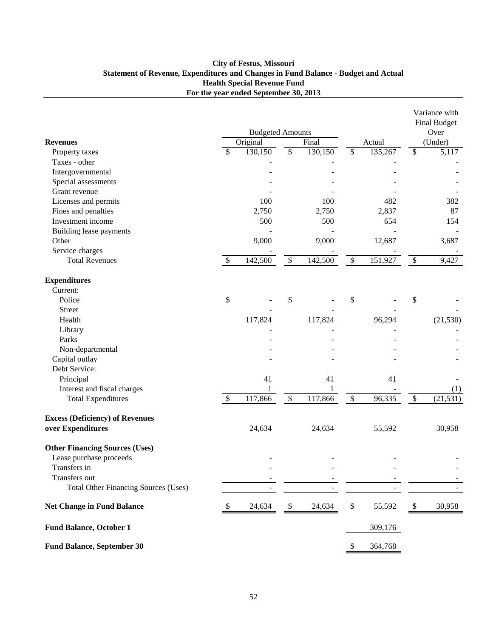# **City of Festus, Missouri Statement of Revenue, Expenditures and Changes in Fund Balance - Budget and Actual Health Special Revenue Fund For the year ended September 30, 2013**

|                                             |                          |                         |                 |              |                          |         |                           | Variance with<br><b>Final Budget</b> |
|---------------------------------------------|--------------------------|-------------------------|-----------------|--------------|--------------------------|---------|---------------------------|--------------------------------------|
|                                             |                          | <b>Budgeted Amounts</b> |                 |              |                          |         | Over                      |                                      |
| <b>Revenues</b>                             |                          | Original                |                 | Final        |                          | Actual  | (Under)                   |                                      |
| Property taxes                              | $\overline{\mathcal{S}}$ | 130,150                 | $\overline{\$}$ | 130,150      | $\overline{\mathcal{S}}$ | 135,267 | $\overline{\mathcal{S}}$  | 5,117                                |
| Taxes - other                               |                          |                         |                 |              |                          |         |                           |                                      |
| Intergovernmental                           |                          |                         |                 |              |                          |         |                           |                                      |
| Special assessments                         |                          |                         |                 |              |                          |         |                           |                                      |
| Grant revenue                               |                          |                         |                 |              |                          |         |                           |                                      |
| Licenses and permits                        |                          | 100                     |                 | 100          |                          | 482     |                           | 382                                  |
| Fines and penalties                         |                          | 2,750                   |                 | 2,750        |                          | 2,837   |                           | 87                                   |
| Investment income                           |                          | 500                     |                 | 500          |                          | 654     |                           | 154                                  |
| Building lease payments                     |                          |                         |                 |              |                          |         |                           |                                      |
| Other                                       |                          | 9,000                   |                 | 9,000        |                          | 12,687  |                           | 3,687                                |
| Service charges                             |                          |                         |                 |              |                          |         |                           |                                      |
| <b>Total Revenues</b>                       | $\mathcal{S}$            | 142,500                 | $\sqrt{\ }$     | 142,500      | $\$\,$                   | 151,927 | \$                        | 9,427                                |
| <b>Expenditures</b>                         |                          |                         |                 |              |                          |         |                           |                                      |
| Current:                                    |                          |                         |                 |              |                          |         |                           |                                      |
| Police                                      | \$                       |                         | \$              |              | \$                       |         | \$                        |                                      |
| <b>Street</b>                               |                          |                         |                 |              |                          |         |                           |                                      |
| Health                                      |                          | 117,824                 |                 | 117,824      |                          | 96,294  |                           | (21, 530)                            |
| Library                                     |                          |                         |                 |              |                          |         |                           |                                      |
| Parks                                       |                          |                         |                 |              |                          |         |                           |                                      |
| Non-departmental                            |                          |                         |                 |              |                          |         |                           |                                      |
| Capital outlay                              |                          |                         |                 |              |                          |         |                           |                                      |
| Debt Service:                               |                          |                         |                 |              |                          |         |                           |                                      |
| Principal                                   |                          | 41                      |                 | 41           |                          | 41      |                           |                                      |
| Interest and fiscal charges                 |                          | 1                       |                 | $\mathbf{1}$ |                          |         |                           | (1)                                  |
| <b>Total Expenditures</b>                   | $\mathcal{S}$            | 117,866                 | $\$\,$          | 117,866      | $\mathbb{S}$             | 96,335  | $\overline{\mathbb{S}}$   | (21, 531)                            |
| <b>Excess (Deficiency) of Revenues</b>      |                          |                         |                 |              |                          |         |                           |                                      |
| over Expenditures                           |                          | 24,634                  |                 | 24,634       |                          | 55,592  |                           | 30,958                               |
| <b>Other Financing Sources (Uses)</b>       |                          |                         |                 |              |                          |         |                           |                                      |
| Lease purchase proceeds                     |                          |                         |                 |              |                          |         |                           |                                      |
| Transfers in                                |                          |                         |                 |              |                          |         |                           |                                      |
| Transfers out                               |                          |                         |                 |              |                          |         |                           |                                      |
| <b>Total Other Financing Sources (Uses)</b> |                          |                         |                 |              |                          |         |                           |                                      |
| <b>Net Change in Fund Balance</b>           | \$                       | 24,634                  | \$              | 24,634       | \$                       | 55,592  | $\boldsymbol{\mathsf{S}}$ | 30,958                               |
| <b>Fund Balance, October 1</b>              |                          |                         |                 |              |                          | 309,176 |                           |                                      |
| <b>Fund Balance, September 30</b>           |                          |                         |                 |              | <sup>2</sup>             | 364,768 |                           |                                      |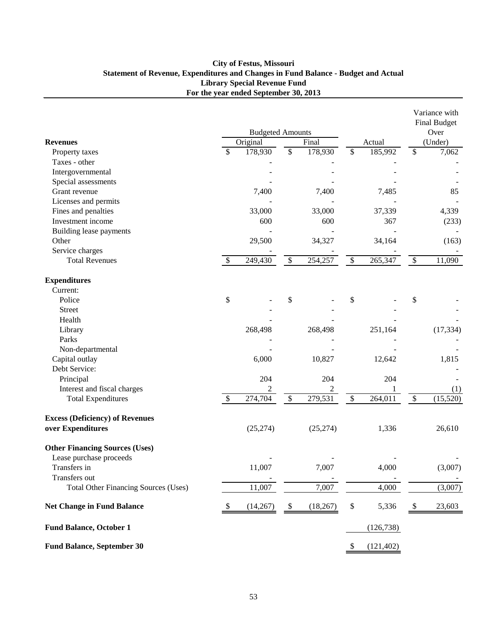# **City of Festus, Missouri Statement of Revenue, Expenditures and Changes in Fund Balance - Budget and Actual Library Special Revenue Fund For the year ended September 30, 2013**

|                                             |                           |                         |                           |           |                 |            |                             | Variance with |
|---------------------------------------------|---------------------------|-------------------------|---------------------------|-----------|-----------------|------------|-----------------------------|---------------|
|                                             |                           | <b>Budgeted Amounts</b> |                           |           |                 |            | <b>Final Budget</b><br>Over |               |
| <b>Revenues</b>                             |                           | Original                |                           | Final     |                 | Actual     |                             | (Under)       |
| Property taxes                              | $\overline{\mathcal{S}}$  | 178,930                 | $\overline{\$}$           | 178,930   | $\overline{\$}$ | 185,992    | $\overline{\mathcal{S}}$    | 7,062         |
| Taxes - other                               |                           |                         |                           |           |                 |            |                             |               |
| Intergovernmental                           |                           |                         |                           |           |                 |            |                             |               |
| Special assessments                         |                           |                         |                           |           |                 |            |                             |               |
| Grant revenue                               |                           | 7,400                   |                           | 7,400     |                 | 7,485      |                             | 85            |
| Licenses and permits                        |                           |                         |                           |           |                 |            |                             |               |
| Fines and penalties                         |                           | 33,000                  |                           | 33,000    |                 | 37,339     |                             | 4,339         |
| Investment income                           |                           | 600                     |                           | 600       |                 | 367        |                             | (233)         |
| Building lease payments                     |                           |                         |                           |           |                 |            |                             |               |
| Other                                       |                           | 29,500                  |                           | 34,327    |                 | 34,164     |                             | (163)         |
| Service charges                             |                           |                         |                           |           |                 |            |                             |               |
| <b>Total Revenues</b>                       | $\mathcal{S}$             | 249,430                 | $\mathbb{S}$              | 254,257   | $\mathbb{S}$    | 265,347    | $\overline{\mathcal{L}}$    | 11,090        |
| <b>Expenditures</b>                         |                           |                         |                           |           |                 |            |                             |               |
| Current:                                    |                           |                         |                           |           |                 |            |                             |               |
| Police                                      | \$                        |                         | \$                        |           | \$              |            | \$                          |               |
| <b>Street</b>                               |                           |                         |                           |           |                 |            |                             |               |
| Health                                      |                           |                         |                           |           |                 |            |                             |               |
| Library                                     |                           | 268,498                 |                           | 268,498   |                 | 251,164    |                             | (17, 334)     |
| Parks                                       |                           |                         |                           |           |                 |            |                             |               |
| Non-departmental                            |                           |                         |                           |           |                 |            |                             |               |
| Capital outlay                              |                           | 6,000                   |                           | 10,827    |                 | 12,642     |                             | 1,815         |
| Debt Service:                               |                           |                         |                           |           |                 |            |                             |               |
| Principal                                   |                           | 204                     |                           | 204       |                 | 204        |                             |               |
| Interest and fiscal charges                 |                           | 2                       |                           | 2         |                 | 1          |                             | (1)           |
| <b>Total Expenditures</b>                   | $\boldsymbol{\mathsf{S}}$ | 274,704                 | $\boldsymbol{\mathsf{S}}$ | 279,531   | \$              | 264,011    | $\$\,$                      | (15,520)      |
| <b>Excess (Deficiency) of Revenues</b>      |                           |                         |                           |           |                 |            |                             |               |
| over Expenditures                           |                           | (25, 274)               |                           | (25, 274) |                 | 1,336      |                             | 26,610        |
| <b>Other Financing Sources (Uses)</b>       |                           |                         |                           |           |                 |            |                             |               |
| Lease purchase proceeds                     |                           |                         |                           |           |                 |            |                             |               |
| Transfers in                                |                           | 11,007                  |                           | 7,007     |                 | 4,000      |                             | (3,007)       |
| Transfers out                               |                           |                         |                           |           |                 |            |                             |               |
| <b>Total Other Financing Sources (Uses)</b> |                           | 11,007                  |                           | 7,007     |                 | 4,000      |                             | (3,007)       |
| <b>Net Change in Fund Balance</b>           |                           | (14,267)                | $\mathcal{S}$             | (18, 267) | $\$$            | 5,336      | \$                          | 23,603        |
| <b>Fund Balance, October 1</b>              |                           |                         |                           |           |                 | (126, 738) |                             |               |
| <b>Fund Balance, September 30</b>           |                           |                         |                           |           |                 | (121, 402) |                             |               |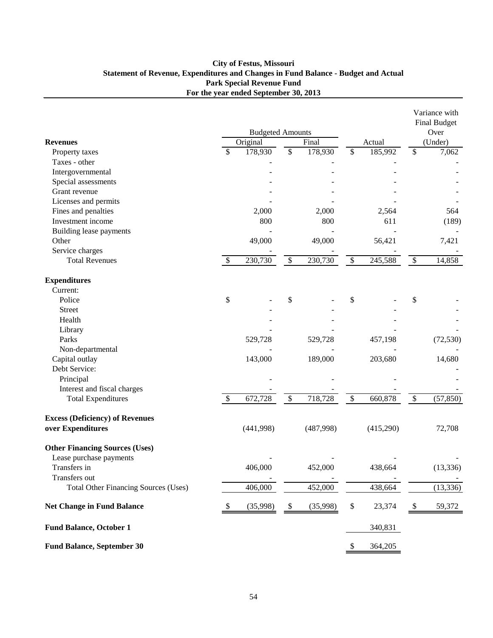# **City of Festus, Missouri Statement of Revenue, Expenditures and Changes in Fund Balance - Budget and Actual Park Special Revenue Fund For the year ended September 30, 2013**

|                                             |               |                         |                 |              |              | Variance with<br><b>Final Budget</b> |                            |           |
|---------------------------------------------|---------------|-------------------------|-----------------|--------------|--------------|--------------------------------------|----------------------------|-----------|
|                                             |               | <b>Budgeted Amounts</b> |                 |              |              |                                      |                            | Over      |
| <b>Revenues</b>                             |               | Original                |                 | Final        |              | Actual                               |                            | (Under)   |
| Property taxes                              | $\mathcal{S}$ | 178,930                 | $\overline{\$}$ | 178,930      | \$           | 185,992                              | \$                         | 7,062     |
| Taxes - other                               |               |                         |                 |              |              |                                      |                            |           |
| Intergovernmental                           |               |                         |                 |              |              |                                      |                            |           |
| Special assessments                         |               |                         |                 |              |              |                                      |                            |           |
| Grant revenue                               |               |                         |                 |              |              |                                      |                            |           |
| Licenses and permits                        |               |                         |                 |              |              |                                      |                            |           |
| Fines and penalties<br>Investment income    |               | 2,000<br>800            |                 | 2,000<br>800 |              | 2,564<br>611                         |                            | 564       |
|                                             |               |                         |                 |              |              |                                      |                            | (189)     |
| Building lease payments                     |               | 49,000                  |                 | 49,000       |              |                                      |                            |           |
| Other                                       |               |                         |                 |              |              | 56,421                               |                            | 7,421     |
| Service charges<br><b>Total Revenues</b>    | $\mathcal{S}$ | 230,730                 | $\$\,$          | 230,730      | \$           | 245,588                              | $\overline{\mathcal{S}}$   | 14,858    |
|                                             |               |                         |                 |              |              |                                      |                            |           |
| <b>Expenditures</b>                         |               |                         |                 |              |              |                                      |                            |           |
| Current:                                    |               |                         |                 |              |              |                                      |                            |           |
| Police                                      | \$            |                         | \$              |              | \$           |                                      | \$                         |           |
| <b>Street</b>                               |               |                         |                 |              |              |                                      |                            |           |
| Health                                      |               |                         |                 |              |              |                                      |                            |           |
| Library                                     |               |                         |                 |              |              |                                      |                            |           |
| Parks                                       |               | 529,728                 |                 | 529,728      |              | 457,198                              |                            | (72, 530) |
| Non-departmental                            |               |                         |                 |              |              |                                      |                            |           |
| Capital outlay                              |               | 143,000                 |                 | 189,000      |              | 203,680                              |                            | 14,680    |
| Debt Service:                               |               |                         |                 |              |              |                                      |                            |           |
| Principal                                   |               |                         |                 |              |              |                                      |                            |           |
| Interest and fiscal charges                 |               |                         |                 |              |              |                                      |                            |           |
| <b>Total Expenditures</b>                   | $\mathcal{S}$ | 672,728                 | $\mathbb{S}$    | 718,728      | $\mathbb{S}$ | 660,878                              | $\mathbb{S}$               | (57, 850) |
| <b>Excess (Deficiency) of Revenues</b>      |               |                         |                 |              |              |                                      |                            |           |
| over Expenditures                           |               | (441,998)               |                 | (487,998)    |              | (415,290)                            |                            | 72,708    |
| <b>Other Financing Sources (Uses)</b>       |               |                         |                 |              |              |                                      |                            |           |
| Lease purchase payments                     |               |                         |                 |              |              |                                      |                            |           |
| Transfers in                                |               | 406,000                 |                 | 452,000      |              | 438,664                              |                            | (13, 336) |
| Transfers out                               |               |                         |                 |              |              |                                      |                            |           |
| <b>Total Other Financing Sources (Uses)</b> |               | 406,000                 |                 | 452,000      |              | 438,664                              |                            | (13, 336) |
| <b>Net Change in Fund Balance</b>           | -S            | (35,998)                | $\mathcal{S}$   | (35,998)     | \$           | 23,374                               | $\boldsymbol{\mathsf{\$}}$ | 59,372    |
| <b>Fund Balance, October 1</b>              |               |                         |                 |              |              | 340,831                              |                            |           |
| <b>Fund Balance, September 30</b>           |               |                         |                 |              |              | 364,205                              |                            |           |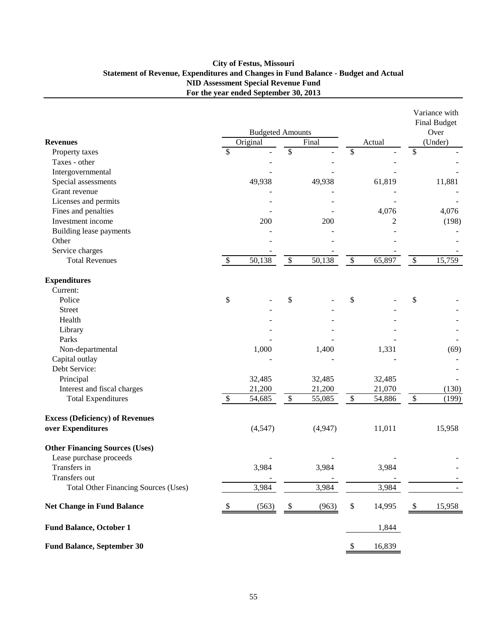# **City of Festus, Missouri Statement of Revenue, Expenditures and Changes in Fund Balance - Budget and Actual NID Assessment Special Revenue Fund For the year ended September 30, 2013**

|                                             |                          |                                     |                 |         |              |        |                                        | Variance with |
|---------------------------------------------|--------------------------|-------------------------------------|-----------------|---------|--------------|--------|----------------------------------------|---------------|
|                                             |                          |                                     |                 |         |              |        | <b>Final Budget</b><br>Over<br>(Under) |               |
| <b>Revenues</b>                             |                          | <b>Budgeted Amounts</b><br>Original |                 | Final   |              |        |                                        |               |
|                                             | $\overline{\mathcal{S}}$ |                                     | $\overline{\$}$ |         | \$           | Actual | \$                                     |               |
| Property taxes<br>Taxes - other             |                          |                                     |                 |         |              |        |                                        |               |
|                                             |                          |                                     |                 |         |              |        |                                        |               |
| Intergovernmental                           |                          |                                     |                 |         |              |        |                                        |               |
| Special assessments                         |                          | 49,938                              |                 | 49,938  |              | 61,819 |                                        | 11,881        |
| Grant revenue                               |                          |                                     |                 |         |              |        |                                        |               |
| Licenses and permits                        |                          |                                     |                 |         |              |        |                                        |               |
| Fines and penalties                         |                          |                                     |                 |         |              | 4,076  |                                        | 4,076         |
| Investment income                           |                          | 200                                 |                 | 200     |              | 2      |                                        | (198)         |
| Building lease payments                     |                          |                                     |                 |         |              |        |                                        |               |
| Other                                       |                          |                                     |                 |         |              |        |                                        |               |
| Service charges                             |                          |                                     |                 |         |              |        |                                        |               |
| <b>Total Revenues</b>                       | $\mathcal{S}$            | 50,138                              | $\$\,$          | 50,138  | $\mathbb{S}$ | 65,897 | $\$\,$                                 | 15,759        |
| <b>Expenditures</b>                         |                          |                                     |                 |         |              |        |                                        |               |
| Current:                                    |                          |                                     |                 |         |              |        |                                        |               |
| Police                                      | $\$$                     |                                     | \$              |         | \$           |        | \$                                     |               |
| <b>Street</b>                               |                          |                                     |                 |         |              |        |                                        |               |
| Health                                      |                          |                                     |                 |         |              |        |                                        |               |
| Library                                     |                          |                                     |                 |         |              |        |                                        |               |
| Parks                                       |                          |                                     |                 |         |              |        |                                        |               |
| Non-departmental                            |                          | 1,000                               |                 | 1,400   |              | 1,331  |                                        | (69)          |
| Capital outlay                              |                          |                                     |                 |         |              |        |                                        |               |
| Debt Service:                               |                          |                                     |                 |         |              |        |                                        |               |
| Principal                                   |                          | 32,485                              |                 | 32,485  |              | 32,485 |                                        |               |
| Interest and fiscal charges                 |                          | 21,200                              |                 | 21,200  |              | 21,070 |                                        | (130)         |
| <b>Total Expenditures</b>                   | $\mathcal{S}$            | 54,685                              | $\frac{1}{2}$   | 55,085  | $\$\,$       | 54,886 | $\mathcal{S}$                          | (199)         |
| <b>Excess (Deficiency) of Revenues</b>      |                          |                                     |                 |         |              |        |                                        |               |
| over Expenditures                           |                          | (4,547)                             |                 | (4,947) |              | 11,011 |                                        | 15,958        |
| <b>Other Financing Sources (Uses)</b>       |                          |                                     |                 |         |              |        |                                        |               |
| Lease purchase proceeds                     |                          |                                     |                 |         |              |        |                                        |               |
| Transfers in                                |                          | 3,984                               |                 | 3,984   |              | 3,984  |                                        |               |
| Transfers out                               |                          |                                     |                 |         |              |        |                                        |               |
| <b>Total Other Financing Sources (Uses)</b> |                          | 3,984                               |                 | 3,984   |              | 3,984  |                                        | $\sim$        |
| <b>Net Change in Fund Balance</b>           | -S                       | (563)                               | $\mathcal{S}$   | (963)   | $\$$         | 14,995 | $\mathcal{S}$                          | 15,958        |
| <b>Fund Balance, October 1</b>              |                          |                                     |                 |         |              | 1,844  |                                        |               |
| <b>Fund Balance, September 30</b>           |                          |                                     |                 |         | -\$          | 16,839 |                                        |               |
|                                             |                          |                                     |                 |         |              |        |                                        |               |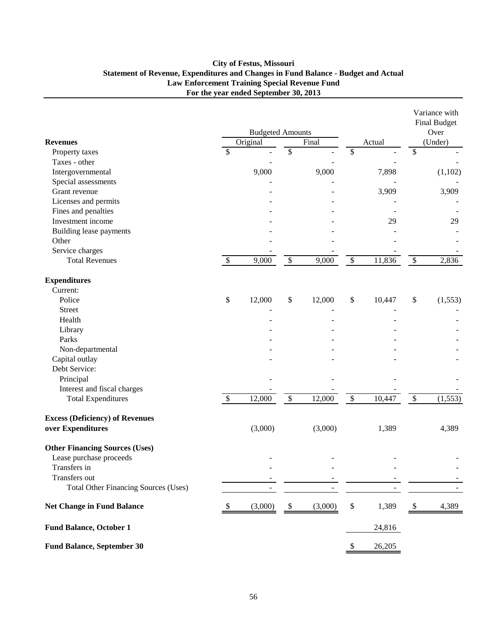# **City of Festus, Missouri Statement of Revenue, Expenditures and Changes in Fund Balance - Budget and Actual Law Enforcement Training Special Revenue Fund For the year ended September 30, 2013**

|                                             |               |                         |                           |         |                 |        | Variance with<br><b>Final Budget</b> |          |
|---------------------------------------------|---------------|-------------------------|---------------------------|---------|-----------------|--------|--------------------------------------|----------|
|                                             |               | <b>Budgeted Amounts</b> |                           |         |                 |        |                                      | Over     |
| <b>Revenues</b>                             | $\mathcal{S}$ | Original                | \$                        | Final   | \$              | Actual | $\boldsymbol{\mathsf{S}}$            | (Under)  |
| Property taxes<br>Taxes - other             |               |                         |                           |         |                 |        |                                      |          |
| Intergovernmental                           |               | 9,000                   |                           | 9,000   |                 | 7,898  |                                      | (1,102)  |
| Special assessments                         |               |                         |                           |         |                 |        |                                      |          |
| Grant revenue                               |               |                         |                           |         |                 | 3,909  |                                      | 3,909    |
| Licenses and permits                        |               |                         |                           |         |                 |        |                                      |          |
| Fines and penalties                         |               |                         |                           |         |                 |        |                                      |          |
| Investment income                           |               |                         |                           |         |                 | 29     |                                      | 29       |
| Building lease payments                     |               |                         |                           |         |                 |        |                                      |          |
| Other                                       |               |                         |                           |         |                 |        |                                      |          |
| Service charges                             |               |                         |                           |         |                 |        |                                      |          |
| <b>Total Revenues</b>                       | $\mathcal{S}$ | 9,000                   | $\overline{\$}$           | 9,000   | $\overline{\$}$ | 11,836 | $\overline{\mathcal{L}}$             | 2,836    |
|                                             |               |                         |                           |         |                 |        |                                      |          |
| <b>Expenditures</b>                         |               |                         |                           |         |                 |        |                                      |          |
| Current:                                    |               |                         |                           |         |                 |        |                                      |          |
| Police                                      | \$            | 12,000                  | \$                        | 12,000  | \$              | 10,447 | \$                                   | (1,553)  |
| <b>Street</b>                               |               |                         |                           |         |                 |        |                                      |          |
| Health                                      |               |                         |                           |         |                 |        |                                      |          |
| Library                                     |               |                         |                           |         |                 |        |                                      |          |
| Parks                                       |               |                         |                           |         |                 |        |                                      |          |
| Non-departmental                            |               |                         |                           |         |                 |        |                                      |          |
| Capital outlay                              |               |                         |                           |         |                 |        |                                      |          |
| Debt Service:                               |               |                         |                           |         |                 |        |                                      |          |
| Principal                                   |               |                         |                           |         |                 |        |                                      |          |
| Interest and fiscal charges                 |               |                         |                           |         |                 |        |                                      |          |
| <b>Total Expenditures</b>                   | $\mathcal{S}$ | 12,000                  | $\mathbb{S}$              | 12,000  | $\mathbb{S}$    | 10,447 | $\$\,$                               | (1, 553) |
| <b>Excess (Deficiency) of Revenues</b>      |               |                         |                           |         |                 |        |                                      |          |
| over Expenditures                           |               | (3,000)                 |                           | (3,000) |                 | 1,389  |                                      | 4,389    |
|                                             |               |                         |                           |         |                 |        |                                      |          |
| <b>Other Financing Sources (Uses)</b>       |               |                         |                           |         |                 |        |                                      |          |
| Lease purchase proceeds                     |               |                         |                           |         |                 |        |                                      |          |
| Transfers in                                |               |                         |                           |         |                 |        |                                      |          |
| Transfers out                               |               |                         |                           |         |                 |        |                                      |          |
| <b>Total Other Financing Sources (Uses)</b> |               |                         |                           |         |                 |        |                                      |          |
| <b>Net Change in Fund Balance</b>           |               | (3,000)                 | $\boldsymbol{\mathsf{S}}$ | (3,000) | \$              | 1,389  | -\$                                  | 4,389    |
| <b>Fund Balance, October 1</b>              |               |                         |                           |         |                 | 24,816 |                                      |          |
| <b>Fund Balance, September 30</b>           |               |                         |                           |         |                 | 26,205 |                                      |          |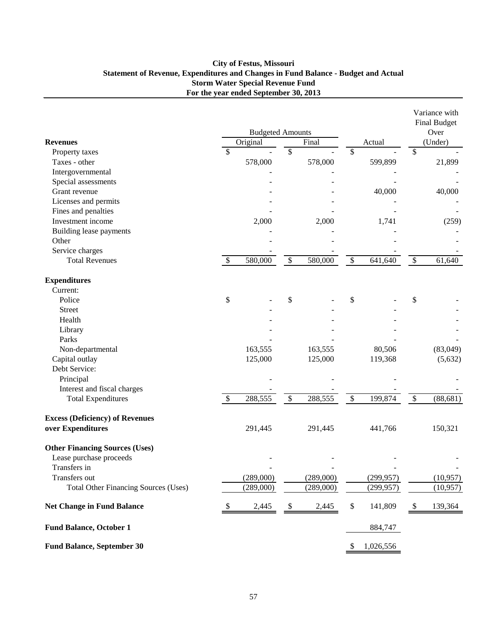# **City of Festus, Missouri Statement of Revenue, Expenditures and Changes in Fund Balance - Budget and Actual Storm Water Special Revenue Fund For the year ended September 30, 2013**

|                                             |                           |                         |                         |           |              |            |                          | Variance with<br><b>Final Budget</b> |
|---------------------------------------------|---------------------------|-------------------------|-------------------------|-----------|--------------|------------|--------------------------|--------------------------------------|
|                                             |                           | <b>Budgeted Amounts</b> |                         |           |              |            |                          | Over                                 |
| <b>Revenues</b>                             |                           | $\overline{O}$ riginal  |                         | Final     |              | Actual     |                          | (Under)                              |
| Property taxes                              | $\mathbb{S}$              |                         | $\overline{\$}$         |           | \$           |            | $\overline{\mathcal{S}}$ |                                      |
| Taxes - other                               |                           | 578,000                 |                         | 578,000   |              | 599,899    |                          | 21,899                               |
| Intergovernmental                           |                           |                         |                         |           |              |            |                          |                                      |
| Special assessments                         |                           |                         |                         |           |              |            |                          |                                      |
| Grant revenue                               |                           |                         |                         |           |              | 40,000     |                          | 40,000                               |
| Licenses and permits                        |                           |                         |                         |           |              |            |                          |                                      |
| Fines and penalties                         |                           |                         |                         |           |              |            |                          |                                      |
| Investment income                           |                           | 2,000                   |                         | 2,000     |              | 1,741      |                          | (259)                                |
| Building lease payments                     |                           |                         |                         |           |              |            |                          |                                      |
| Other                                       |                           |                         |                         |           |              |            |                          |                                      |
| Service charges                             |                           |                         |                         |           |              |            |                          |                                      |
| <b>Total Revenues</b>                       | $\mathcal{S}$             | 580,000                 | $\mathbb{S}$            | 580,000   | \$           | 641,640    | $\$\,$                   | 61,640                               |
| <b>Expenditures</b>                         |                           |                         |                         |           |              |            |                          |                                      |
| Current:                                    |                           |                         |                         |           |              |            |                          |                                      |
| Police                                      | \$                        |                         | \$                      |           | \$           |            | \$                       |                                      |
| <b>Street</b>                               |                           |                         |                         |           |              |            |                          |                                      |
| Health                                      |                           |                         |                         |           |              |            |                          |                                      |
| Library                                     |                           |                         |                         |           |              |            |                          |                                      |
| Parks                                       |                           |                         |                         |           |              |            |                          |                                      |
| Non-departmental                            |                           | 163,555                 |                         | 163,555   |              | 80,506     |                          | (83,049)                             |
| Capital outlay                              |                           | 125,000                 |                         | 125,000   |              | 119,368    |                          | (5,632)                              |
| Debt Service:                               |                           |                         |                         |           |              |            |                          |                                      |
| Principal                                   |                           |                         |                         |           |              |            |                          |                                      |
| Interest and fiscal charges                 |                           |                         |                         |           |              |            |                          |                                      |
| <b>Total Expenditures</b>                   | $\mathcal{S}$             | 288,555                 | $\sqrt[6]{\frac{1}{2}}$ | 288,555   | $\mathbb{S}$ | 199,874    | $\mathbb{S}$             | (88, 681)                            |
| <b>Excess (Deficiency) of Revenues</b>      |                           |                         |                         |           |              |            |                          |                                      |
| over Expenditures                           |                           | 291,445                 |                         | 291,445   |              | 441,766    |                          | 150,321                              |
| <b>Other Financing Sources (Uses)</b>       |                           |                         |                         |           |              |            |                          |                                      |
| Lease purchase proceeds                     |                           |                         |                         |           |              |            |                          |                                      |
| Transfers in                                |                           |                         |                         |           |              |            |                          |                                      |
| Transfers out                               |                           | (289,000)               |                         | (289,000) |              | (299, 957) |                          | (10, 957)                            |
| <b>Total Other Financing Sources (Uses)</b> |                           | (289,000)               |                         | (289,000) |              | (299, 957) |                          | (10, 957)                            |
| <b>Net Change in Fund Balance</b>           | $\boldsymbol{\mathsf{S}}$ | 2,445                   | $\frac{1}{2}$           | 2,445     | \$           | 141,809    | $\mathcal{S}$            | 139,364                              |
| <b>Fund Balance, October 1</b>              |                           |                         |                         |           |              | 884,747    |                          |                                      |
| <b>Fund Balance, September 30</b>           |                           |                         |                         |           | \$           | 1,026,556  |                          |                                      |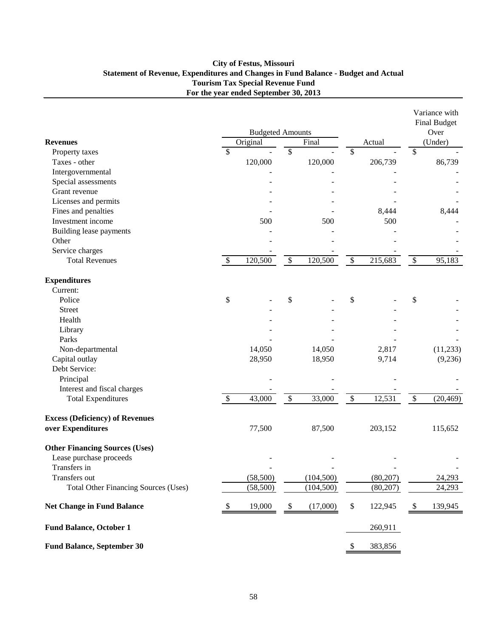# **City of Festus, Missouri Statement of Revenue, Expenditures and Changes in Fund Balance - Budget and Actual Tourism Tax Special Revenue Fund For the year ended September 30, 2013**

|                                             |               | <b>Budgeted Amounts</b> |                 |            |              |           | Variance with<br><b>Final Budget</b><br>Over |           |
|---------------------------------------------|---------------|-------------------------|-----------------|------------|--------------|-----------|----------------------------------------------|-----------|
| <b>Revenues</b>                             |               | Original                |                 | Final      |              | Actual    |                                              | (Under)   |
| Property taxes                              | $\mathbb{S}$  |                         | $\overline{\$}$ |            | \$           |           | $\overline{\mathcal{S}}$                     |           |
| Taxes - other                               |               | 120,000                 |                 | 120,000    |              | 206,739   |                                              | 86,739    |
| Intergovernmental                           |               |                         |                 |            |              |           |                                              |           |
| Special assessments                         |               |                         |                 |            |              |           |                                              |           |
| Grant revenue                               |               |                         |                 |            |              |           |                                              |           |
| Licenses and permits                        |               |                         |                 |            |              |           |                                              |           |
| Fines and penalties                         |               |                         |                 |            |              | 8,444     |                                              | 8,444     |
| Investment income                           |               | 500                     |                 | 500        |              | 500       |                                              |           |
| Building lease payments                     |               |                         |                 |            |              |           |                                              |           |
| Other                                       |               |                         |                 |            |              |           |                                              |           |
| Service charges                             |               |                         |                 |            |              |           |                                              |           |
| <b>Total Revenues</b>                       | $\mathcal{S}$ | 120,500                 | $\$\,$          | 120,500    | \$           | 215,683   | $\sqrt{3}$                                   | 95,183    |
| <b>Expenditures</b>                         |               |                         |                 |            |              |           |                                              |           |
| Current:                                    |               |                         |                 |            |              |           |                                              |           |
| Police                                      | \$            |                         | \$              |            | \$           |           | \$                                           |           |
| <b>Street</b>                               |               |                         |                 |            |              |           |                                              |           |
| Health                                      |               |                         |                 |            |              |           |                                              |           |
| Library                                     |               |                         |                 |            |              |           |                                              |           |
| Parks                                       |               |                         |                 |            |              |           |                                              |           |
| Non-departmental                            |               | 14,050                  |                 | 14,050     |              | 2,817     |                                              | (11,233)  |
| Capital outlay                              |               | 28,950                  |                 | 18,950     |              | 9,714     |                                              | (9,236)   |
| Debt Service:                               |               |                         |                 |            |              |           |                                              |           |
| Principal                                   |               |                         |                 |            |              |           |                                              |           |
| Interest and fiscal charges                 |               |                         |                 |            |              |           |                                              |           |
| <b>Total Expenditures</b>                   | $\mathcal{S}$ | 43,000                  | $\mathbb{S}$    | 33,000     | $\mathbb{S}$ | 12,531    | $\mathbb{S}$                                 | (20, 469) |
| <b>Excess (Deficiency) of Revenues</b>      |               |                         |                 |            |              |           |                                              |           |
| over Expenditures                           |               | 77,500                  |                 | 87,500     |              | 203,152   |                                              | 115,652   |
| <b>Other Financing Sources (Uses)</b>       |               |                         |                 |            |              |           |                                              |           |
| Lease purchase proceeds                     |               |                         |                 |            |              |           |                                              |           |
| Transfers in                                |               |                         |                 |            |              |           |                                              |           |
| Transfers out                               |               | (58, 500)               |                 | (104, 500) |              | (80, 207) |                                              | 24,293    |
| <b>Total Other Financing Sources (Uses)</b> |               | (58, 500)               |                 | (104, 500) |              | (80, 207) |                                              | 24,293    |
| <b>Net Change in Fund Balance</b>           | $\mathcal{S}$ | 19,000                  | $\mathcal{S}$   | (17,000)   | \$           | 122,945   | $\boldsymbol{\mathcal{S}}$                   | 139,945   |
| <b>Fund Balance, October 1</b>              |               |                         |                 |            |              | 260,911   |                                              |           |
| <b>Fund Balance, September 30</b>           |               |                         |                 |            |              | 383,856   |                                              |           |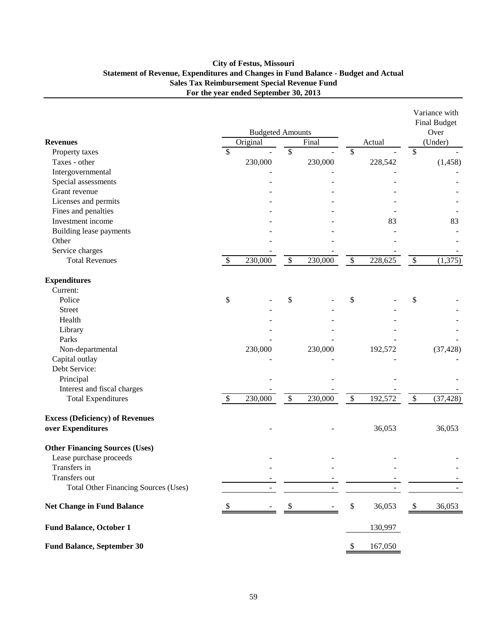# **City of Festus, Missouri Statement of Revenue, Expenditures and Changes in Fund Balance - Budget and Actual Sales Tax Reimbursement Special Revenue Fund For the year ended September 30, 2013**

|                                             |                           |                         |                           |         |                 |         | Variance with<br><b>Final Budget</b> |           |
|---------------------------------------------|---------------------------|-------------------------|---------------------------|---------|-----------------|---------|--------------------------------------|-----------|
|                                             |                           | <b>Budgeted Amounts</b> |                           |         |                 |         |                                      | Over      |
| <b>Revenues</b>                             | \$                        | Original                | $\overline{\mathcal{S}}$  | Final   | $\overline{\$}$ | Actual  | $\overline{\$}$                      | (Under)   |
| Property taxes<br>Taxes - other             |                           | 230,000                 |                           | 230,000 |                 | 228,542 |                                      | (1, 458)  |
| Intergovernmental                           |                           |                         |                           |         |                 |         |                                      |           |
| Special assessments                         |                           |                         |                           |         |                 |         |                                      |           |
| Grant revenue                               |                           |                         |                           |         |                 |         |                                      |           |
| Licenses and permits                        |                           |                         |                           |         |                 |         |                                      |           |
| Fines and penalties                         |                           |                         |                           |         |                 |         |                                      |           |
| Investment income                           |                           |                         |                           |         |                 | 83      |                                      | 83        |
| Building lease payments                     |                           |                         |                           |         |                 |         |                                      |           |
| Other                                       |                           |                         |                           |         |                 |         |                                      |           |
| Service charges                             |                           |                         |                           |         |                 |         |                                      |           |
| <b>Total Revenues</b>                       | $\mathcal{S}$             | 230,000                 | $\boldsymbol{\mathsf{S}}$ | 230,000 | $\$\,$          | 228,625 | $\$\,$                               | (1,375)   |
| <b>Expenditures</b>                         |                           |                         |                           |         |                 |         |                                      |           |
| Current:                                    |                           |                         |                           |         |                 |         |                                      |           |
| Police                                      | \$                        |                         | \$                        |         | \$              |         | \$                                   |           |
| <b>Street</b>                               |                           |                         |                           |         |                 |         |                                      |           |
| Health                                      |                           |                         |                           |         |                 |         |                                      |           |
| Library                                     |                           |                         |                           |         |                 |         |                                      |           |
| Parks                                       |                           |                         |                           |         |                 |         |                                      |           |
| Non-departmental                            |                           | 230,000                 |                           | 230,000 |                 | 192,572 |                                      | (37, 428) |
| Capital outlay                              |                           |                         |                           |         |                 |         |                                      |           |
| Debt Service:                               |                           |                         |                           |         |                 |         |                                      |           |
| Principal                                   |                           |                         |                           |         |                 |         |                                      |           |
| Interest and fiscal charges                 |                           |                         |                           |         |                 |         |                                      |           |
| <b>Total Expenditures</b>                   | $\boldsymbol{\mathsf{S}}$ | 230,000                 | $\boldsymbol{\$}$         | 230,000 | $\$\,$          | 192,572 | $\boldsymbol{\mathsf{S}}$            | (37, 428) |
| <b>Excess (Deficiency) of Revenues</b>      |                           |                         |                           |         |                 |         |                                      |           |
| over Expenditures                           |                           |                         |                           |         |                 | 36,053  |                                      | 36,053    |
| <b>Other Financing Sources (Uses)</b>       |                           |                         |                           |         |                 |         |                                      |           |
| Lease purchase proceeds                     |                           |                         |                           |         |                 |         |                                      |           |
| Transfers in                                |                           |                         |                           |         |                 |         |                                      |           |
| Transfers out                               |                           |                         |                           |         |                 |         |                                      |           |
| <b>Total Other Financing Sources (Uses)</b> |                           |                         |                           |         |                 |         |                                      |           |
| <b>Net Change in Fund Balance</b>           |                           |                         |                           |         | \$              | 36,053  | \$                                   | 36,053    |
| <b>Fund Balance, October 1</b>              |                           |                         |                           |         |                 | 130,997 |                                      |           |
| <b>Fund Balance, September 30</b>           |                           |                         |                           |         |                 | 167,050 |                                      |           |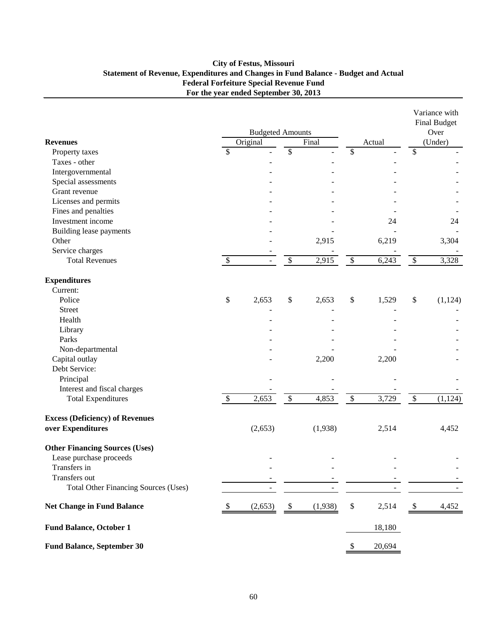# **City of Festus, Missouri Statement of Revenue, Expenditures and Changes in Fund Balance - Budget and Actual Federal Forfeiture Special Revenue Fund For the year ended September 30, 2013**

|                                             |               | <b>Budgeted Amounts</b> |                            |         |              | Variance with<br><b>Final Budget</b><br>Over |                          |          |
|---------------------------------------------|---------------|-------------------------|----------------------------|---------|--------------|----------------------------------------------|--------------------------|----------|
| <b>Revenues</b>                             |               | Original                |                            | Final   |              | Actual                                       |                          | (Under)  |
| Property taxes                              | $\mathcal{S}$ |                         | \$                         |         | \$           |                                              | \$                       |          |
| Taxes - other                               |               |                         |                            |         |              |                                              |                          |          |
| Intergovernmental                           |               |                         |                            |         |              |                                              |                          |          |
| Special assessments                         |               |                         |                            |         |              |                                              |                          |          |
| Grant revenue                               |               |                         |                            |         |              |                                              |                          |          |
| Licenses and permits                        |               |                         |                            |         |              |                                              |                          |          |
| Fines and penalties                         |               |                         |                            |         |              |                                              |                          |          |
| Investment income                           |               |                         |                            |         |              | 24                                           |                          | 24       |
| Building lease payments                     |               |                         |                            |         |              |                                              |                          |          |
| Other                                       |               |                         |                            | 2,915   |              | 6,219                                        |                          | 3,304    |
| Service charges                             |               |                         |                            |         |              |                                              |                          |          |
| <b>Total Revenues</b>                       | $\mathcal{S}$ |                         | \$                         | 2,915   | \$           | 6,243                                        | $\overline{\mathcal{S}}$ | 3,328    |
| <b>Expenditures</b>                         |               |                         |                            |         |              |                                              |                          |          |
| Current:                                    |               |                         |                            |         |              |                                              |                          |          |
| Police                                      | \$            | 2,653                   | \$                         | 2,653   | \$           | 1,529                                        | \$                       | (1, 124) |
| <b>Street</b>                               |               |                         |                            |         |              |                                              |                          |          |
| Health                                      |               |                         |                            |         |              |                                              |                          |          |
| Library                                     |               |                         |                            |         |              |                                              |                          |          |
| Parks                                       |               |                         |                            |         |              |                                              |                          |          |
| Non-departmental                            |               |                         |                            |         |              |                                              |                          |          |
| Capital outlay                              |               |                         |                            | 2,200   |              | 2,200                                        |                          |          |
| Debt Service:                               |               |                         |                            |         |              |                                              |                          |          |
| Principal                                   |               |                         |                            |         |              |                                              |                          |          |
| Interest and fiscal charges                 |               |                         |                            |         |              |                                              |                          |          |
| <b>Total Expenditures</b>                   | $\mathcal{S}$ | 2,653                   | $\sqrt{3}$                 | 4,853   | $\mathbb{S}$ | 3,729                                        | $\sqrt{3}$               | (1, 124) |
| <b>Excess (Deficiency) of Revenues</b>      |               |                         |                            |         |              |                                              |                          |          |
| over Expenditures                           |               | (2,653)                 |                            | (1,938) |              | 2,514                                        |                          | 4,452    |
| <b>Other Financing Sources (Uses)</b>       |               |                         |                            |         |              |                                              |                          |          |
| Lease purchase proceeds                     |               |                         |                            |         |              |                                              |                          |          |
| Transfers in                                |               |                         |                            |         |              |                                              |                          |          |
| Transfers out                               |               |                         |                            |         |              |                                              |                          |          |
| <b>Total Other Financing Sources (Uses)</b> |               |                         |                            |         |              |                                              |                          |          |
| <b>Net Change in Fund Balance</b>           | <sup>8</sup>  | (2,653)                 | $\boldsymbol{\mathcal{S}}$ | (1,938) | \$           | 2,514                                        | -\$                      | 4,452    |
| <b>Fund Balance, October 1</b>              |               |                         |                            |         |              | 18,180                                       |                          |          |
| <b>Fund Balance, September 30</b>           |               |                         |                            |         | \$           | 20,694                                       |                          |          |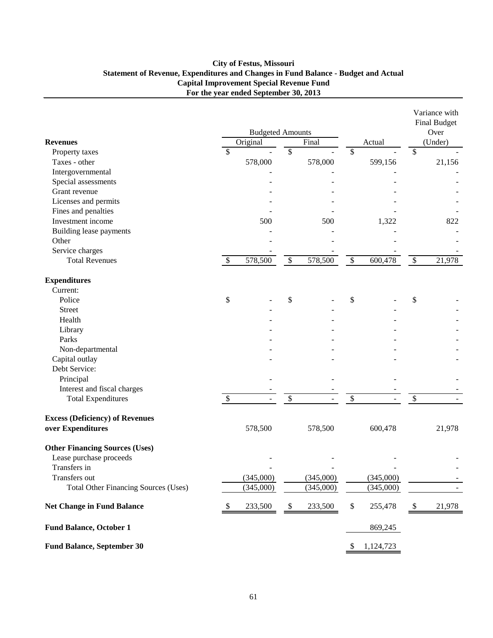# **City of Festus, Missouri Statement of Revenue, Expenditures and Changes in Fund Balance - Budget and Actual Capital Improvement Special Revenue Fund For the year ended September 30, 2013**

|                                             |                          |                         |                         |           |              |           | Variance with<br><b>Final Budget</b> |         |
|---------------------------------------------|--------------------------|-------------------------|-------------------------|-----------|--------------|-----------|--------------------------------------|---------|
|                                             |                          | <b>Budgeted Amounts</b> |                         |           |              |           |                                      | Over    |
| <b>Revenues</b>                             | $\overline{\mathcal{S}}$ | Original                | $\overline{\$}$         | Final     | \$           | Actual    | $\overline{\$}$                      | (Under) |
| Property taxes<br>Taxes - other             |                          | 578,000                 |                         | 578,000   |              | 599,156   |                                      | 21,156  |
| Intergovernmental                           |                          |                         |                         |           |              |           |                                      |         |
| Special assessments                         |                          |                         |                         |           |              |           |                                      |         |
| Grant revenue                               |                          |                         |                         |           |              |           |                                      |         |
| Licenses and permits                        |                          |                         |                         |           |              |           |                                      |         |
| Fines and penalties                         |                          |                         |                         |           |              |           |                                      |         |
| Investment income                           |                          | 500                     |                         | 500       |              | 1,322     |                                      | 822     |
| Building lease payments                     |                          |                         |                         |           |              |           |                                      |         |
| Other                                       |                          |                         |                         |           |              |           |                                      |         |
| Service charges                             |                          |                         |                         |           |              |           |                                      |         |
| <b>Total Revenues</b>                       | $\mathcal{S}$            | 578,500                 | $\$\,$                  | 578,500   | $\$$         | 600,478   | $\$\,$                               | 21,978  |
|                                             |                          |                         |                         |           |              |           |                                      |         |
| <b>Expenditures</b>                         |                          |                         |                         |           |              |           |                                      |         |
| Current:                                    |                          |                         |                         |           |              |           |                                      |         |
| Police                                      | $\$\,$                   |                         | \$                      |           | \$           |           | \$                                   |         |
| <b>Street</b>                               |                          |                         |                         |           |              |           |                                      |         |
| Health                                      |                          |                         |                         |           |              |           |                                      |         |
| Library                                     |                          |                         |                         |           |              |           |                                      |         |
| Parks                                       |                          |                         |                         |           |              |           |                                      |         |
| Non-departmental                            |                          |                         |                         |           |              |           |                                      |         |
| Capital outlay                              |                          |                         |                         |           |              |           |                                      |         |
| Debt Service:                               |                          |                         |                         |           |              |           |                                      |         |
| Principal                                   |                          |                         |                         |           |              |           |                                      |         |
| Interest and fiscal charges                 |                          |                         |                         |           |              |           |                                      |         |
| <b>Total Expenditures</b>                   | $\mathcal{S}$            |                         | $\sqrt[6]{\frac{1}{2}}$ |           | $\mathbb{S}$ |           | $\mathbb{S}$                         |         |
|                                             |                          |                         |                         |           |              |           |                                      |         |
| <b>Excess (Deficiency) of Revenues</b>      |                          |                         |                         |           |              |           |                                      |         |
| over Expenditures                           |                          | 578,500                 |                         | 578,500   |              | 600,478   |                                      | 21,978  |
| <b>Other Financing Sources (Uses)</b>       |                          |                         |                         |           |              |           |                                      |         |
| Lease purchase proceeds                     |                          |                         |                         |           |              |           |                                      |         |
| Transfers in                                |                          |                         |                         |           |              |           |                                      |         |
| Transfers out                               |                          | (345,000)               |                         | (345,000) |              | (345,000) |                                      |         |
| <b>Total Other Financing Sources (Uses)</b> |                          | (345,000)               |                         | (345,000) |              | (345,000) |                                      |         |
|                                             |                          |                         |                         |           |              |           |                                      |         |
| <b>Net Change in Fund Balance</b>           | $\sqrt{2}$               | 233,500                 | $\mathcal{S}$           | 233,500   | \$           | 255,478   | \$                                   | 21,978  |
| <b>Fund Balance, October 1</b>              |                          |                         |                         |           |              | 869,245   |                                      |         |
| <b>Fund Balance, September 30</b>           |                          |                         |                         |           |              | 1,124,723 |                                      |         |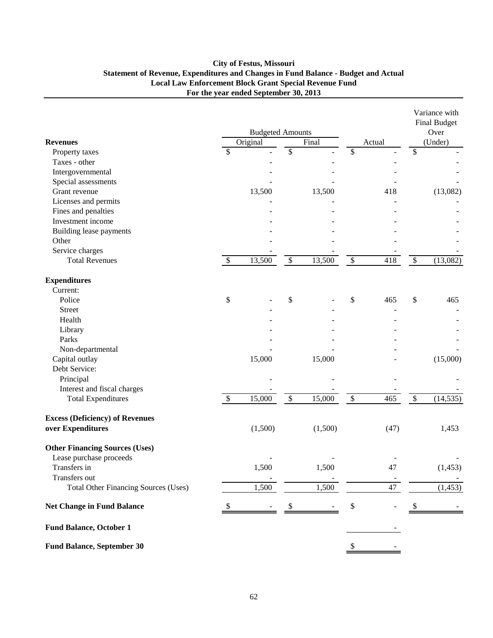# **City of Festus, Missouri Statement of Revenue, Expenditures and Changes in Fund Balance - Budget and Actual Local Law Enforcement Block Grant Special Revenue Fund For the year ended September 30, 2013**

|                                             |                          |                         |                          |         |                 |                          | Variance with<br><b>Final Budget</b> |           |
|---------------------------------------------|--------------------------|-------------------------|--------------------------|---------|-----------------|--------------------------|--------------------------------------|-----------|
|                                             |                          | <b>Budgeted Amounts</b> |                          |         |                 |                          |                                      | Over      |
| <b>Revenues</b>                             | $\mathcal{S}$            | Original                | \$                       | Final   | \$              | Actual<br>$\overline{a}$ | \$                                   | (Under)   |
| Property taxes<br>Taxes - other             |                          |                         |                          |         |                 |                          |                                      |           |
| Intergovernmental                           |                          |                         |                          |         |                 |                          |                                      |           |
| Special assessments                         |                          |                         |                          |         |                 |                          |                                      |           |
| Grant revenue                               |                          | 13,500                  |                          | 13,500  |                 | 418                      |                                      | (13,082)  |
| Licenses and permits                        |                          |                         |                          |         |                 |                          |                                      |           |
| Fines and penalties                         |                          |                         |                          |         |                 |                          |                                      |           |
| Investment income                           |                          |                         |                          |         |                 |                          |                                      |           |
| Building lease payments                     |                          |                         |                          |         |                 |                          |                                      |           |
| Other                                       |                          |                         |                          |         |                 |                          |                                      |           |
| Service charges                             |                          |                         |                          |         |                 |                          |                                      |           |
| <b>Total Revenues</b>                       | $\overline{\mathcal{S}}$ | 13,500                  | $\overline{\mathcal{S}}$ | 13,500  | $\overline{\$}$ | 418                      | $\overline{\$}$                      | (13,082)  |
|                                             |                          |                         |                          |         |                 |                          |                                      |           |
| <b>Expenditures</b>                         |                          |                         |                          |         |                 |                          |                                      |           |
| Current:                                    |                          |                         |                          |         |                 |                          |                                      |           |
| Police<br><b>Street</b>                     | \$                       |                         | \$                       |         | \$              | 465                      | \$                                   | 465       |
| Health                                      |                          |                         |                          |         |                 |                          |                                      |           |
| Library                                     |                          |                         |                          |         |                 |                          |                                      |           |
| Parks                                       |                          |                         |                          |         |                 |                          |                                      |           |
| Non-departmental                            |                          |                         |                          |         |                 |                          |                                      |           |
| Capital outlay                              |                          | 15,000                  |                          | 15,000  |                 |                          |                                      | (15,000)  |
| Debt Service:                               |                          |                         |                          |         |                 |                          |                                      |           |
| Principal                                   |                          |                         |                          |         |                 |                          |                                      |           |
| Interest and fiscal charges                 |                          |                         |                          |         |                 |                          |                                      |           |
| <b>Total Expenditures</b>                   | $\mathcal{S}$            | 15,000                  | $\boldsymbol{\$}$        | 15,000  | $\$\,$          | 465                      | $\mathbb{S}$                         | (14, 535) |
| <b>Excess (Deficiency) of Revenues</b>      |                          |                         |                          |         |                 |                          |                                      |           |
| over Expenditures                           |                          | (1,500)                 |                          | (1,500) |                 | (47)                     |                                      | 1,453     |
| <b>Other Financing Sources (Uses)</b>       |                          |                         |                          |         |                 |                          |                                      |           |
| Lease purchase proceeds                     |                          |                         |                          |         |                 |                          |                                      |           |
| Transfers in                                |                          | 1,500                   |                          | 1,500   |                 | 47                       |                                      | (1, 453)  |
| Transfers out                               |                          |                         |                          |         |                 |                          |                                      |           |
| <b>Total Other Financing Sources (Uses)</b> |                          | 1,500                   |                          | 1,500   |                 | 47                       |                                      | (1,453)   |
| <b>Net Change in Fund Balance</b>           | \$                       |                         | \$                       |         | \$              |                          | \$                                   |           |
| <b>Fund Balance, October 1</b>              |                          |                         |                          |         |                 |                          |                                      |           |
| <b>Fund Balance, September 30</b>           |                          |                         |                          |         |                 |                          |                                      |           |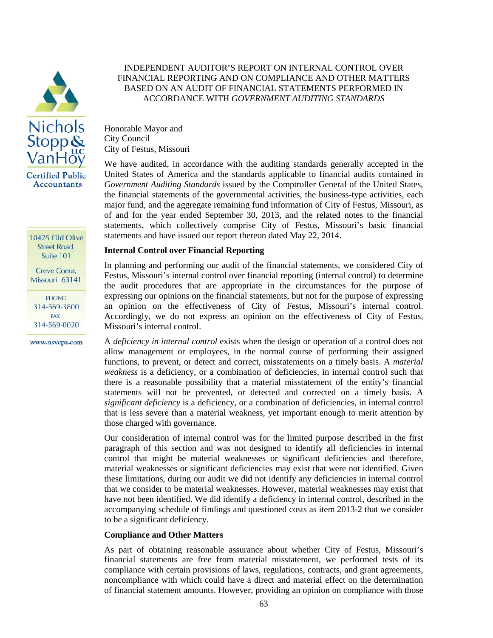

10425 Old Olive **Street Road**, Suite 101

Creve Coeur, Missouri 63141

PHONE: 314-569-3800 FAX: 314-569-0020

www.nsvcpa.com

# INDEPENDENT AUDITOR'S REPORT ON INTERNAL CONTROL OVER FINANCIAL REPORTING AND ON COMPLIANCE AND OTHER MATTERS BASED ON AN AUDIT OF FINANCIAL STATEMENTS PERFORMED IN ACCORDANCE WITH *GOVERNMENT AUDITING STANDARDS*

Honorable Mayor and City Council City of Festus, Missouri

We have audited, in accordance with the auditing standards generally accepted in the United States of America and the standards applicable to financial audits contained in *Government Auditing Standards* issued by the Comptroller General of the United States, the financial statements of the governmental activities, the business-type activities, each major fund, and the aggregate remaining fund information of City of Festus, Missouri, as of and for the year ended September 30, 2013, and the related notes to the financial statements, which collectively comprise City of Festus, Missouri's basic financial statements and have issued our report thereon dated May 22, 2014.

# **Internal Control over Financial Reporting**

In planning and performing our audit of the financial statements, we considered City of Festus, Missouri's internal control over financial reporting (internal control) to determine the audit procedures that are appropriate in the circumstances for the purpose of expressing our opinions on the financial statements, but not for the purpose of expressing an opinion on the effectiveness of City of Festus, Missouri's internal control. Accordingly, we do not express an opinion on the effectiveness of City of Festus, Missouri's internal control.

A *deficiency in internal control* exists when the design or operation of a control does not allow management or employees, in the normal course of performing their assigned functions, to prevent, or detect and correct, misstatements on a timely basis. A *material weakness* is a deficiency, or a combination of deficiencies, in internal control such that there is a reasonable possibility that a material misstatement of the entity's financial statements will not be prevented, or detected and corrected on a timely basis. A *significant deficiency* is a deficiency, or a combination of deficiencies, in internal control that is less severe than a material weakness, yet important enough to merit attention by those charged with governance.

Our consideration of internal control was for the limited purpose described in the first paragraph of this section and was not designed to identify all deficiencies in internal control that might be material weaknesses or significant deficiencies and therefore, material weaknesses or significant deficiencies may exist that were not identified. Given these limitations, during our audit we did not identify any deficiencies in internal control that we consider to be material weaknesses. However, material weaknesses may exist that have not been identified. We did identify a deficiency in internal control, described in the accompanying schedule of findings and questioned costs as item 2013-2 that we consider to be a significant deficiency.

# **Compliance and Other Matters**

As part of obtaining reasonable assurance about whether City of Festus, Missouri's financial statements are free from material misstatement, we performed tests of its compliance with certain provisions of laws, regulations, contracts, and grant agreements, noncompliance with which could have a direct and material effect on the determination of financial statement amounts. However, providing an opinion on compliance with those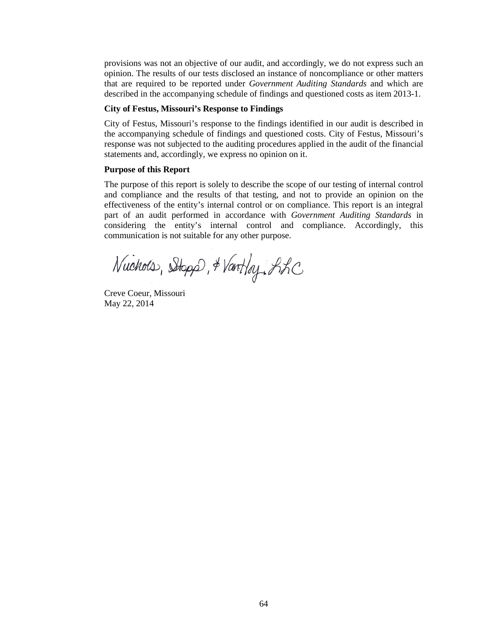provisions was not an objective of our audit, and accordingly, we do not express such an opinion. The results of our tests disclosed an instance of noncompliance or other matters that are required to be reported under *Government Auditing Standards* and which are described in the accompanying schedule of findings and questioned costs as item 2013-1.

### **City of Festus, Missouri's Response to Findings**

City of Festus, Missouri's response to the findings identified in our audit is described in the accompanying schedule of findings and questioned costs. City of Festus, Missouri's response was not subjected to the auditing procedures applied in the audit of the financial statements and, accordingly, we express no opinion on it.

#### **Purpose of this Report**

The purpose of this report is solely to describe the scope of our testing of internal control and compliance and the results of that testing, and not to provide an opinion on the effectiveness of the entity's internal control or on compliance. This report is an integral part of an audit performed in accordance with *Government Auditing Standards* in considering the entity's internal control and compliance. Accordingly, this communication is not suitable for any other purpose.

Nuchols, Stopp, & Vantlay, S.L.C.

Creve Coeur, Missouri May 22, 2014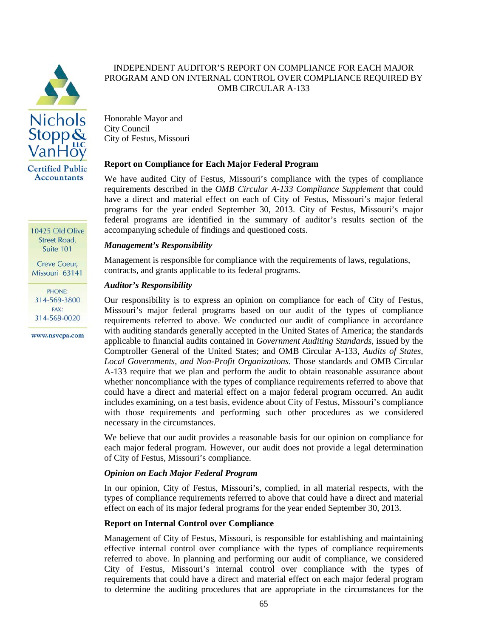

10425 Old Olive Street Road, Suite 101

**Creve Coeur,** Missouri 63141

PHONE: 314-569-3800 FAX<sup>\*</sup> 314-569-0020

www.nsvcpa.com

# INDEPENDENT AUDITOR'S REPORT ON COMPLIANCE FOR EACH MAJOR PROGRAM AND ON INTERNAL CONTROL OVER COMPLIANCE REQUIRED BY OMB CIRCULAR A-133

Honorable Mayor and City Council City of Festus, Missouri

# **Report on Compliance for Each Major Federal Program**

We have audited City of Festus, Missouri's compliance with the types of compliance requirements described in the *OMB Circular A-133 Compliance Supplement* that could have a direct and material effect on each of City of Festus, Missouri's major federal programs for the year ended September 30, 2013. City of Festus, Missouri's major federal programs are identified in the summary of auditor's results section of the accompanying schedule of findings and questioned costs.

# *Management's Responsibility*

Management is responsible for compliance with the requirements of laws, regulations, contracts, and grants applicable to its federal programs.

# *Auditor's Responsibility*

Our responsibility is to express an opinion on compliance for each of City of Festus, Missouri's major federal programs based on our audit of the types of compliance requirements referred to above. We conducted our audit of compliance in accordance with auditing standards generally accepted in the United States of America; the standards applicable to financial audits contained in *Government Auditing Standards*, issued by the Comptroller General of the United States; and OMB Circular A-133, *Audits of States, Local Governments, and Non-Profit Organizations*. Those standards and OMB Circular A-133 require that we plan and perform the audit to obtain reasonable assurance about whether noncompliance with the types of compliance requirements referred to above that could have a direct and material effect on a major federal program occurred. An audit includes examining, on a test basis, evidence about City of Festus, Missouri's compliance with those requirements and performing such other procedures as we considered necessary in the circumstances.

We believe that our audit provides a reasonable basis for our opinion on compliance for each major federal program. However, our audit does not provide a legal determination of City of Festus, Missouri's compliance.

# *Opinion on Each Major Federal Program*

In our opinion, City of Festus, Missouri's, complied, in all material respects, with the types of compliance requirements referred to above that could have a direct and material effect on each of its major federal programs for the year ended September 30, 2013.

# **Report on Internal Control over Compliance**

Management of City of Festus, Missouri, is responsible for establishing and maintaining effective internal control over compliance with the types of compliance requirements referred to above. In planning and performing our audit of compliance, we considered City of Festus, Missouri's internal control over compliance with the types of requirements that could have a direct and material effect on each major federal program to determine the auditing procedures that are appropriate in the circumstances for the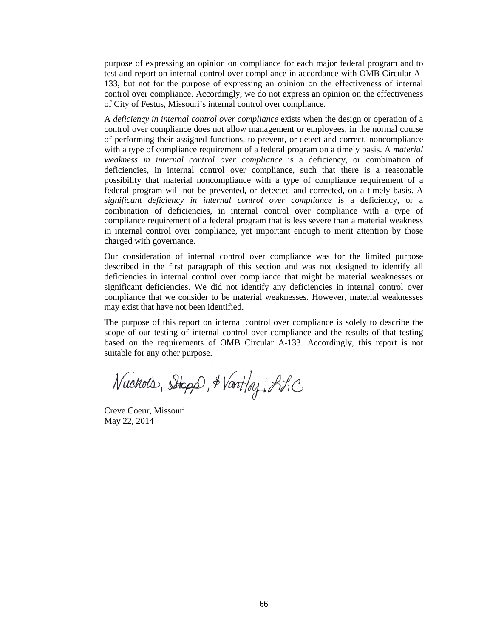purpose of expressing an opinion on compliance for each major federal program and to test and report on internal control over compliance in accordance with OMB Circular A-133, but not for the purpose of expressing an opinion on the effectiveness of internal control over compliance. Accordingly, we do not express an opinion on the effectiveness of City of Festus, Missouri's internal control over compliance.

A *deficiency in internal control over compliance* exists when the design or operation of a control over compliance does not allow management or employees, in the normal course of performing their assigned functions, to prevent, or detect and correct, noncompliance with a type of compliance requirement of a federal program on a timely basis. A *material weakness in internal control over compliance* is a deficiency, or combination of deficiencies, in internal control over compliance, such that there is a reasonable possibility that material noncompliance with a type of compliance requirement of a federal program will not be prevented, or detected and corrected, on a timely basis. A *significant deficiency in internal control over compliance* is a deficiency, or a combination of deficiencies, in internal control over compliance with a type of compliance requirement of a federal program that is less severe than a material weakness in internal control over compliance, yet important enough to merit attention by those charged with governance.

Our consideration of internal control over compliance was for the limited purpose described in the first paragraph of this section and was not designed to identify all deficiencies in internal control over compliance that might be material weaknesses or significant deficiencies. We did not identify any deficiencies in internal control over compliance that we consider to be material weaknesses. However, material weaknesses may exist that have not been identified.

The purpose of this report on internal control over compliance is solely to describe the scope of our testing of internal control over compliance and the results of that testing based on the requirements of OMB Circular A-133. Accordingly, this report is not suitable for any other purpose.

Nuchols, Stopp, # Vantlay, SLC

Creve Coeur, Missouri May 22, 2014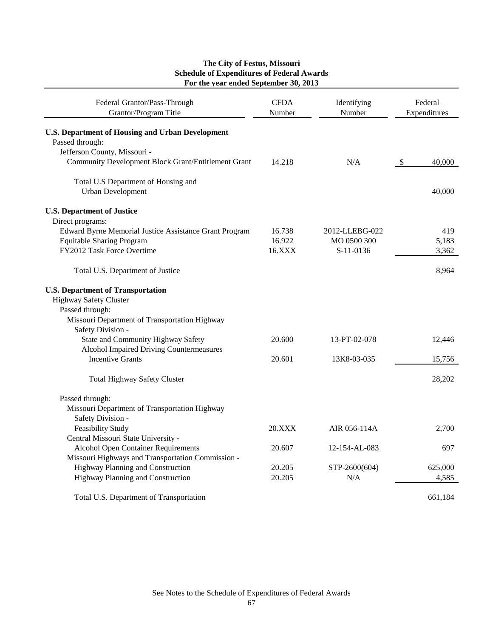| Federal Grantor/Pass-Through<br>Grantor/Program Title                      | <b>CFDA</b><br>Number | Identifying<br>Number |                         | Federal<br>Expenditures |
|----------------------------------------------------------------------------|-----------------------|-----------------------|-------------------------|-------------------------|
| <b>U.S. Department of Housing and Urban Development</b><br>Passed through: |                       |                       |                         |                         |
| Jefferson County, Missouri -                                               |                       |                       |                         |                         |
| Community Development Block Grant/Entitlement Grant                        | 14.218                | N/A                   | $\sqrt[6]{\frac{1}{2}}$ | 40,000                  |
| Total U.S Department of Housing and<br>Urban Development                   |                       |                       |                         | 40,000                  |
| <b>U.S. Department of Justice</b><br>Direct programs:                      |                       |                       |                         |                         |
| Edward Byrne Memorial Justice Assistance Grant Program                     | 16.738                | 2012-LLEBG-022        |                         | 419                     |
| <b>Equitable Sharing Program</b>                                           | 16.922                | MO 0500 300           |                         | 5,183                   |
| FY2012 Task Force Overtime                                                 | 16.XXX                | S-11-0136             |                         | 3,362                   |
| Total U.S. Department of Justice                                           |                       |                       |                         | 8,964                   |
| <b>U.S. Department of Transportation</b>                                   |                       |                       |                         |                         |
| <b>Highway Safety Cluster</b>                                              |                       |                       |                         |                         |
| Passed through:                                                            |                       |                       |                         |                         |
| Missouri Department of Transportation Highway                              |                       |                       |                         |                         |
| Safety Division -                                                          |                       |                       |                         |                         |
| State and Community Highway Safety                                         | 20.600                | 13-PT-02-078          |                         | 12,446                  |
| Alcohol Impaired Driving Countermeasures                                   |                       |                       |                         |                         |
| <b>Incentive Grants</b>                                                    | 20.601                | 13K8-03-035           |                         | 15,756                  |
| <b>Total Highway Safety Cluster</b>                                        |                       |                       |                         | 28,202                  |
| Passed through:                                                            |                       |                       |                         |                         |
| Missouri Department of Transportation Highway                              |                       |                       |                         |                         |
| Safety Division -                                                          |                       |                       |                         |                         |
| Feasibility Study                                                          | <b>20.XXX</b>         | AIR 056-114A          |                         | 2,700                   |
| Central Missouri State University -                                        |                       |                       |                         |                         |
| <b>Alcohol Open Container Requirements</b>                                 | 20.607                | 12-154-AL-083         |                         | 697                     |
| Missouri Highways and Transportation Commission -                          |                       |                       |                         |                         |
| Highway Planning and Construction                                          | 20.205                | STP-2600(604)         |                         | 625,000                 |
| Highway Planning and Construction                                          | 20.205                | N/A                   |                         | 4,585                   |
| Total U.S. Department of Transportation                                    |                       |                       |                         | 661,184                 |

# **The City of Festus, Missouri Schedule of Expenditures of Federal Awards For the year ended September 30, 2013**

See Notes to the Schedule of Expenditures of Federal Awards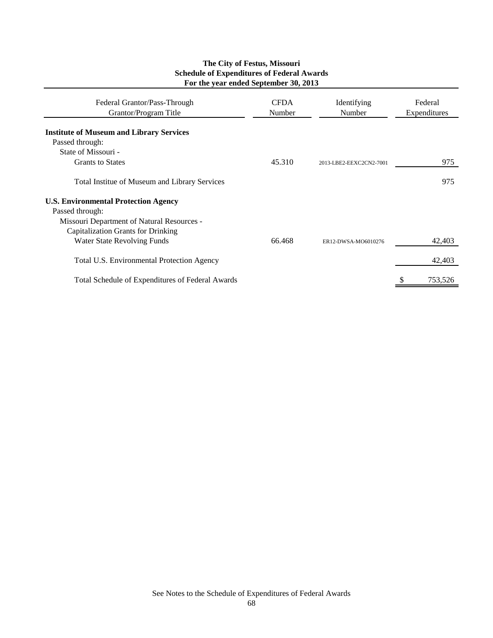| Federal Grantor/Pass-Through<br>Grantor/Program Title | <b>CFDA</b><br>Number | Identifying<br>Number   | Federal<br>Expenditures |         |
|-------------------------------------------------------|-----------------------|-------------------------|-------------------------|---------|
| <b>Institute of Museum and Library Services</b>       |                       |                         |                         |         |
| Passed through:                                       |                       |                         |                         |         |
| State of Missouri -                                   |                       |                         |                         |         |
| <b>Grants to States</b>                               | 45.310                | 2013-LBE2-EEXC2CN2-7001 |                         | 975     |
| <b>Total Institue of Museum and Library Services</b>  |                       |                         |                         | 975     |
| <b>U.S. Environmental Protection Agency</b>           |                       |                         |                         |         |
| Passed through:                                       |                       |                         |                         |         |
| Missouri Department of Natural Resources -            |                       |                         |                         |         |
| <b>Capitalization Grants for Drinking</b>             |                       |                         |                         |         |
| Water State Revolving Funds                           | 66.468                | ER12-DWSA-MO6010276     |                         | 42,403  |
| Total U.S. Environmental Protection Agency            |                       |                         |                         | 42,403  |
| Total Schedule of Expenditures of Federal Awards      |                       |                         |                         | 753,526 |

# **The City of Festus, Missouri Schedule of Expenditures of Federal Awards For the year ended September 30, 2013**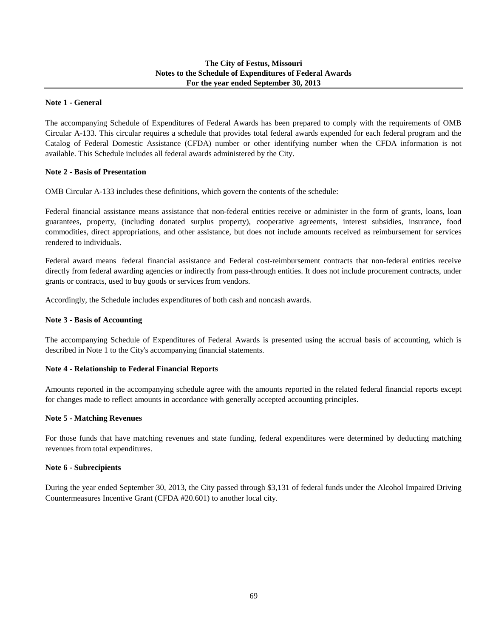### **Note 1 - General**

The accompanying Schedule of Expenditures of Federal Awards has been prepared to comply with the requirements of OMB Circular A-133. This circular requires a schedule that provides total federal awards expended for each federal program and the Catalog of Federal Domestic Assistance (CFDA) number or other identifying number when the CFDA information is not available. This Schedule includes all federal awards administered by the City.

## **Note 2 - Basis of Presentation**

OMB Circular A-133 includes these definitions, which govern the contents of the schedule:

Federal financial assistance means assistance that non-federal entities receive or administer in the form of grants, loans, loan guarantees, property, (including donated surplus property), cooperative agreements, interest subsidies, insurance, food commodities, direct appropriations, and other assistance, but does not include amounts received as reimbursement for services rendered to individuals.

Federal award means federal financial assistance and Federal cost-reimbursement contracts that non-federal entities receive directly from federal awarding agencies or indirectly from pass-through entities. It does not include procurement contracts, under grants or contracts, used to buy goods or services from vendors.

Accordingly, the Schedule includes expenditures of both cash and noncash awards.

### **Note 3 - Basis of Accounting**

The accompanying Schedule of Expenditures of Federal Awards is presented using the accrual basis of accounting, which is described in Note 1 to the City's accompanying financial statements.

### **Note 4 - Relationship to Federal Financial Reports**

Amounts reported in the accompanying schedule agree with the amounts reported in the related federal financial reports except for changes made to reflect amounts in accordance with generally accepted accounting principles.

### **Note 5 - Matching Revenues**

For those funds that have matching revenues and state funding, federal expenditures were determined by deducting matching revenues from total expenditures.

### **Note 6 - Subrecipients**

During the year ended September 30, 2013, the City passed through \$3,131 of federal funds under the Alcohol Impaired Driving Countermeasures Incentive Grant (CFDA #20.601) to another local city.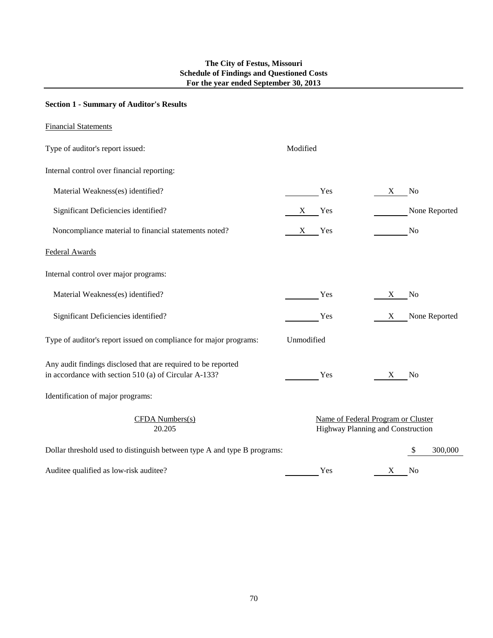# **The City of Festus, Missouri Schedule of Findings and Questioned Costs For the year ended September 30, 2013**

# **Section 1 - Summary of Auditor's Results**

| <b>Financial Statements</b>                                                                                            |                                                                         |                     |
|------------------------------------------------------------------------------------------------------------------------|-------------------------------------------------------------------------|---------------------|
| Type of auditor's report issued:                                                                                       | Modified                                                                |                     |
| Internal control over financial reporting:                                                                             |                                                                         |                     |
| Material Weakness(es) identified?                                                                                      | Yes                                                                     | X<br>No             |
| Significant Deficiencies identified?                                                                                   | X<br>Yes                                                                | None Reported       |
| Noncompliance material to financial statements noted?                                                                  | X<br>Yes                                                                | No                  |
| Federal Awards                                                                                                         |                                                                         |                     |
| Internal control over major programs:                                                                                  |                                                                         |                     |
| Material Weakness(es) identified?                                                                                      | Yes                                                                     | X<br>No             |
| Significant Deficiencies identified?                                                                                   | Yes                                                                     | None Reported<br>X  |
| Type of auditor's report issued on compliance for major programs:                                                      | Unmodified                                                              |                     |
| Any audit findings disclosed that are required to be reported<br>in accordance with section 510 (a) of Circular A-133? | Yes                                                                     | X<br>N <sub>0</sub> |
| Identification of major programs:                                                                                      |                                                                         |                     |
| $CFDA$ Numbers $(s)$<br>20.205                                                                                         | Name of Federal Program or Cluster<br>Highway Planning and Construction |                     |
| Dollar threshold used to distinguish between type A and type B programs:                                               |                                                                         | 300,000<br>\$       |
| Auditee qualified as low-risk auditee?                                                                                 | Yes                                                                     | No<br>X             |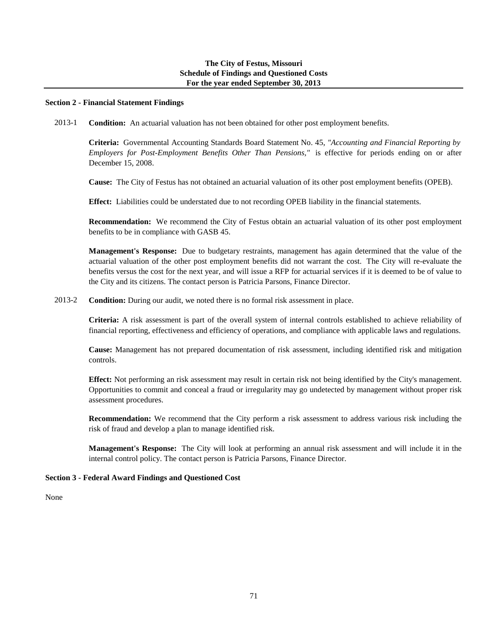#### **Section 2 - Financial Statement Findings**

2013-1 **Condition:** An actuarial valuation has not been obtained for other post employment benefits.

> **Criteria:** Governmental Accounting Standards Board Statement No. 45, *"Accounting and Financial Reporting by Employers for Post-Employment Benefits Other Than Pensions,"* is effective for periods ending on or after December 15, 2008.

**Cause:** The City of Festus has not obtained an actuarial valuation of its other post employment benefits (OPEB).

**Effect:** Liabilities could be understated due to not recording OPEB liability in the financial statements.

**Recommendation:** We recommend the City of Festus obtain an actuarial valuation of its other post employment benefits to be in compliance with GASB 45.

**Management's Response:** Due to budgetary restraints, management has again determined that the value of the actuarial valuation of the other post employment benefits did not warrant the cost. The City will re-evaluate the benefits versus the cost for the next year, and will issue a RFP for actuarial services if it is deemed to be of value to the City and its citizens. The contact person is Patricia Parsons, Finance Director.

2013-2 **Condition:** During our audit, we noted there is no formal risk assessment in place.

> **Criteria:** A risk assessment is part of the overall system of internal controls established to achieve reliability of financial reporting, effectiveness and efficiency of operations, and compliance with applicable laws and regulations.

> **Cause:** Management has not prepared documentation of risk assessment, including identified risk and mitigation controls.

> **Effect:** Not performing an risk assessment may result in certain risk not being identified by the City's management. Opportunities to commit and conceal a fraud or irregularity may go undetected by management without proper risk assessment procedures.

> **Recommendation:** We recommend that the City perform a risk assessment to address various risk including the risk of fraud and develop a plan to manage identified risk.

> **Management's Response:** The City will look at performing an annual risk assessment and will include it in the internal control policy. The contact person is Patricia Parsons, Finance Director.

## **Section 3 - Federal Award Findings and Questioned Cost**

None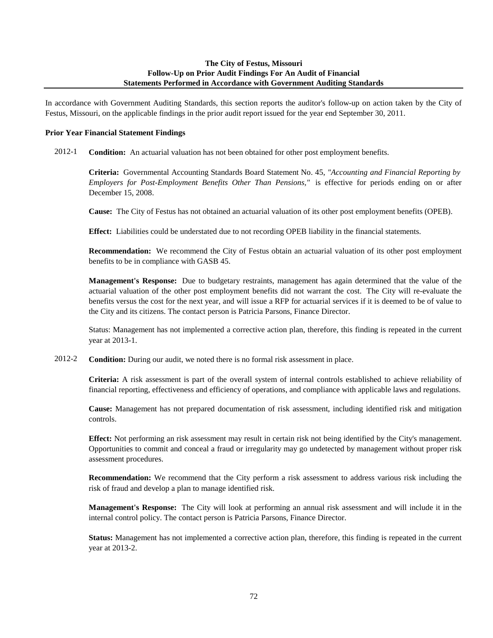In accordance with Government Auditing Standards, this section reports the auditor's follow-up on action taken by the City of Festus, Missouri, on the applicable findings in the prior audit report issued for the year end September 30, 2011.

# **Prior Year Financial Statement Findings**

2012-1 **Condition:** An actuarial valuation has not been obtained for other post employment benefits.

> **Criteria:** Governmental Accounting Standards Board Statement No. 45, *"Accounting and Financial Reporting by Employers for Post-Employment Benefits Other Than Pensions,"* is effective for periods ending on or after December 15, 2008.

**Cause:** The City of Festus has not obtained an actuarial valuation of its other post employment benefits (OPEB).

**Effect:** Liabilities could be understated due to not recording OPEB liability in the financial statements.

**Recommendation:** We recommend the City of Festus obtain an actuarial valuation of its other post employment benefits to be in compliance with GASB 45.

**Management's Response:** Due to budgetary restraints, management has again determined that the value of the actuarial valuation of the other post employment benefits did not warrant the cost. The City will re-evaluate the benefits versus the cost for the next year, and will issue a RFP for actuarial services if it is deemed to be of value to the City and its citizens. The contact person is Patricia Parsons, Finance Director.

Status: Management has not implemented a corrective action plan, therefore, this finding is repeated in the current year at 2013-1.

2012-2 **Condition:** During our audit, we noted there is no formal risk assessment in place.

> **Criteria:** A risk assessment is part of the overall system of internal controls established to achieve reliability of financial reporting, effectiveness and efficiency of operations, and compliance with applicable laws and regulations.

> **Cause:** Management has not prepared documentation of risk assessment, including identified risk and mitigation controls.

> **Effect:** Not performing an risk assessment may result in certain risk not being identified by the City's management. Opportunities to commit and conceal a fraud or irregularity may go undetected by management without proper risk assessment procedures.

> **Recommendation:** We recommend that the City perform a risk assessment to address various risk including the risk of fraud and develop a plan to manage identified risk.

> **Management's Response:** The City will look at performing an annual risk assessment and will include it in the internal control policy. The contact person is Patricia Parsons, Finance Director.

> **Status:** Management has not implemented a corrective action plan, therefore, this finding is repeated in the current year at 2013-2.